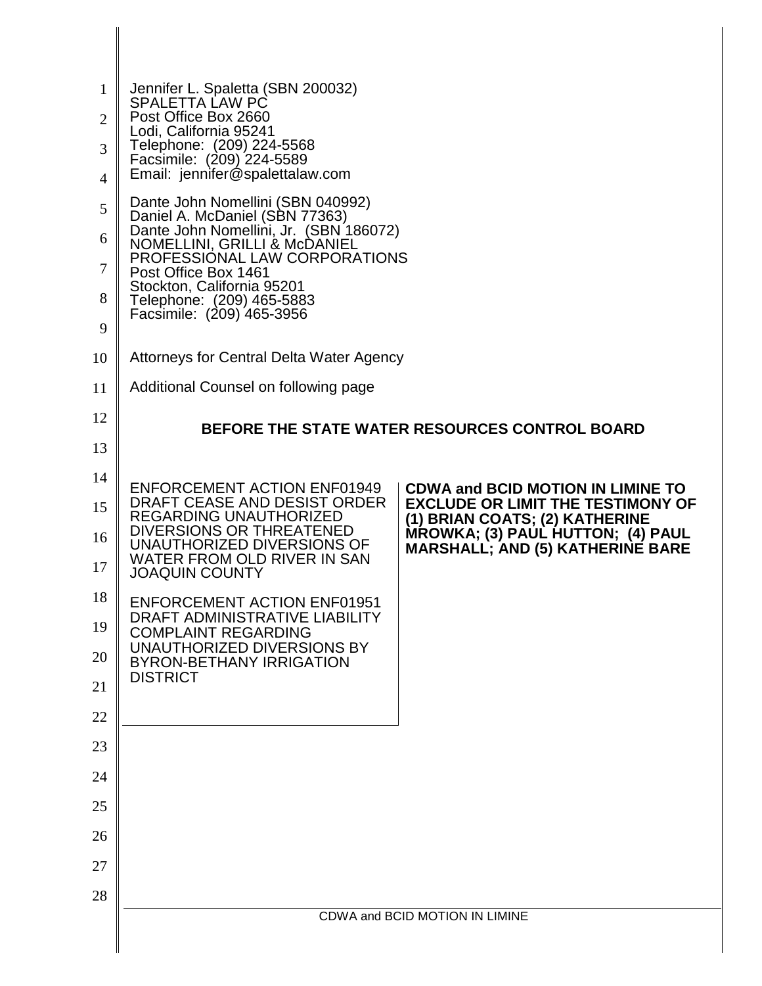| $\mathbf{1}$<br>$\overline{2}$<br>3<br>$\overline{4}$<br>5<br>6<br>7<br>8<br>9 | Jennifer L. Spaletta (SBN 200032)<br>SPALETTA LAW PC<br>Post Office Box 2660<br>Lodi, California 95241<br>Telephone: (209) 224-5568<br>Facsimile: (209) 224-5589<br>Email: jennifer@spalettalaw.com<br>Dante John Nomellini (SBN 040992)<br>Daniel A. McDaniel (SBN 77363)<br>Dante John Nomellini, Jr. (SBN 186072)<br>NOMELLINI, GRILLI & McDANIEL<br>PROFESSIONAL LAW CORPORATIONS<br>Post Office Box 1461<br>Stockton, California 95201<br>Telephone: (209) 465-5883<br>Facsimile: (209) 465-3956 |                                                                                                                                                                                                        |  |
|--------------------------------------------------------------------------------|-------------------------------------------------------------------------------------------------------------------------------------------------------------------------------------------------------------------------------------------------------------------------------------------------------------------------------------------------------------------------------------------------------------------------------------------------------------------------------------------------------|--------------------------------------------------------------------------------------------------------------------------------------------------------------------------------------------------------|--|
| 10                                                                             | Attorneys for Central Delta Water Agency                                                                                                                                                                                                                                                                                                                                                                                                                                                              |                                                                                                                                                                                                        |  |
| 11                                                                             | Additional Counsel on following page                                                                                                                                                                                                                                                                                                                                                                                                                                                                  |                                                                                                                                                                                                        |  |
| 12                                                                             | <b>BEFORE THE STATE WATER RESOURCES CONTROL BOARD</b>                                                                                                                                                                                                                                                                                                                                                                                                                                                 |                                                                                                                                                                                                        |  |
| 13                                                                             |                                                                                                                                                                                                                                                                                                                                                                                                                                                                                                       |                                                                                                                                                                                                        |  |
| 14<br>15<br>16                                                                 | <b>ENFORCEMENT ACTION ENF01949</b><br>DRAFT CEASE AND DESIST ORDER<br>REGARDING UNAUTHORIZED<br>DIVERSIONS OR THREATENED<br>UNAUTHORIZED DIVERSIONS OF<br>WATER FROM OLD RIVER IN SAN                                                                                                                                                                                                                                                                                                                 | <b>CDWA and BCID MOTION IN LIMINE TO</b><br><b>EXCLUDE OR LIMIT THE TESTIMONY OF</b><br>(1) BRIAN COATS; (2) KATHERINE<br>MROWKA; (3) PAUL HUTTON; (4) PAUL<br><b>MARSHALL; AND (5) KATHERINE BARE</b> |  |
| 17                                                                             | <b>JOAQUIN COUNTY</b>                                                                                                                                                                                                                                                                                                                                                                                                                                                                                 |                                                                                                                                                                                                        |  |
| 18                                                                             | <b>ENFORCEMENT ACTION ENF01951</b><br>DRAFT ADMINISTRATIVE LIABILITY                                                                                                                                                                                                                                                                                                                                                                                                                                  |                                                                                                                                                                                                        |  |
| 19                                                                             | <b>COMPLAINT REGARDING</b><br>UNAUTHORIZED DIVERSIONS BY                                                                                                                                                                                                                                                                                                                                                                                                                                              |                                                                                                                                                                                                        |  |
| 20                                                                             | <b>BYRON-BETHANY IRRIGATION</b><br><b>DISTRICT</b>                                                                                                                                                                                                                                                                                                                                                                                                                                                    |                                                                                                                                                                                                        |  |
| 21                                                                             |                                                                                                                                                                                                                                                                                                                                                                                                                                                                                                       |                                                                                                                                                                                                        |  |
| 22                                                                             |                                                                                                                                                                                                                                                                                                                                                                                                                                                                                                       |                                                                                                                                                                                                        |  |
| 23                                                                             |                                                                                                                                                                                                                                                                                                                                                                                                                                                                                                       |                                                                                                                                                                                                        |  |
| 24                                                                             |                                                                                                                                                                                                                                                                                                                                                                                                                                                                                                       |                                                                                                                                                                                                        |  |
| 25                                                                             |                                                                                                                                                                                                                                                                                                                                                                                                                                                                                                       |                                                                                                                                                                                                        |  |
| 26                                                                             |                                                                                                                                                                                                                                                                                                                                                                                                                                                                                                       |                                                                                                                                                                                                        |  |
| 27                                                                             |                                                                                                                                                                                                                                                                                                                                                                                                                                                                                                       |                                                                                                                                                                                                        |  |
| 28                                                                             |                                                                                                                                                                                                                                                                                                                                                                                                                                                                                                       | CDWA and BCID MOTION IN LIMINE                                                                                                                                                                         |  |
|                                                                                |                                                                                                                                                                                                                                                                                                                                                                                                                                                                                                       |                                                                                                                                                                                                        |  |
|                                                                                |                                                                                                                                                                                                                                                                                                                                                                                                                                                                                                       |                                                                                                                                                                                                        |  |

II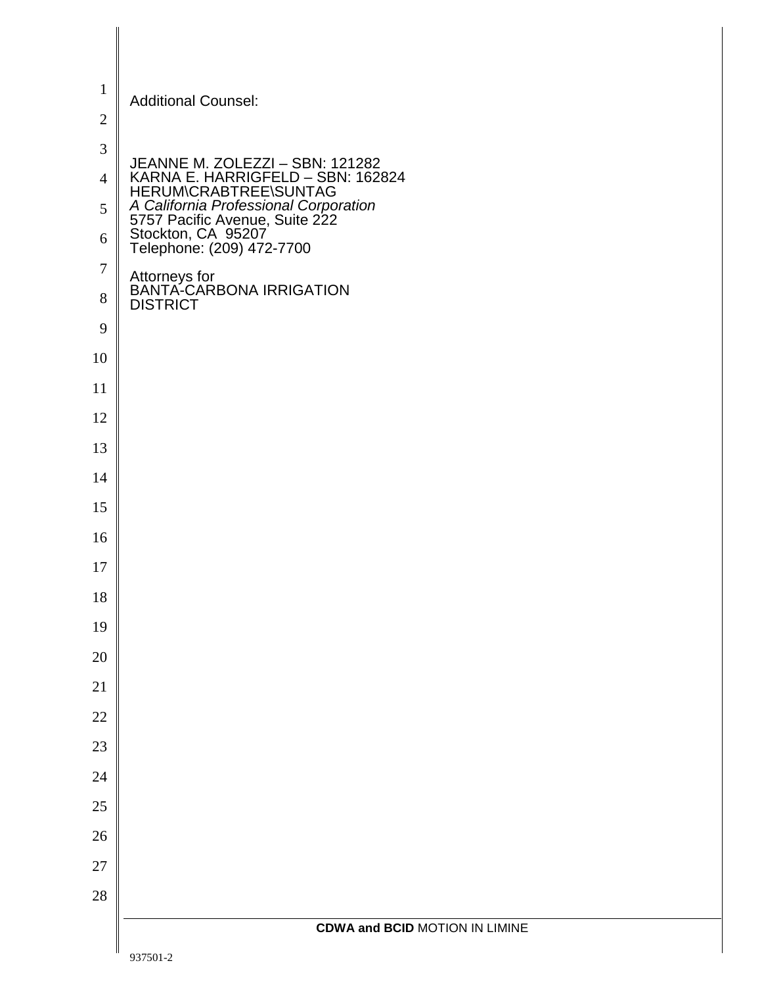| $\mathbf{1}$   | <b>Additional Counsel:</b>                                                                                                                                                                                                  |
|----------------|-----------------------------------------------------------------------------------------------------------------------------------------------------------------------------------------------------------------------------|
| $\sqrt{2}$     |                                                                                                                                                                                                                             |
| $\mathfrak{Z}$ |                                                                                                                                                                                                                             |
| $\overline{4}$ |                                                                                                                                                                                                                             |
| 5              | JEANNE M. ZOLEZZI – SBN: 121282<br>KARNA E. HARRIGFELD – SBN: 162824<br>HERUM\CRABTREE\SUNTAG<br>A California Professional Corporation<br>5757 Pacific Avenue, Suite 222<br>Stockton, CA 95207<br>Telephone: (209) 472-7700 |
| 6              |                                                                                                                                                                                                                             |
| 7              | Attorneys for<br>BANTA-CARBONA IRRIGATION<br>DISTRICT                                                                                                                                                                       |
| $8\,$          |                                                                                                                                                                                                                             |
| 9              |                                                                                                                                                                                                                             |
| 10             |                                                                                                                                                                                                                             |
| 11<br>12       |                                                                                                                                                                                                                             |
| 13             |                                                                                                                                                                                                                             |
| 14             |                                                                                                                                                                                                                             |
| 15             |                                                                                                                                                                                                                             |
| 16             |                                                                                                                                                                                                                             |
| 17             |                                                                                                                                                                                                                             |
| 18             |                                                                                                                                                                                                                             |
| 19             |                                                                                                                                                                                                                             |
| 20             |                                                                                                                                                                                                                             |
| 21             |                                                                                                                                                                                                                             |
| 22             |                                                                                                                                                                                                                             |
| $23\,$         |                                                                                                                                                                                                                             |
| 24             |                                                                                                                                                                                                                             |
| $25\,$         |                                                                                                                                                                                                                             |
| 26             |                                                                                                                                                                                                                             |
| 27             |                                                                                                                                                                                                                             |
| 28             |                                                                                                                                                                                                                             |
|                | <b>CDWA and BCID MOTION IN LIMINE</b>                                                                                                                                                                                       |
|                | 937501-2                                                                                                                                                                                                                    |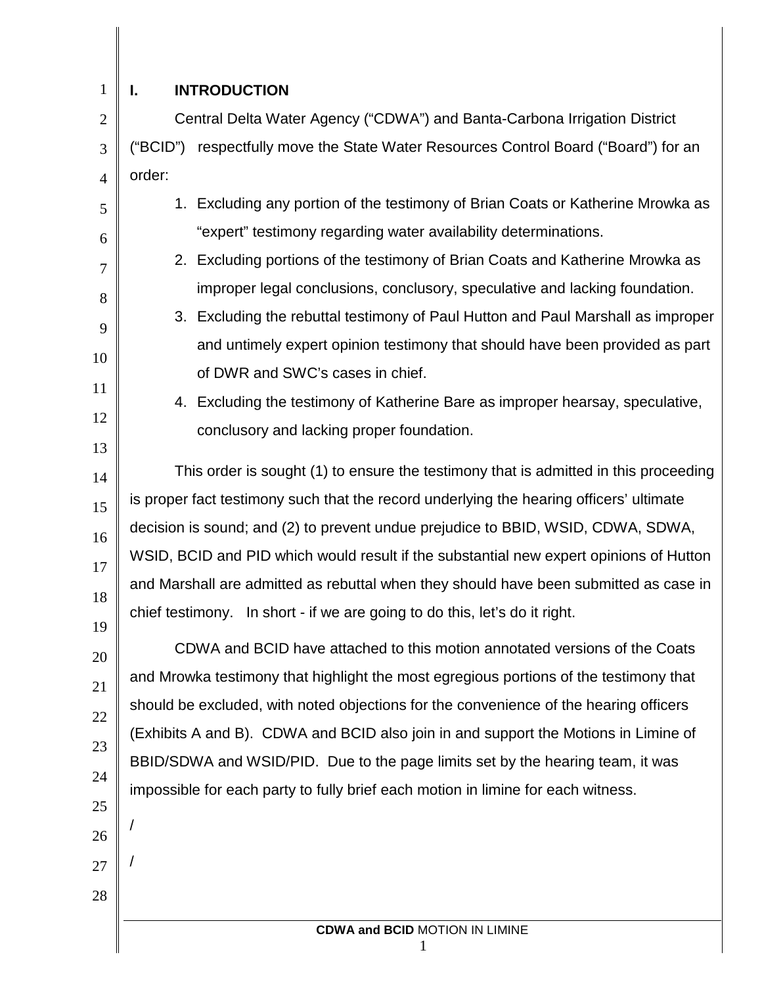| $\mathbf{1}$   | <b>INTRODUCTION</b><br>ı.                                                               |  |  |  |
|----------------|-----------------------------------------------------------------------------------------|--|--|--|
| $\overline{2}$ | Central Delta Water Agency ("CDWA") and Banta-Carbona Irrigation District               |  |  |  |
| 3              | ("BCID") respectfully move the State Water Resources Control Board ("Board") for an     |  |  |  |
| $\overline{4}$ | order:                                                                                  |  |  |  |
| 5              | 1. Excluding any portion of the testimony of Brian Coats or Katherine Mrowka as         |  |  |  |
| 6              | "expert" testimony regarding water availability determinations.                         |  |  |  |
| $\overline{7}$ | 2. Excluding portions of the testimony of Brian Coats and Katherine Mrowka as           |  |  |  |
| 8              | improper legal conclusions, conclusory, speculative and lacking foundation.             |  |  |  |
| 9              | 3. Excluding the rebuttal testimony of Paul Hutton and Paul Marshall as improper        |  |  |  |
| 10             | and untimely expert opinion testimony that should have been provided as part            |  |  |  |
| 11             | of DWR and SWC's cases in chief.                                                        |  |  |  |
| 12             | 4. Excluding the testimony of Katherine Bare as improper hearsay, speculative,          |  |  |  |
| 13             | conclusory and lacking proper foundation.                                               |  |  |  |
| 14             | This order is sought (1) to ensure the testimony that is admitted in this proceeding    |  |  |  |
| 15             | is proper fact testimony such that the record underlying the hearing officers' ultimate |  |  |  |
| 16             | decision is sound; and (2) to prevent undue prejudice to BBID, WSID, CDWA, SDWA,        |  |  |  |
| 17             | WSID, BCID and PID which would result if the substantial new expert opinions of Hutton  |  |  |  |
| 18             | and Marshall are admitted as rebuttal when they should have been submitted as case in   |  |  |  |
| 19             | chief testimony. In short - if we are going to do this, let's do it right.              |  |  |  |
| 20             | CDWA and BCID have attached to this motion annotated versions of the Coats              |  |  |  |
| 21             | and Mrowka testimony that highlight the most egregious portions of the testimony that   |  |  |  |
| 22             | should be excluded, with noted objections for the convenience of the hearing officers   |  |  |  |
| 23             | (Exhibits A and B). CDWA and BCID also join in and support the Motions in Limine of     |  |  |  |
| 24             | BBID/SDWA and WSID/PID. Due to the page limits set by the hearing team, it was          |  |  |  |
| 25             | impossible for each party to fully brief each motion in limine for each witness.        |  |  |  |
| 26             |                                                                                         |  |  |  |
| 27             |                                                                                         |  |  |  |
| 28             |                                                                                         |  |  |  |
|                | <b>CDWA and BCID MOTION IN LIMINE</b>                                                   |  |  |  |
|                |                                                                                         |  |  |  |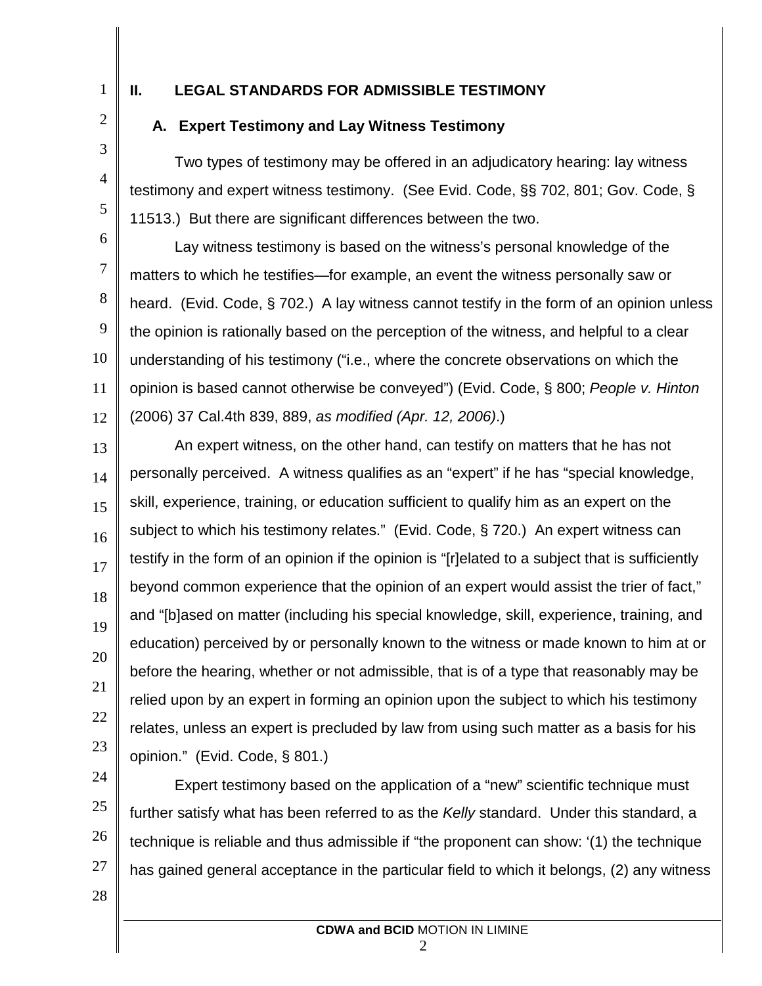1

# **II. LEGAL STANDARDS FOR ADMISSIBLE TESTIMONY**

2

3

4

5

# **A. Expert Testimony and Lay Witness Testimony**

Two types of testimony may be offered in an adjudicatory hearing: lay witness testimony and expert witness testimony. (See Evid. Code, §§ 702, 801; Gov. Code, § 11513.) But there are significant differences between the two.

6 7 8 9 10 11 12 Lay witness testimony is based on the witness's personal knowledge of the matters to which he testifies—for example, an event the witness personally saw or heard. (Evid. Code, § 702.) A lay witness cannot testify in the form of an opinion unless the opinion is rationally based on the perception of the witness, and helpful to a clear understanding of his testimony ("i.e., where the concrete observations on which the opinion is based cannot otherwise be conveyed") (Evid. Code, § 800; *People v. Hinton* (2006) 37 Cal.4th 839, 889, *as modified (Apr. 12, 2006)*.)

13 14 15 16 17 18 19 20 21 22 23 An expert witness, on the other hand, can testify on matters that he has not personally perceived. A witness qualifies as an "expert" if he has "special knowledge, skill, experience, training, or education sufficient to qualify him as an expert on the subject to which his testimony relates." (Evid. Code, § 720.) An expert witness can testify in the form of an opinion if the opinion is "[r]elated to a subject that is sufficiently beyond common experience that the opinion of an expert would assist the trier of fact," and "[b]ased on matter (including his special knowledge, skill, experience, training, and education) perceived by or personally known to the witness or made known to him at or before the hearing, whether or not admissible, that is of a type that reasonably may be relied upon by an expert in forming an opinion upon the subject to which his testimony relates, unless an expert is precluded by law from using such matter as a basis for his opinion." (Evid. Code, § 801.)

24 25 26 27 Expert testimony based on the application of a "new" scientific technique must further satisfy what has been referred to as the *Kelly* standard. Under this standard, a technique is reliable and thus admissible if "the proponent can show: '(1) the technique has gained general acceptance in the particular field to which it belongs, (2) any witness

28

2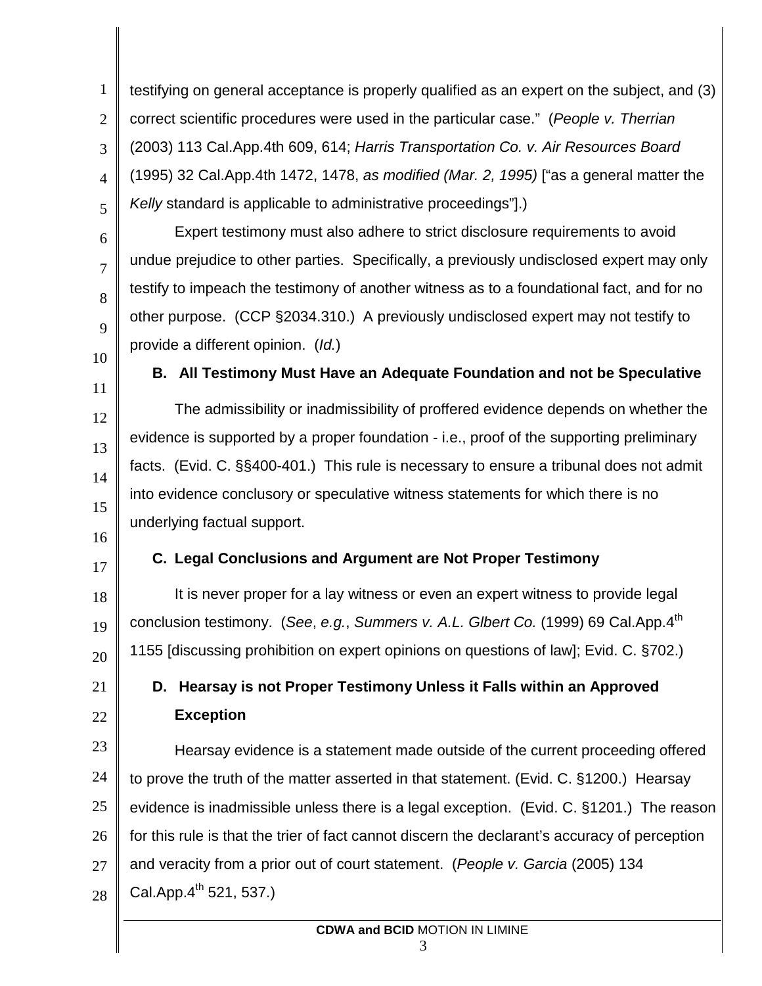1 2 3 4 5 testifying on general acceptance is properly qualified as an expert on the subject, and (3) correct scientific procedures were used in the particular case." (*People v. Therrian* (2003) 113 Cal.App.4th 609, 614; *Harris Transportation Co. v. Air Resources Board* (1995) 32 Cal.App.4th 1472, 1478, *as modified (Mar. 2, 1995)* ["as a general matter the *Kelly* standard is applicable to administrative proceedings"].)

Expert testimony must also adhere to strict disclosure requirements to avoid undue prejudice to other parties. Specifically, a previously undisclosed expert may only testify to impeach the testimony of another witness as to a foundational fact, and for no other purpose. (CCP §2034.310.) A previously undisclosed expert may not testify to provide a different opinion. (*Id.*)

10 11

12

13

14

15

6

7

8

9

### **B. All Testimony Must Have an Adequate Foundation and not be Speculative**

The admissibility or inadmissibility of proffered evidence depends on whether the evidence is supported by a proper foundation - i.e., proof of the supporting preliminary facts. (Evid. C. §§400-401.) This rule is necessary to ensure a tribunal does not admit into evidence conclusory or speculative witness statements for which there is no underlying factual support.

16

17

21

22

# **C. Legal Conclusions and Argument are Not Proper Testimony**

18 19 20 It is never proper for a lay witness or even an expert witness to provide legal conclusion testimony. (*See*, *e.g.*, *Summers v. A.L. Glbert Co.* (1999) 69 Cal.App.4th 1155 [discussing prohibition on expert opinions on questions of law]; Evid. C. §702.)

# **D. Hearsay is not Proper Testimony Unless it Falls within an Approved Exception**

23 24 25 26 27 28 Hearsay evidence is a statement made outside of the current proceeding offered to prove the truth of the matter asserted in that statement. (Evid. C. §1200.) Hearsay evidence is inadmissible unless there is a legal exception. (Evid. C. §1201.) The reason for this rule is that the trier of fact cannot discern the declarant's accuracy of perception and veracity from a prior out of court statement. (*People v. Garcia* (2005) 134 Cal.App. $4^{th}$  521, 537.)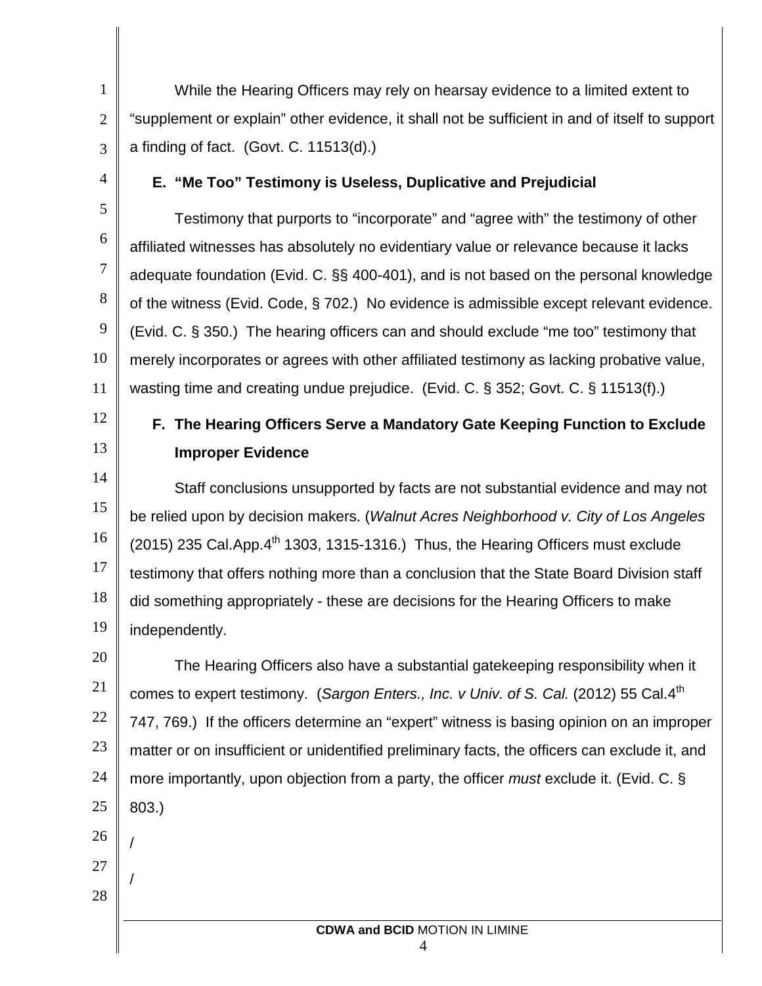While the Hearing Officers may rely on hearsay evidence to a limited extent to "supplement or explain" other evidence, it shall not be sufficient in and of itself to support a finding of fact. (Govt. C. 11513(d).)

4

5

6

7

8

9

10

11

1

2

3

## **E. "Me Too" Testimony is Useless, Duplicative and Prejudicial**

Testimony that purports to "incorporate" and "agree with" the testimony of other affiliated witnesses has absolutely no evidentiary value or relevance because it lacks adequate foundation (Evid. C. §§ 400-401), and is not based on the personal knowledge of the witness (Evid. Code, § 702.) No evidence is admissible except relevant evidence. (Evid. C. § 350.) The hearing officers can and should exclude "me too" testimony that merely incorporates or agrees with other affiliated testimony as lacking probative value, wasting time and creating undue prejudice. (Evid. C. § 352; Govt. C. § 11513(f).)

12

13

# **F. The Hearing Officers Serve a Mandatory Gate Keeping Function to Exclude Improper Evidence**

14 15 16 17 18 19 Staff conclusions unsupported by facts are not substantial evidence and may not be relied upon by decision makers. (*Walnut Acres Neighborhood v. City of Los Angeles*   $(2015)$  235 Cal.App. $4<sup>th</sup>$  1303, 1315-1316.) Thus, the Hearing Officers must exclude testimony that offers nothing more than a conclusion that the State Board Division staff did something appropriately - these are decisions for the Hearing Officers to make independently.

20 21 22 23 24 25 The Hearing Officers also have a substantial gatekeeping responsibility when it comes to expert testimony. (*Sargon Enters., Inc. v Univ. of S. Cal.* (2012) 55 Cal.4<sup>th</sup> 747, 769.) If the officers determine an "expert" witness is basing opinion on an improper matter or on insufficient or unidentified preliminary facts, the officers can exclude it, and more importantly, upon objection from a party, the officer *must* exclude it. (Evid. C. § 803.)

26

/

/

- 27
- 28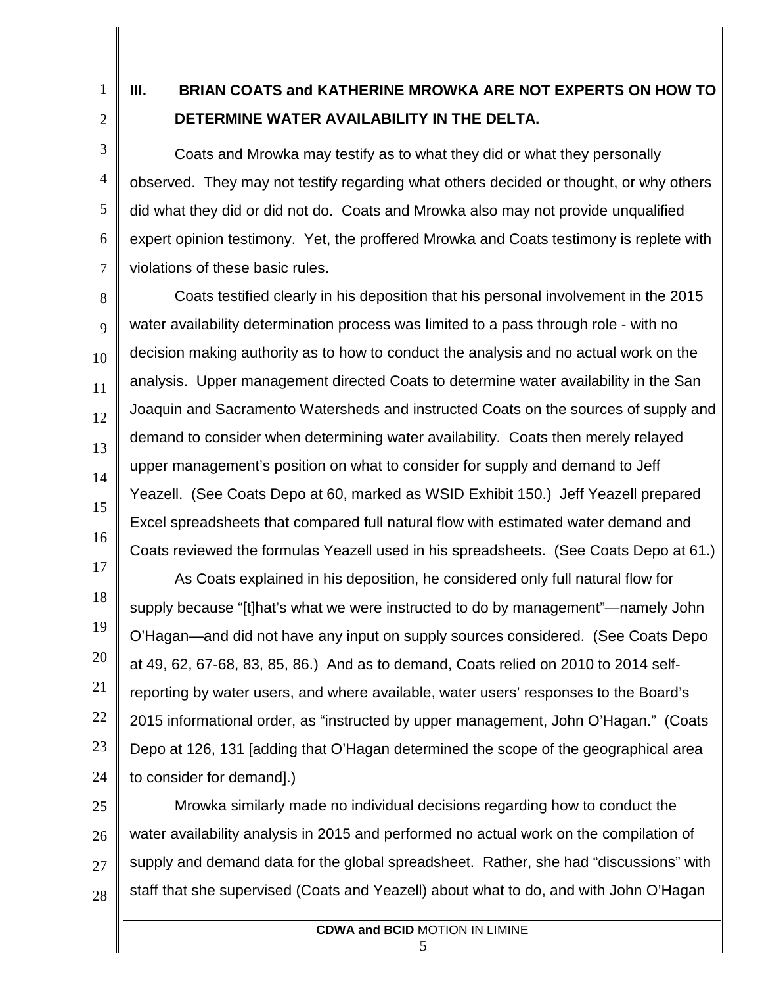1

2

4

5

6

7

# **III. BRIAN COATS and KATHERINE MROWKA ARE NOT EXPERTS ON HOW TO DETERMINE WATER AVAILABILITY IN THE DELTA.**

3 Coats and Mrowka may testify as to what they did or what they personally observed. They may not testify regarding what others decided or thought, or why others did what they did or did not do. Coats and Mrowka also may not provide unqualified expert opinion testimony. Yet, the proffered Mrowka and Coats testimony is replete with violations of these basic rules.

8 9 10 11 12 13 14 15 16 Coats testified clearly in his deposition that his personal involvement in the 2015 water availability determination process was limited to a pass through role - with no decision making authority as to how to conduct the analysis and no actual work on the analysis. Upper management directed Coats to determine water availability in the San Joaquin and Sacramento Watersheds and instructed Coats on the sources of supply and demand to consider when determining water availability. Coats then merely relayed upper management's position on what to consider for supply and demand to Jeff Yeazell. (See Coats Depo at 60, marked as WSID Exhibit 150.) Jeff Yeazell prepared Excel spreadsheets that compared full natural flow with estimated water demand and Coats reviewed the formulas Yeazell used in his spreadsheets. (See Coats Depo at 61.)

17 18 19 20 21 22 23 24 As Coats explained in his deposition, he considered only full natural flow for supply because "[t]hat's what we were instructed to do by management"—namely John O'Hagan—and did not have any input on supply sources considered. (See Coats Depo at 49, 62, 67-68, 83, 85, 86.) And as to demand, Coats relied on 2010 to 2014 selfreporting by water users, and where available, water users' responses to the Board's 2015 informational order, as "instructed by upper management, John O'Hagan." (Coats Depo at 126, 131 [adding that O'Hagan determined the scope of the geographical area to consider for demand].)

25 26 27 28 Mrowka similarly made no individual decisions regarding how to conduct the water availability analysis in 2015 and performed no actual work on the compilation of supply and demand data for the global spreadsheet. Rather, she had "discussions" with staff that she supervised (Coats and Yeazell) about what to do, and with John O'Hagan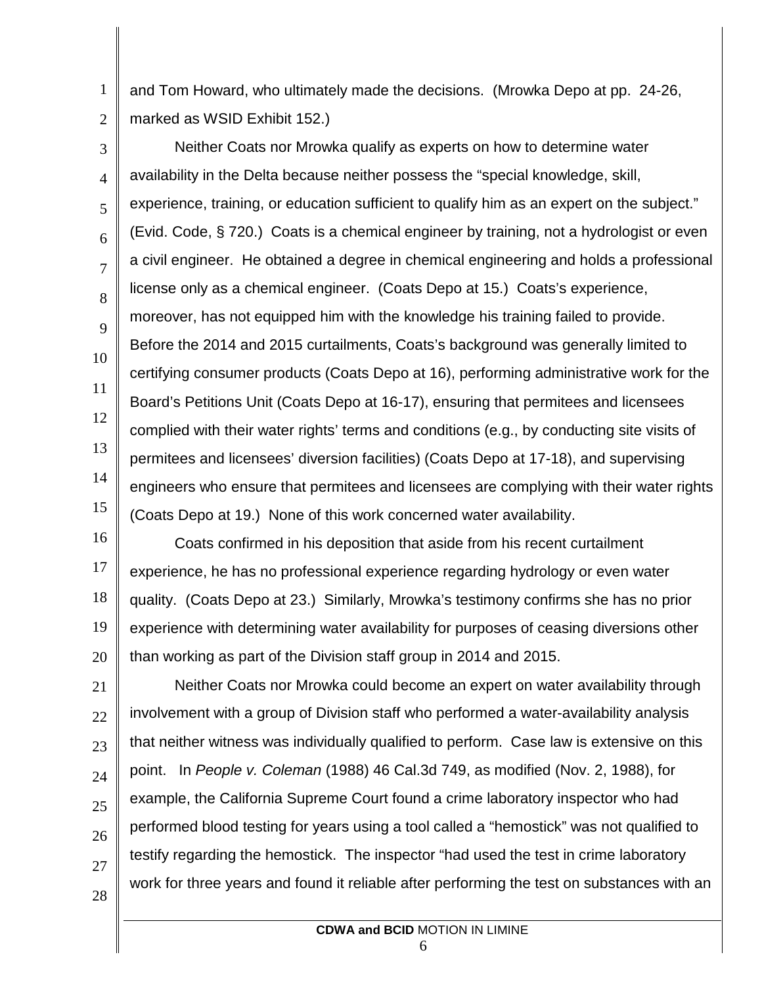1 2 and Tom Howard, who ultimately made the decisions. (Mrowka Depo at pp. 24-26, marked as WSID Exhibit 152.)

3 4 5 6 7 8 9 10 11 12 13 14 15 Neither Coats nor Mrowka qualify as experts on how to determine water availability in the Delta because neither possess the "special knowledge, skill, experience, training, or education sufficient to qualify him as an expert on the subject." (Evid. Code, § 720.) Coats is a chemical engineer by training, not a hydrologist or even a civil engineer. He obtained a degree in chemical engineering and holds a professional license only as a chemical engineer. (Coats Depo at 15.) Coats's experience, moreover, has not equipped him with the knowledge his training failed to provide. Before the 2014 and 2015 curtailments, Coats's background was generally limited to certifying consumer products (Coats Depo at 16), performing administrative work for the Board's Petitions Unit (Coats Depo at 16-17), ensuring that permitees and licensees complied with their water rights' terms and conditions (e.g., by conducting site visits of permitees and licensees' diversion facilities) (Coats Depo at 17-18), and supervising engineers who ensure that permitees and licensees are complying with their water rights (Coats Depo at 19.) None of this work concerned water availability.

16 17 18 19 20 Coats confirmed in his deposition that aside from his recent curtailment experience, he has no professional experience regarding hydrology or even water quality. (Coats Depo at 23.) Similarly, Mrowka's testimony confirms she has no prior experience with determining water availability for purposes of ceasing diversions other than working as part of the Division staff group in 2014 and 2015.

21 22 23 24 25 26 27 28 Neither Coats nor Mrowka could become an expert on water availability through involvement with a group of Division staff who performed a water-availability analysis that neither witness was individually qualified to perform. Case law is extensive on this point. In *People v. Coleman* (1988) 46 Cal.3d 749, as modified (Nov. 2, 1988), for example, the California Supreme Court found a crime laboratory inspector who had performed blood testing for years using a tool called a "hemostick" was not qualified to testify regarding the hemostick. The inspector "had used the test in crime laboratory work for three years and found it reliable after performing the test on substances with an

> **CDWA and BCID** MOTION IN LIMINE 6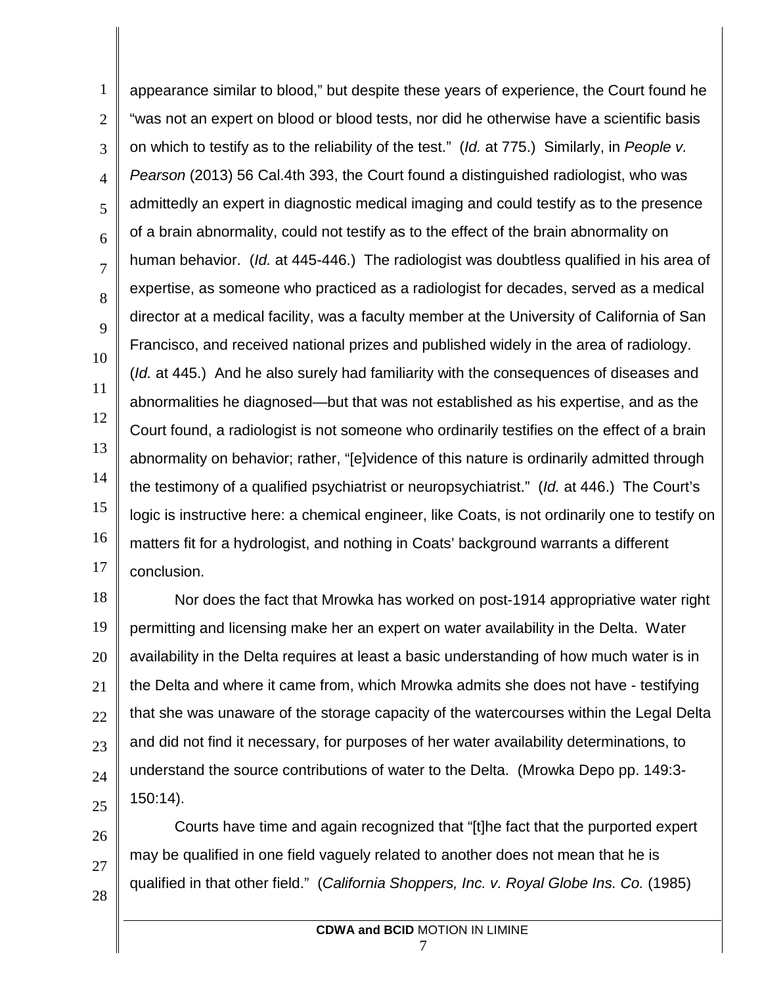1 2 3 4 5 6 7 8 9 10 11 12 13 14 15 16 17 appearance similar to blood," but despite these years of experience, the Court found he "was not an expert on blood or blood tests, nor did he otherwise have a scientific basis on which to testify as to the reliability of the test." (*Id.* at 775.) Similarly, in *People v. Pearson* (2013) 56 Cal.4th 393, the Court found a distinguished radiologist, who was admittedly an expert in diagnostic medical imaging and could testify as to the presence of a brain abnormality, could not testify as to the effect of the brain abnormality on human behavior. (*Id.* at 445-446.) The radiologist was doubtless qualified in his area of expertise, as someone who practiced as a radiologist for decades, served as a medical director at a medical facility, was a faculty member at the University of California of San Francisco, and received national prizes and published widely in the area of radiology. (*Id.* at 445.) And he also surely had familiarity with the consequences of diseases and abnormalities he diagnosed—but that was not established as his expertise, and as the Court found, a radiologist is not someone who ordinarily testifies on the effect of a brain abnormality on behavior; rather, "[e]vidence of this nature is ordinarily admitted through the testimony of a qualified psychiatrist or neuropsychiatrist." (*Id.* at 446.) The Court's logic is instructive here: a chemical engineer, like Coats, is not ordinarily one to testify on matters fit for a hydrologist, and nothing in Coats' background warrants a different conclusion.

18 19 20 21 22 23 24 25 Nor does the fact that Mrowka has worked on post-1914 appropriative water right permitting and licensing make her an expert on water availability in the Delta. Water availability in the Delta requires at least a basic understanding of how much water is in the Delta and where it came from, which Mrowka admits she does not have - testifying that she was unaware of the storage capacity of the watercourses within the Legal Delta and did not find it necessary, for purposes of her water availability determinations, to understand the source contributions of water to the Delta. (Mrowka Depo pp. 149:3- 150:14).

26 27 28 Courts have time and again recognized that "[t]he fact that the purported expert may be qualified in one field vaguely related to another does not mean that he is qualified in that other field." (*California Shoppers, Inc. v. Royal Globe Ins. Co.* (1985)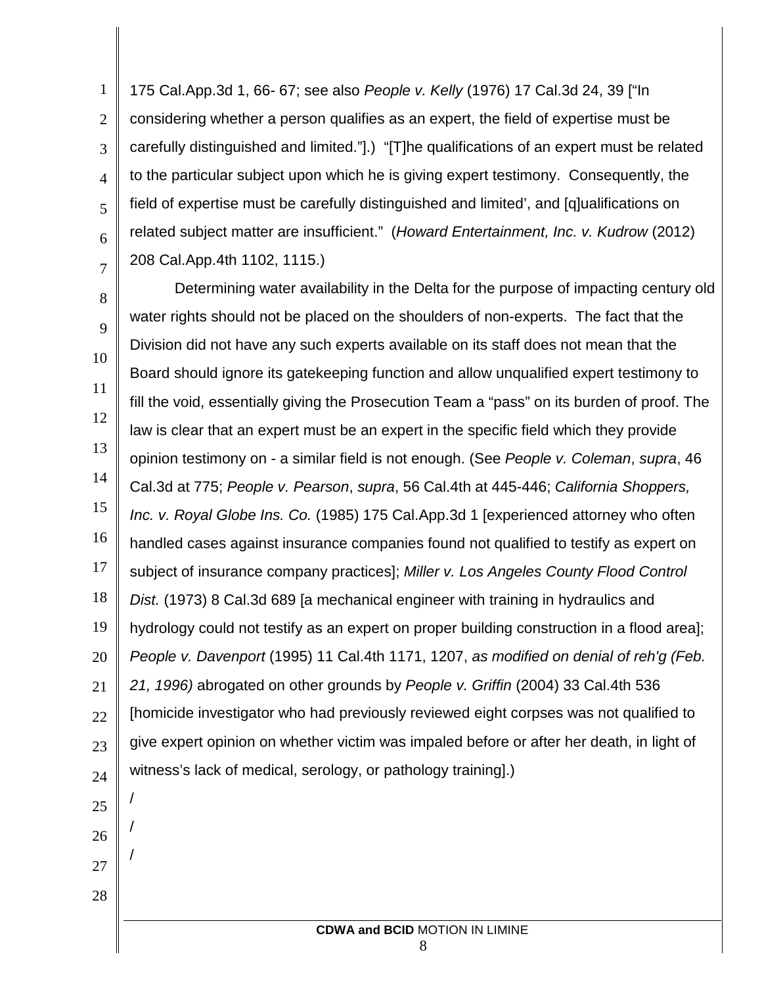1 2 3 4 5 6 7 175 Cal.App.3d 1, 66- 67; see also *People v. Kelly* (1976) 17 Cal.3d 24, 39 ["In considering whether a person qualifies as an expert, the field of expertise must be carefully distinguished and limited."].) "[T]he qualifications of an expert must be related to the particular subject upon which he is giving expert testimony. Consequently, the field of expertise must be carefully distinguished and limited', and [q]ualifications on related subject matter are insufficient." (*Howard Entertainment, Inc. v. Kudrow* (2012) 208 Cal.App.4th 1102, 1115.)

8 9 10 11 12 13 14 15 16 17 18 19 20 21 22 23 24 25 26 27 Determining water availability in the Delta for the purpose of impacting century old water rights should not be placed on the shoulders of non-experts. The fact that the Division did not have any such experts available on its staff does not mean that the Board should ignore its gatekeeping function and allow unqualified expert testimony to fill the void, essentially giving the Prosecution Team a "pass" on its burden of proof. The law is clear that an expert must be an expert in the specific field which they provide opinion testimony on - a similar field is not enough. (See *People v. Coleman*, *supra*, 46 Cal.3d at 775; *People v. Pearson*, *supra*, 56 Cal.4th at 445-446; *California Shoppers, Inc. v. Royal Globe Ins. Co.* (1985) 175 Cal.App.3d 1 [experienced attorney who often handled cases against insurance companies found not qualified to testify as expert on subject of insurance company practices]; *Miller v. Los Angeles County Flood Control Dist.* (1973) 8 Cal.3d 689 [a mechanical engineer with training in hydraulics and hydrology could not testify as an expert on proper building construction in a flood area]; *People v. Davenport* (1995) 11 Cal.4th 1171, 1207, *as modified on denial of reh'g (Feb. 21, 1996)* abrogated on other grounds by *People v. Griffin* (2004) 33 Cal.4th 536 [homicide investigator who had previously reviewed eight corpses was not qualified to give expert opinion on whether victim was impaled before or after her death, in light of witness's lack of medical, serology, or pathology training].) / / /

28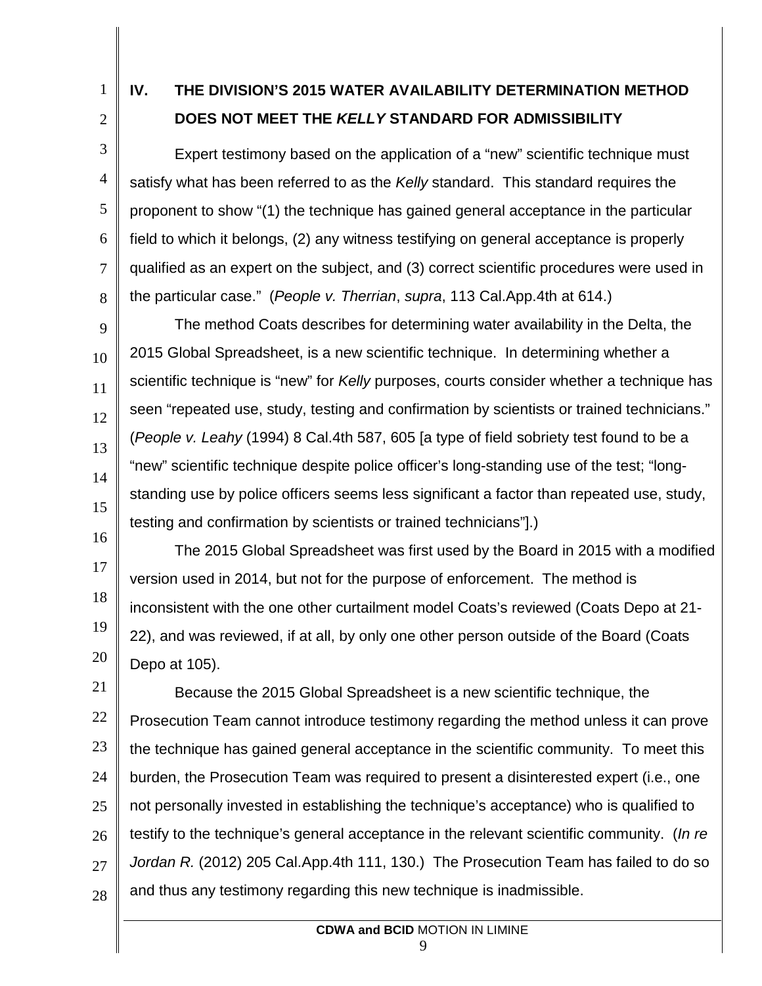1

2

4

5

6

7

8

# **IV. THE DIVISION'S 2015 WATER AVAILABILITY DETERMINATION METHOD DOES NOT MEET THE** *KELLY* **STANDARD FOR ADMISSIBILITY**

3 Expert testimony based on the application of a "new" scientific technique must satisfy what has been referred to as the *Kelly* standard. This standard requires the proponent to show "(1) the technique has gained general acceptance in the particular field to which it belongs, (2) any witness testifying on general acceptance is properly qualified as an expert on the subject, and (3) correct scientific procedures were used in the particular case." (*People v. Therrian*, *supra*, 113 Cal.App.4th at 614.)

9 10 11 12 13 14 15 The method Coats describes for determining water availability in the Delta, the 2015 Global Spreadsheet, is a new scientific technique. In determining whether a scientific technique is "new" for *Kelly* purposes, courts consider whether a technique has seen "repeated use, study, testing and confirmation by scientists or trained technicians." (*People v. Leahy* (1994) 8 Cal.4th 587, 605 [a type of field sobriety test found to be a "new" scientific technique despite police officer's long-standing use of the test; "longstanding use by police officers seems less significant a factor than repeated use, study, testing and confirmation by scientists or trained technicians"].)

16 17 18 19 20 The 2015 Global Spreadsheet was first used by the Board in 2015 with a modified version used in 2014, but not for the purpose of enforcement. The method is inconsistent with the one other curtailment model Coats's reviewed (Coats Depo at 21- 22), and was reviewed, if at all, by only one other person outside of the Board (Coats Depo at 105).

21 22 23 24 25 26 27 28 Because the 2015 Global Spreadsheet is a new scientific technique, the Prosecution Team cannot introduce testimony regarding the method unless it can prove the technique has gained general acceptance in the scientific community. To meet this burden, the Prosecution Team was required to present a disinterested expert (i.e., one not personally invested in establishing the technique's acceptance) who is qualified to testify to the technique's general acceptance in the relevant scientific community. (*In re Jordan R.* (2012) 205 Cal.App.4th 111, 130.) The Prosecution Team has failed to do so and thus any testimony regarding this new technique is inadmissible.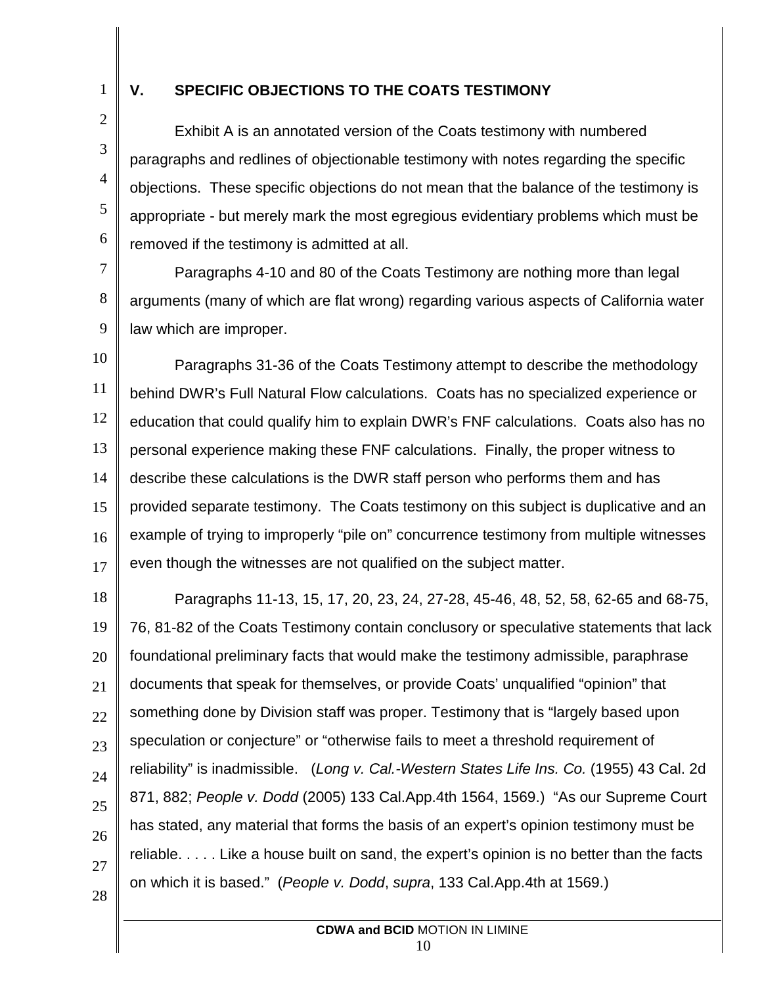1 2

3

4

5

6

## **V. SPECIFIC OBJECTIONS TO THE COATS TESTIMONY**

Exhibit A is an annotated version of the Coats testimony with numbered paragraphs and redlines of objectionable testimony with notes regarding the specific objections. These specific objections do not mean that the balance of the testimony is appropriate - but merely mark the most egregious evidentiary problems which must be removed if the testimony is admitted at all.

7 8 9 Paragraphs 4-10 and 80 of the Coats Testimony are nothing more than legal arguments (many of which are flat wrong) regarding various aspects of California water law which are improper.

10 11 12 13 14 15 16 17 Paragraphs 31-36 of the Coats Testimony attempt to describe the methodology behind DWR's Full Natural Flow calculations. Coats has no specialized experience or education that could qualify him to explain DWR's FNF calculations. Coats also has no personal experience making these FNF calculations. Finally, the proper witness to describe these calculations is the DWR staff person who performs them and has provided separate testimony. The Coats testimony on this subject is duplicative and an example of trying to improperly "pile on" concurrence testimony from multiple witnesses even though the witnesses are not qualified on the subject matter.

18 19 20 21 22 23 24 25 26 27 Paragraphs 11-13, 15, 17, 20, 23, 24, 27-28, 45-46, 48, 52, 58, 62-65 and 68-75, 76, 81-82 of the Coats Testimony contain conclusory or speculative statements that lack foundational preliminary facts that would make the testimony admissible, paraphrase documents that speak for themselves, or provide Coats' unqualified "opinion" that something done by Division staff was proper. Testimony that is "largely based upon speculation or conjecture" or "otherwise fails to meet a threshold requirement of reliability" is inadmissible. (*Long v. Cal.-Western States Life Ins. Co.* (1955) 43 Cal. 2d 871, 882; *People v. Dodd* (2005) 133 Cal.App.4th 1564, 1569.) "As our Supreme Court has stated, any material that forms the basis of an expert's opinion testimony must be reliable. . . . . Like a house built on sand, the expert's opinion is no better than the facts on which it is based." (*People v. Dodd*, *supra*, 133 Cal.App.4th at 1569.)

28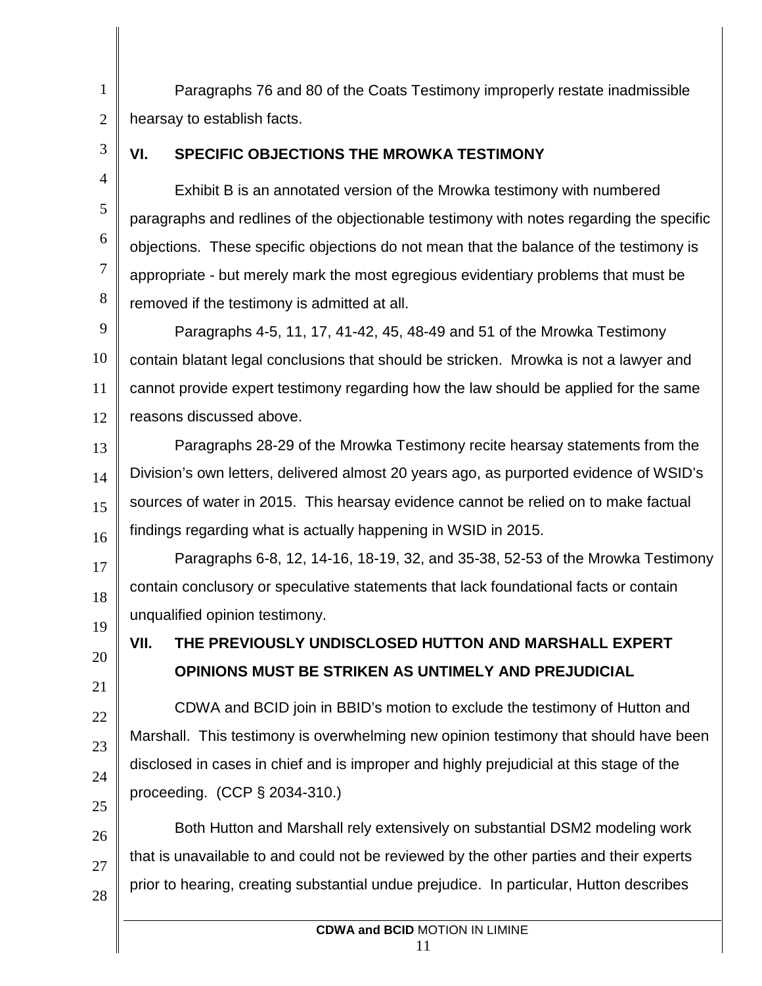Paragraphs 76 and 80 of the Coats Testimony improperly restate inadmissible hearsay to establish facts.

3

4

5

6

7

8

20

21

22

23

24

25

1

2

# **VI. SPECIFIC OBJECTIONS THE MROWKA TESTIMONY**

Exhibit B is an annotated version of the Mrowka testimony with numbered paragraphs and redlines of the objectionable testimony with notes regarding the specific objections. These specific objections do not mean that the balance of the testimony is appropriate - but merely mark the most egregious evidentiary problems that must be removed if the testimony is admitted at all.

9 10 11 12 Paragraphs 4-5, 11, 17, 41-42, 45, 48-49 and 51 of the Mrowka Testimony contain blatant legal conclusions that should be stricken. Mrowka is not a lawyer and cannot provide expert testimony regarding how the law should be applied for the same reasons discussed above.

13 14 15 16 Paragraphs 28-29 of the Mrowka Testimony recite hearsay statements from the Division's own letters, delivered almost 20 years ago, as purported evidence of WSID's sources of water in 2015. This hearsay evidence cannot be relied on to make factual findings regarding what is actually happening in WSID in 2015.

17 18 19 Paragraphs 6-8, 12, 14-16, 18-19, 32, and 35-38, 52-53 of the Mrowka Testimony contain conclusory or speculative statements that lack foundational facts or contain unqualified opinion testimony.

**VII. THE PREVIOUSLY UNDISCLOSED HUTTON AND MARSHALL EXPERT OPINIONS MUST BE STRIKEN AS UNTIMELY AND PREJUDICIAL**

CDWA and BCID join in BBID's motion to exclude the testimony of Hutton and Marshall. This testimony is overwhelming new opinion testimony that should have been disclosed in cases in chief and is improper and highly prejudicial at this stage of the proceeding. (CCP § 2034-310.)

26 27 28 Both Hutton and Marshall rely extensively on substantial DSM2 modeling work that is unavailable to and could not be reviewed by the other parties and their experts prior to hearing, creating substantial undue prejudice. In particular, Hutton describes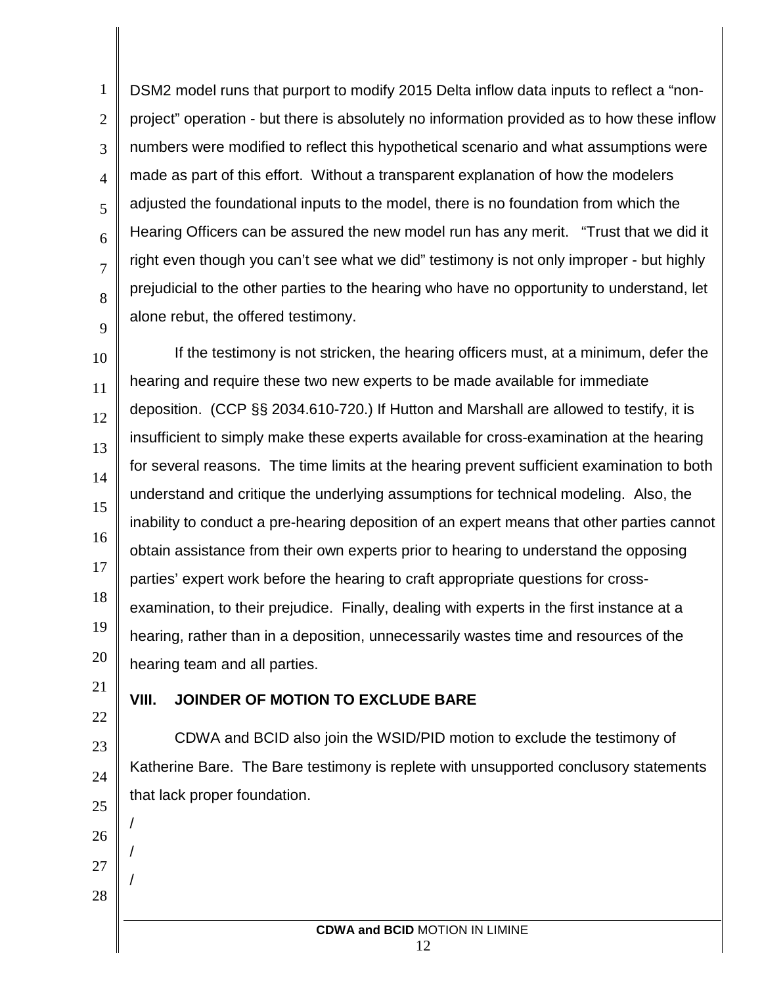1 2 3 4 5 6 7 8 9 DSM2 model runs that purport to modify 2015 Delta inflow data inputs to reflect a "nonproject" operation - but there is absolutely no information provided as to how these inflow numbers were modified to reflect this hypothetical scenario and what assumptions were made as part of this effort. Without a transparent explanation of how the modelers adjusted the foundational inputs to the model, there is no foundation from which the Hearing Officers can be assured the new model run has any merit. "Trust that we did it right even though you can't see what we did" testimony is not only improper - but highly prejudicial to the other parties to the hearing who have no opportunity to understand, let alone rebut, the offered testimony.

10 11 12 13 14 15 16 17 18 19 20 If the testimony is not stricken, the hearing officers must, at a minimum, defer the hearing and require these two new experts to be made available for immediate deposition. (CCP §§ 2034.610-720.) If Hutton and Marshall are allowed to testify, it is insufficient to simply make these experts available for cross-examination at the hearing for several reasons. The time limits at the hearing prevent sufficient examination to both understand and critique the underlying assumptions for technical modeling. Also, the inability to conduct a pre-hearing deposition of an expert means that other parties cannot obtain assistance from their own experts prior to hearing to understand the opposing parties' expert work before the hearing to craft appropriate questions for crossexamination, to their prejudice. Finally, dealing with experts in the first instance at a hearing, rather than in a deposition, unnecessarily wastes time and resources of the hearing team and all parties.

21 22

26

/

/

/

27

28

## **VIII. JOINDER OF MOTION TO EXCLUDE BARE**

23 24 25 CDWA and BCID also join the WSID/PID motion to exclude the testimony of Katherine Bare. The Bare testimony is replete with unsupported conclusory statements that lack proper foundation.

> **CDWA and BCID** MOTION IN LIMINE 12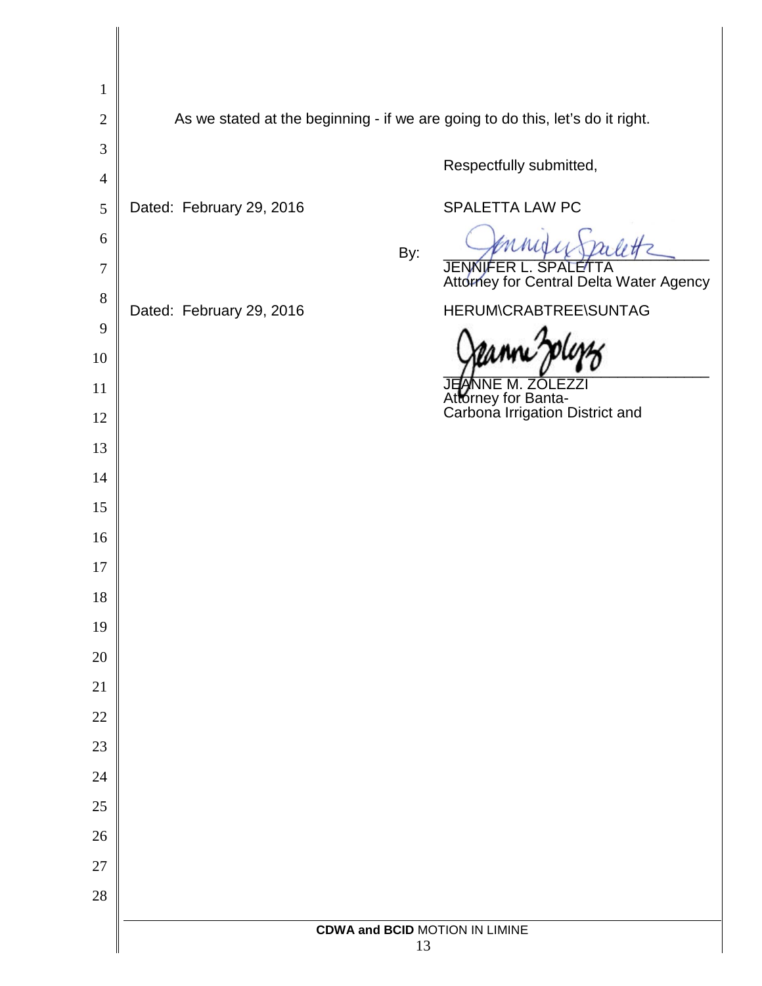| $\mathbf{1}$   |                                                                                |                                                                 |  |  |  |
|----------------|--------------------------------------------------------------------------------|-----------------------------------------------------------------|--|--|--|
| $\mathbf{2}$   | As we stated at the beginning - if we are going to do this, let's do it right. |                                                                 |  |  |  |
| $\mathfrak{Z}$ |                                                                                |                                                                 |  |  |  |
| $\overline{4}$ |                                                                                | Respectfully submitted,                                         |  |  |  |
| $\mathfrak{S}$ | Dated: February 29, 2016                                                       | SPALETTA LAW PC                                                 |  |  |  |
| 6              | By:                                                                            |                                                                 |  |  |  |
| $\tau$         |                                                                                | JENNIFER L. SPALETTA<br>Attorney for Central Delta Water Agency |  |  |  |
| 8              | Dated: February 29, 2016                                                       | HERUM\CRABTREE\SUNTAG                                           |  |  |  |
| 9              |                                                                                |                                                                 |  |  |  |
| 10             |                                                                                |                                                                 |  |  |  |
| 11             |                                                                                | Attorney for Banta-<br>Carbona Irrigation District and          |  |  |  |
| 12             |                                                                                |                                                                 |  |  |  |
| 13             |                                                                                |                                                                 |  |  |  |
| 14<br>15       |                                                                                |                                                                 |  |  |  |
| 16             |                                                                                |                                                                 |  |  |  |
| 17             |                                                                                |                                                                 |  |  |  |
| 18             |                                                                                |                                                                 |  |  |  |
| 19             |                                                                                |                                                                 |  |  |  |
| 20             |                                                                                |                                                                 |  |  |  |
| 21             |                                                                                |                                                                 |  |  |  |
| $22\,$         |                                                                                |                                                                 |  |  |  |
| 23             |                                                                                |                                                                 |  |  |  |
| 24             |                                                                                |                                                                 |  |  |  |
| $25\,$         |                                                                                |                                                                 |  |  |  |
| 26             |                                                                                |                                                                 |  |  |  |
| $27\,$         |                                                                                |                                                                 |  |  |  |
| $28\,$         |                                                                                |                                                                 |  |  |  |
|                | <b>CDWA and BCID MOTION IN LIMINE</b><br>13                                    |                                                                 |  |  |  |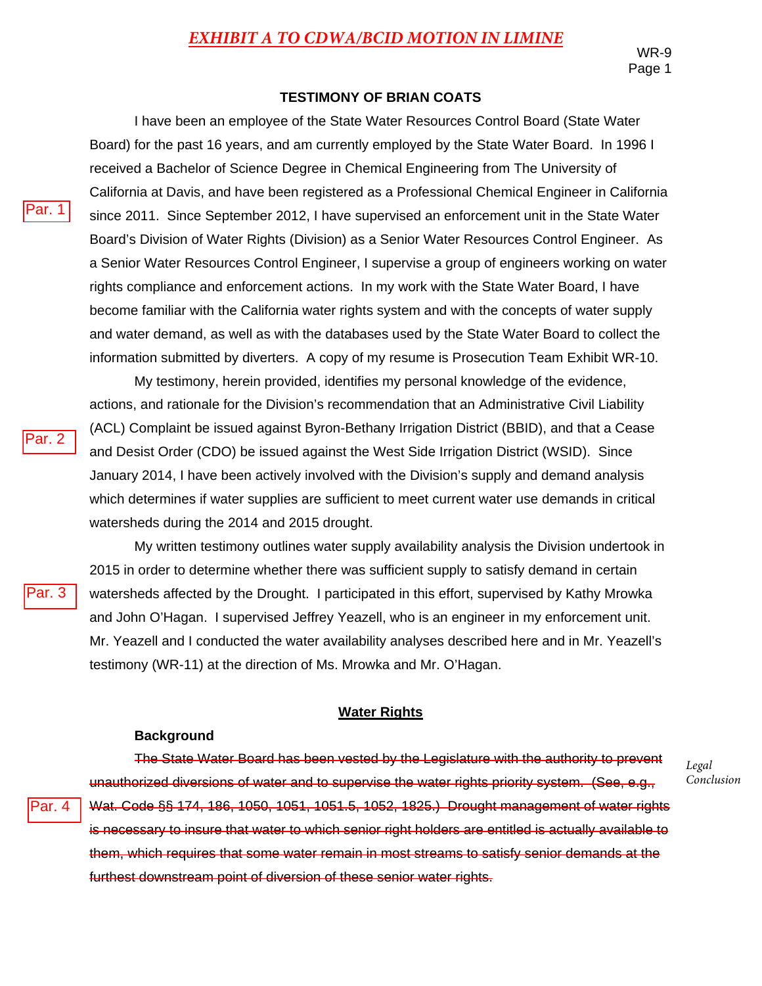*Legal Conclusion*

#### **TESTIMONY OF BRIAN COATS**

I have been an employee of the State Water Resources Control Board (State Water Board) for the past 16 years, and am currently employed by the State Water Board. In 1996 I received a Bachelor of Science Degree in Chemical Engineering from The University of California at Davis, and have been registered as a Professional Chemical Engineer in California since 2011. Since September 2012, I have supervised an enforcement unit in the State Water Board's Division of Water Rights (Division) as a Senior Water Resources Control Engineer. As a Senior Water Resources Control Engineer, I supervise a group of engineers working on water rights compliance and enforcement actions. In my work with the State Water Board, I have become familiar with the California water rights system and with the concepts of water supply and water demand, as well as with the databases used by the State Water Board to collect the information submitted by diverters. A copy of my resume is Prosecution Team Exhibit WR-10.

My testimony, herein provided, identifies my personal knowledge of the evidence, actions, and rationale for the Division's recommendation that an Administrative Civil Liability (ACL) Complaint be issued against Byron-Bethany Irrigation District (BBID), and that a Cease and Desist Order (CDO) be issued against the West Side Irrigation District (WSID). Since January 2014, I have been actively involved with the Division's supply and demand analysis which determines if water supplies are sufficient to meet current water use demands in critical watersheds during the 2014 and 2015 drought.

My written testimony outlines water supply availability analysis the Division undertook in 2015 in order to determine whether there was sufficient supply to satisfy demand in certain watersheds affected by the Drought. I participated in this effort, supervised by Kathy Mrowka and John O'Hagan. I supervised Jeffrey Yeazell, who is an engineer in my enforcement unit. Mr. Yeazell and I conducted the water availability analyses described here and in Mr. Yeazell's testimony (WR-11) at the direction of Ms. Mrowka and Mr. O'Hagan.

#### **Water Rights**

#### **Background**

The State Water Board has been vested by the Legislature with the authority to prevent unauthorized diversions of water and to supervise the water rights priority system. (See, e.g., Wat. Code §§ 174, 186, 1050, 1051, 1051.5, 1052, 1825.) Drought management of water rights is necessary to insure that water to which senior right holders are entitled is actually available to them, which requires that some water remain in most streams to satisfy senior demands at the furthest downstream point of diversion of these senior water rights.

Par. 2

Par. 1

Par. 3

Par. 4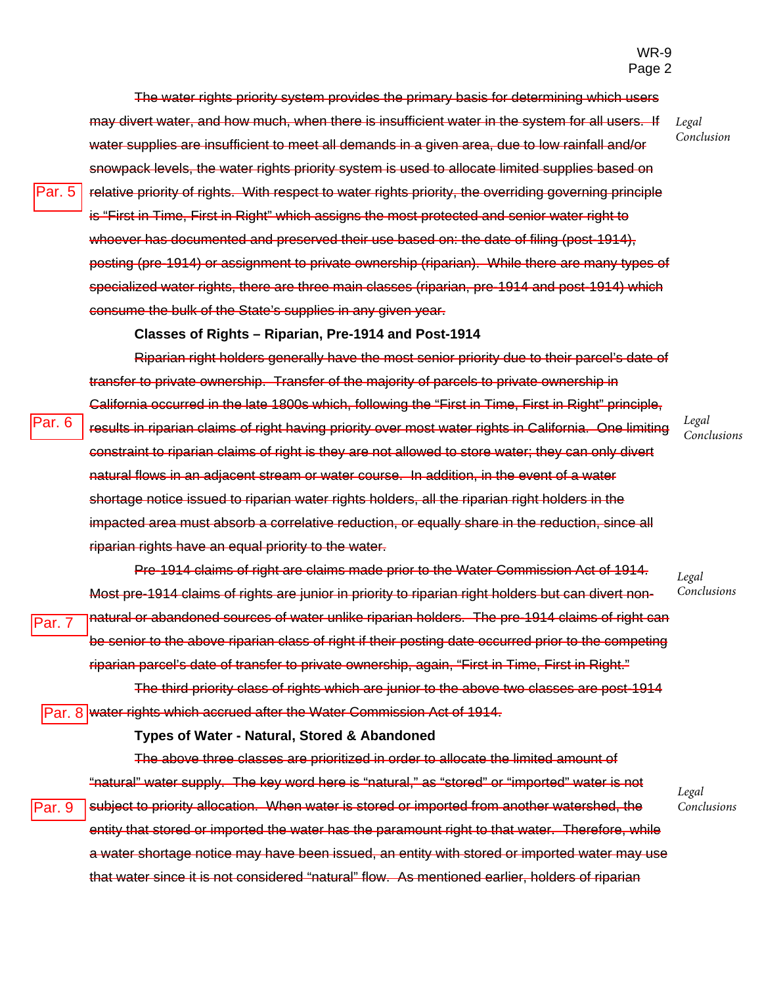*Legal Conclusion*

The water rights priority system provides the primary basis for determining which users may divert water, and how much, when there is insufficient water in the system for all users. If water supplies are insufficient to meet all demands in a given area, due to low rainfall and/or snowpack levels, the water rights priority system is used to allocate limited supplies based on relative priority of rights. With respect to water rights priority, the overriding governing principle is "First in Time, First in Right" which assigns the most protected and senior water right to whoever has documented and preserved their use based on: the date of filing (post-1914), posting (pre-1914) or assignment to private ownership (riparian). While there are many types of specialized water rights, there are three main classes (riparian, pre-1914 and post-1914) which consume the bulk of the State's supplies in any given year.

**Classes of Rights – Riparian, Pre-1914 and Post-1914** 

Riparian right holders generally have the most senior priority due to their parcel's date of transfer to private ownership. Transfer of the majority of parcels to private ownership in California occurred in the late 1800s which, following the "First in Time, First in Right" principle, results in riparian claims of right having priority over most water rights in California. One limiting constraint to riparian claims of right is they are not allowed to store water; they can only divert natural flows in an adjacent stream or water course. In addition, in the event of a water shortage notice issued to riparian water rights holders, all the riparian right holders in the impacted area must absorb a correlative reduction, or equally share in the reduction, since all riparian rights have an equal priority to the water.

> *Legal Conclusions*

*Legal Conclusions*

Pre-1914 claims of right are claims made prior to the Water Commission Act of 1914. Most pre-1914 claims of rights are junior in priority to riparian right holders but can divert nonnatural or abandoned sources of water unlike riparian holders. The pre-1914 claims of right can be senior to the above riparian class of right if their posting date occurred prior to the competing riparian parcel's date of transfer to private ownership, again, "First in Time, First in Right."

The third priority class of rights which are junior to the above two classes are post-1914 Par. 8 water rights which accrued after the Water Commission Act of 1914.

#### **Types of Water - Natural, Stored & Abandoned**

The above three classes are prioritized in order to allocate the limited amount of "natural" water supply. The key word here is "natural," as "stored" or "imported" water is not subject to priority allocation. When water is stored or imported from another watershed, the entity that stored or imported the water has the paramount right to that water. Therefore, while a water shortage notice may have been issued, an entity with stored or imported water may use Par. 9

that water since it is not considered "natural" flow. As mentioned earlier, holders of riparian

*Legal Conclusions*

Par. 6

Par. 7

Par. 5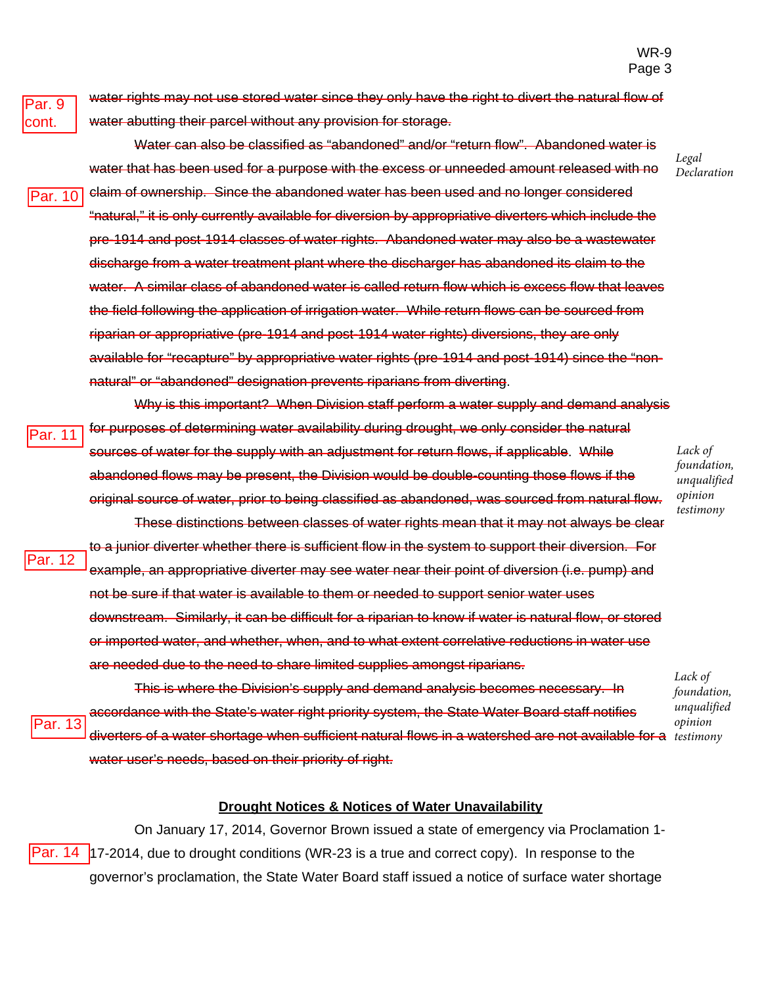*Legal Declaration*

Par. 9 cont.

Par. 13

water rights may not use stored water since they only have the right to divert the natural flow of water abutting their parcel without any provision for storage.

- Water can also be classified as "abandoned" and/or "return flow". Abandoned water is water that has been used for a purpose with the excess or unneeded amount released with no claim of ownership. Since the abandoned water has been used and no longer considered "natural," it is only currently available for diversion by appropriative diverters which include the pre-1914 and post-1914 classes of water rights. Abandoned water may also be a wastewater discharge from a water treatment plant where the discharger has abandoned its claim to the water. A similar class of abandoned water is called return flow which is excess flow that leaves the field following the application of irrigation water. While return flows can be sourced from riparian or appropriative (pre-1914 and post-1914 water rights) diversions, they are only available for "recapture" by appropriative water rights (pre-1914 and post-1914) since the "nonnatural" or "abandoned" designation prevents riparians from diverting. Par. 10
- Why is this important? When Division staff perform a water supply and demand analysis for purposes of determining water availability during drought, we only consider the natural sources of water for the supply with an adjustment for return flows, if applicable. While abandoned flows may be present, the Division would be double-counting those flows if the original source of water, prior to being classified as abandoned, was sourced from natural flow. Par. 11
- These distinctions between classes of water rights mean that it may not always be clear to a junior diverter whether there is sufficient flow in the system to support their diversion. For example, an appropriative diverter may see water near their point of diversion (i.e. pump) and not be sure if that water is available to them or needed to support senior water uses downstream. Similarly, it can be difficult for a riparian to know if water is natural flow, or stored or imported water, and whether, when, and to what extent correlative reductions in water use are needed due to the need to share limited supplies amongst riparians. Par. 12

This is where the Division's supply and demand analysis becomes necessary. In accordance with the State's water right priority system, the State Water Board staff notifies diverters of a water shortage when sufficient natural flows in a watershed are not available for a *testimony* water user's needs, based on their priority of right.

*Lack of foundation, unqualified opinion* 

#### **Drought Notices & Notices of Water Unavailability**

On January 17, 2014, Governor Brown issued a state of emergency via Proclamation 1- Par. 14  $\vert$ 17-2014, due to drought conditions (WR-23 is a true and correct copy). In response to the governor's proclamation, the State Water Board staff issued a notice of surface water shortage

*Lack of foundation, unqualified opinion testimony*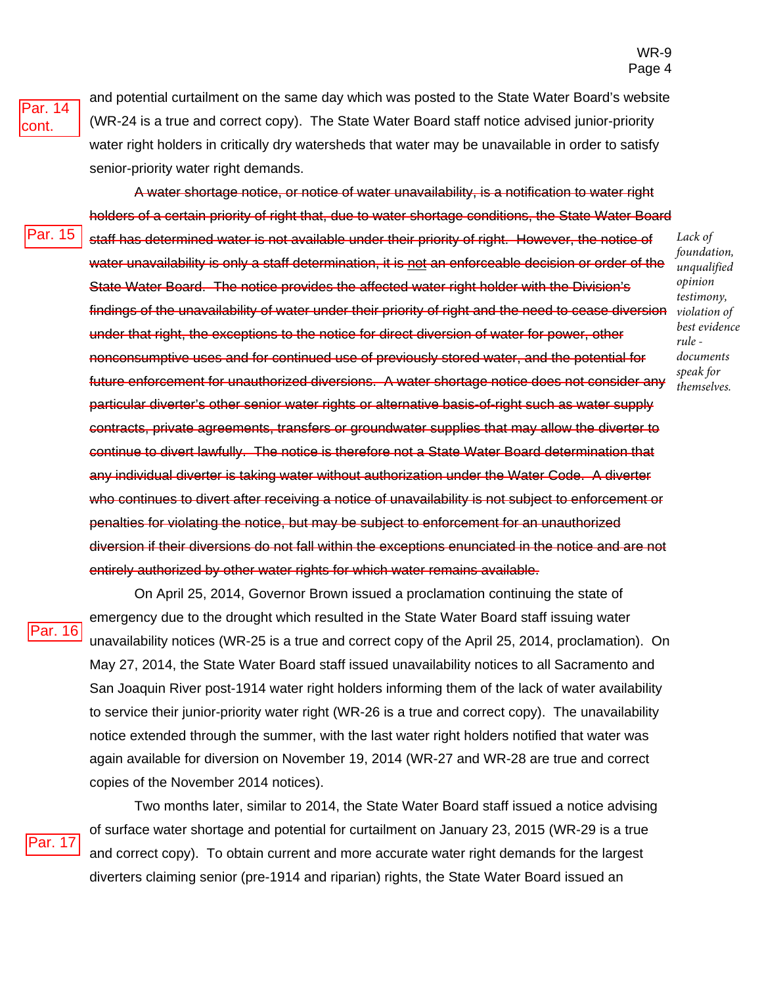Par. 14 cont.

and potential curtailment on the same day which was posted to the State Water Board's website (WR-24 is a true and correct copy). The State Water Board staff notice advised junior-priority water right holders in critically dry watersheds that water may be unavailable in order to satisfy senior-priority water right demands.

A water shortage notice, or notice of water unavailability, is a notification to water right holders of a certain priority of right that, due to water shortage conditions, the State Water Board staff has determined water is not available under their priority of right. However, the notice of water unavailability is only a staff determination, it is not an enforceable decision or order of the State Water Board. The notice provides the affected water right holder with the Division's findings of the unavailability of water under their priority of right and the need to cease diversion under that right, the exceptions to the notice for direct diversion of water for power, other nonconsumptive uses and for continued use of previously stored water, and the potential for future enforcement for unauthorized diversions. A water shortage notice does not consider any particular diverter's other senior water rights or alternative basis-of-right such as water supply contracts, private agreements, transfers or groundwater supplies that may allow the diverter to continue to divert lawfully. The notice is therefore not a State Water Board determination that any individual diverter is taking water without authorization under the Water Code. A diverter who continues to divert after receiving a notice of unavailability is not subject to enforcement or penalties for violating the notice, but may be subject to enforcement for an unauthorized diversion if their diversions do not fall within the exceptions enunciated in the notice and are not entirely authorized by other water rights for which water remains available. Par. 15

Par. 16

On April 25, 2014, Governor Brown issued a proclamation continuing the state of emergency due to the drought which resulted in the State Water Board staff issuing water unavailability notices (WR-25 is a true and correct copy of the April 25, 2014, proclamation). On May 27, 2014, the State Water Board staff issued unavailability notices to all Sacramento and San Joaquin River post-1914 water right holders informing them of the lack of water availability to service their junior-priority water right (WR-26 is a true and correct copy). The unavailability notice extended through the summer, with the last water right holders notified that water was again available for diversion on November 19, 2014 (WR-27 and WR-28 are true and correct copies of the November 2014 notices).

Par. 17

Two months later, similar to 2014, the State Water Board staff issued a notice advising of surface water shortage and potential for curtailment on January 23, 2015 (WR-29 is a true and correct copy). To obtain current and more accurate water right demands for the largest diverters claiming senior (pre-1914 and riparian) rights, the State Water Board issued an

*Lack of foundation, unqualified opinion testimony, violation of best evidence rule documents speak for themselves.*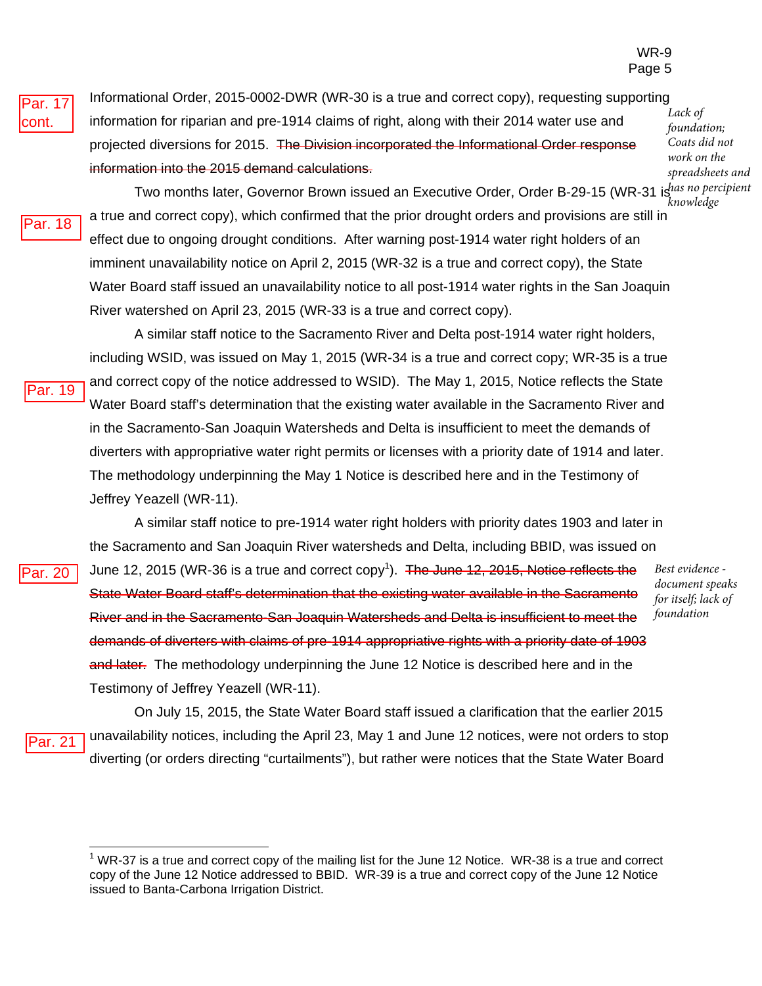Par. 17 cont.

Informational Order, 2015-0002-DWR (WR-30 is a true and correct copy), requesting supporting information for riparian and pre-1914 claims of right, along with their 2014 water use and projected diversions for 2015. The Division incorporated the Informational Order response information into the 2015 demand calculations.

*Lack of foundation; Coats did not work on the spreadsheets and* 

Par. 18

Par. 19

Par. 20

Two months later, Governor Brown issued an Executive Order, Order B-29-15 (WR-31 is<sup>has no percipient</sup> a true and correct copy), which confirmed that the prior drought orders and provisions are still in effect due to ongoing drought conditions. After warning post-1914 water right holders of an imminent unavailability notice on April 2, 2015 (WR-32 is a true and correct copy), the State Water Board staff issued an unavailability notice to all post-1914 water rights in the San Joaquin River watershed on April 23, 2015 (WR-33 is a true and correct copy). *knowledge* 

A similar staff notice to the Sacramento River and Delta post-1914 water right holders, including WSID, was issued on May 1, 2015 (WR-34 is a true and correct copy; WR-35 is a true and correct copy of the notice addressed to WSID). The May 1, 2015, Notice reflects the State Water Board staff's determination that the existing water available in the Sacramento River and in the Sacramento-San Joaquin Watersheds and Delta is insufficient to meet the demands of diverters with appropriative water right permits or licenses with a priority date of 1914 and later. The methodology underpinning the May 1 Notice is described here and in the Testimony of Jeffrey Yeazell (WR-11).

A similar staff notice to pre-1914 water right holders with priority dates 1903 and later in the Sacramento and San Joaquin River watersheds and Delta, including BBID, was issued on June 12, 2015 (WR-36 is a true and correct copy<sup>1</sup>). The June 12, 2015, Notice reflects the State Water Board staff's determination that the existing water available in the Sacramento River and in the Sacramento-San Joaquin Watersheds and Delta is insufficient to meet the demands of diverters with claims of pre-1914 appropriative rights with a priority date of 1903 and later. The methodology underpinning the June 12 Notice is described here and in the Testimony of Jeffrey Yeazell (WR-11).

*Best evidence document speaks for itself; lack of foundation*

On July 15, 2015, the State Water Board staff issued a clarification that the earlier 2015 unavailability notices, including the April 23, May 1 and June 12 notices, were not orders to stop diverting (or orders directing "curtailments"), but rather were notices that the State Water Board Par. 21

 $1$  WR-37 is a true and correct copy of the mailing list for the June 12 Notice. WR-38 is a true and correct copy of the June 12 Notice addressed to BBID. WR-39 is a true and correct copy of the June 12 Notice issued to Banta-Carbona Irrigation District.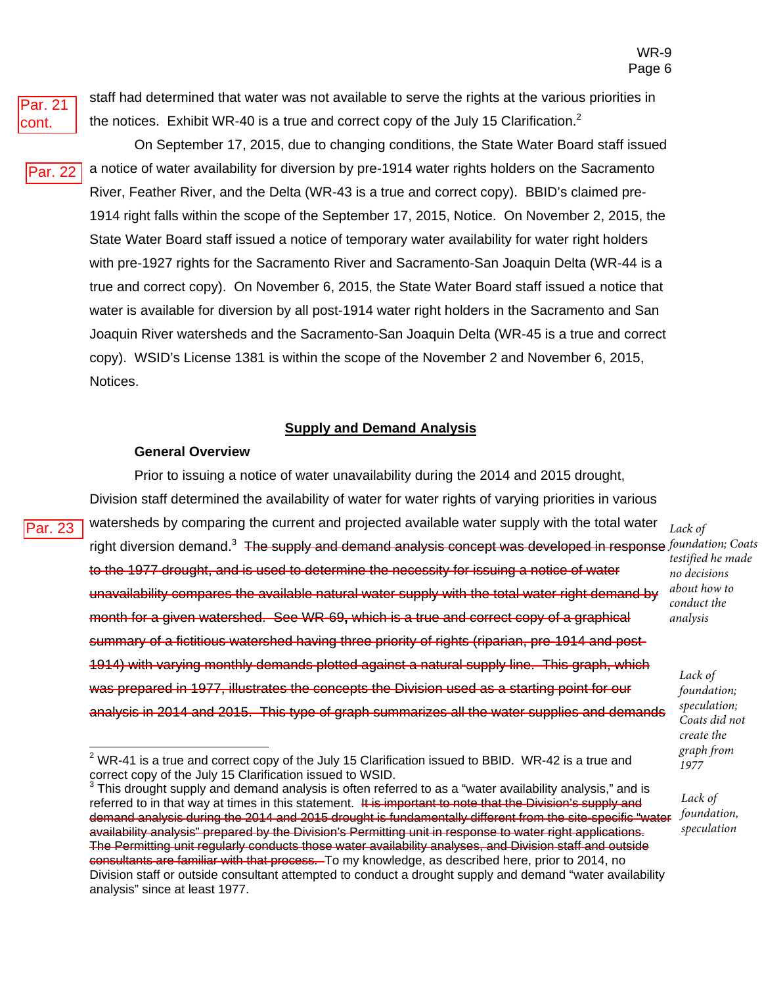

Par. 23

staff had determined that water was not available to serve the rights at the various priorities in the notices. Exhibit WR-40 is a true and correct copy of the July 15 Clarification.<sup>2</sup>

On September 17, 2015, due to changing conditions, the State Water Board staff issued a notice of water availability for diversion by pre-1914 water rights holders on the Sacramento River, Feather River, and the Delta (WR-43 is a true and correct copy). BBID's claimed pre-1914 right falls within the scope of the September 17, 2015, Notice. On November 2, 2015, the State Water Board staff issued a notice of temporary water availability for water right holders with pre-1927 rights for the Sacramento River and Sacramento-San Joaquin Delta (WR-44 is a true and correct copy). On November 6, 2015, the State Water Board staff issued a notice that water is available for diversion by all post-1914 water right holders in the Sacramento and San Joaquin River watersheds and the Sacramento-San Joaquin Delta (WR-45 is a true and correct copy). WSID's License 1381 is within the scope of the November 2 and November 6, 2015, Notices. Par. 22

#### **Supply and Demand Analysis**

#### **General Overview**

Prior to issuing a notice of water unavailability during the 2014 and 2015 drought, Division staff determined the availability of water for water rights of varying priorities in various watersheds by comparing the current and projected available water supply with the total water right diversion demand.<sup>3</sup> The supply and demand analysis concept was developed in response *foundation; Coats* to the 1977 drought, and is used to determine the necessity for issuing a notice of water unavailability compares the available natural water supply with the total water right demand by month for a given watershed. See WR-69**,** which is a true and correct copy of a graphical summary of a fictitious watershed having three priority of rights (riparian, pre-1914 and post-1914) with varying monthly demands plotted against a natural supply line. This graph, which was prepared in 1977, illustrates the concepts the Division used as a starting point for our analysis in 2014 and 2015. This type of graph summarizes all the water supplies and demands

*Lack of testified he made no decisions about how to conduct the analysis*

*Lack of foundation; speculation; Coats did not create the graph from 1977*

*Lack of foundation, speculation*

 $2$  WR-41 is a true and correct copy of the July 15 Clarification issued to BBID. WR-42 is a true and correct copy of the July 15 Clarification issued to WSID.

 $^3$  This drought supply and demand analysis is often referred to as a "water availability analysis," and is referred to in that way at times in this statement. It is important to note that the Division's supply and demand analysis during the 2014 and 2015 drought is fundamentally different from the site-specific "water availability analysis" prepared by the Division's Permitting unit in response to water right applications. The Permitting unit regularly conducts those water availability analyses, and Division staff and outside consultants are familiar with that process. To my knowledge, as described here, prior to 2014, no Division staff or outside consultant attempted to conduct a drought supply and demand "water availability analysis" since at least 1977.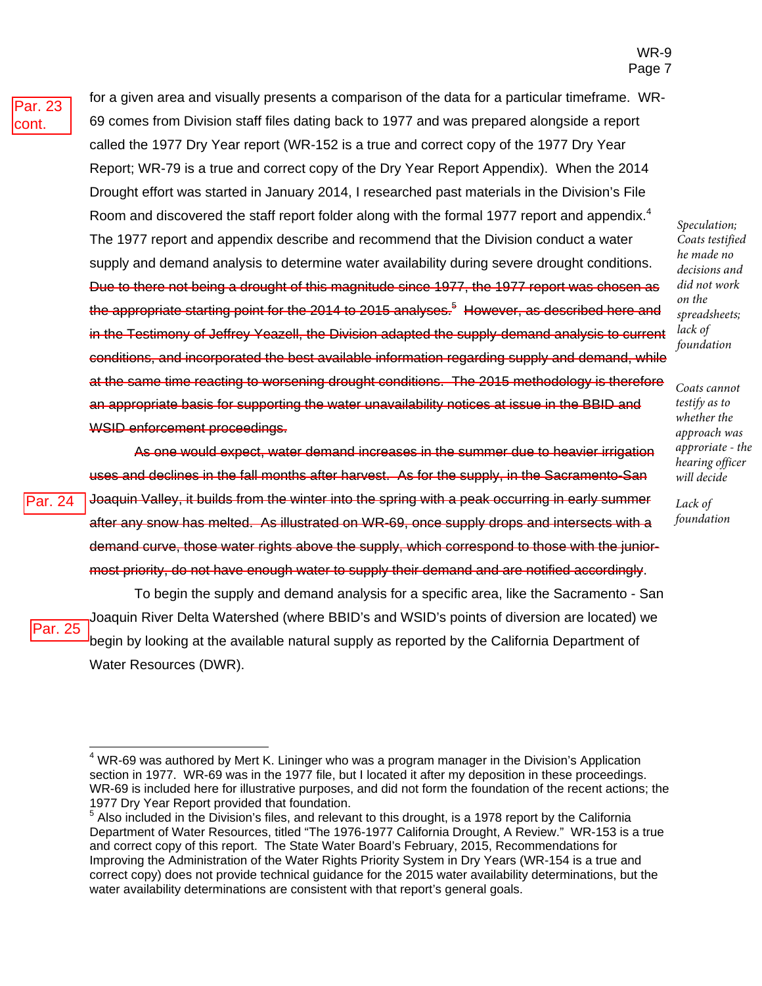for a given area and visually presents a comparison of the data for a particular timeframe. WR-69 comes from Division staff files dating back to 1977 and was prepared alongside a report called the 1977 Dry Year report (WR-152 is a true and correct copy of the 1977 Dry Year Report; WR-79 is a true and correct copy of the Dry Year Report Appendix). When the 2014 Drought effort was started in January 2014, I researched past materials in the Division's File Room and discovered the staff report folder along with the formal 1977 report and appendix.<sup>4</sup> The 1977 report and appendix describe and recommend that the Division conduct a water supply and demand analysis to determine water availability during severe drought conditions. Due to there not being a drought of this magnitude since 1977, the 1977 report was chosen as the appropriate starting point for the 2014 to 2015 analyses.<sup>5</sup> However, as described here and in the Testimony of Jeffrey Yeazell, the Division adapted the supply-demand analysis to current conditions, and incorporated the best available information regarding supply and demand, while at the same time reacting to worsening drought conditions. The 2015 methodology is therefore an appropriate basis for supporting the water unavailability notices at issue in the BBID and WSID enforcement proceedings.

Par. 24

Par. 25

As one would expect, water demand increases in the summer due to heavier irrigation uses and declines in the fall months after harvest. As for the supply, in the Sacramento-San Joaquin Valley, it builds from the winter into the spring with a peak occurring in early summer after any snow has melted. As illustrated on WR-69, once supply drops and intersects with a demand curve, those water rights above the supply, which correspond to those with the juniormost priority, do not have enough water to supply their demand and are notified accordingly.

To begin the supply and demand analysis for a specific area, like the Sacramento - San Joaquin River Delta Watershed (where BBID's and WSID's points of diversion are located) we begin by looking at the available natural supply as reported by the California Department of Water Resources (DWR).

*Speculation; Coats testified he made no decisions and did not work on the spreadsheets; lack of foundation* 

*Coats cannot testify as to whether the approach was approriate - the hearing officer will decide*

*Lack of foundation*

<sup>&</sup>lt;sup>4</sup> WR-69 was authored by Mert K. Lininger who was a program manager in the Division's Application section in 1977. WR-69 was in the 1977 file, but I located it after my deposition in these proceedings. WR-69 is included here for illustrative purposes, and did not form the foundation of the recent actions; the 1977 Dry Year Report provided that foundation.

 $<sup>5</sup>$  Also included in the Division's files, and relevant to this drought, is a 1978 report by the California</sup> Department of Water Resources, titled "The 1976-1977 California Drought, A Review." WR-153 is a true and correct copy of this report. The State Water Board's February, 2015, Recommendations for Improving the Administration of the Water Rights Priority System in Dry Years (WR-154 is a true and correct copy) does not provide technical guidance for the 2015 water availability determinations, but the water availability determinations are consistent with that report's general goals.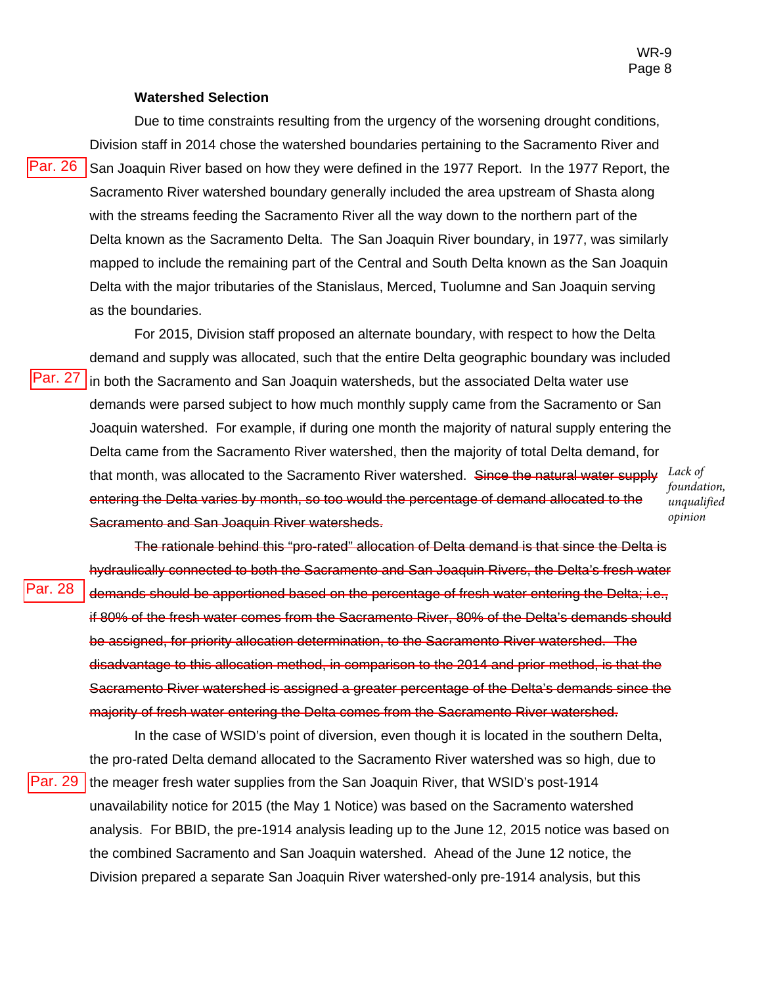#### **Watershed Selection**

Par. 27

Par. 28

Due to time constraints resulting from the urgency of the worsening drought conditions, Division staff in 2014 chose the watershed boundaries pertaining to the Sacramento River and San Joaquin River based on how they were defined in the 1977 Report. In the 1977 Report, the Sacramento River watershed boundary generally included the area upstream of Shasta along with the streams feeding the Sacramento River all the way down to the northern part of the Delta known as the Sacramento Delta. The San Joaquin River boundary, in 1977, was similarly mapped to include the remaining part of the Central and South Delta known as the San Joaquin Delta with the major tributaries of the Stanislaus, Merced, Tuolumne and San Joaquin serving as the boundaries. Par. 26

For 2015, Division staff proposed an alternate boundary, with respect to how the Delta demand and supply was allocated, such that the entire Delta geographic boundary was included in both the Sacramento and San Joaquin watersheds, but the associated Delta water use demands were parsed subject to how much monthly supply came from the Sacramento or San Joaquin watershed. For example, if during one month the majority of natural supply entering the Delta came from the Sacramento River watershed, then the majority of total Delta demand, for that month, was allocated to the Sacramento River watershed. Since the natural water supply entering the Delta varies by month, so too would the percentage of demand allocated to the Sacramento and San Joaquin River watersheds.

*Lack of foundation, unqualified opinion*

The rationale behind this "pro-rated" allocation of Delta demand is that since the Delta is hydraulically connected to both the Sacramento and San Joaquin Rivers, the Delta's fresh water demands should be apportioned based on the percentage of fresh water entering the Delta; i.e., if 80% of the fresh water comes from the Sacramento River, 80% of the Delta's demands should be assigned, for priority allocation determination, to the Sacramento River watershed. The disadvantage to this allocation method, in comparison to the 2014 and prior method, is that the Sacramento River watershed is assigned a greater percentage of the Delta's demands since the majority of fresh water entering the Delta comes from the Sacramento River watershed.

In the case of WSID's point of diversion, even though it is located in the southern Delta, the pro-rated Delta demand allocated to the Sacramento River watershed was so high, due to the meager fresh water supplies from the San Joaquin River, that WSID's post-1914 unavailability notice for 2015 (the May 1 Notice) was based on the Sacramento watershed analysis. For BBID, the pre-1914 analysis leading up to the June 12, 2015 notice was based on the combined Sacramento and San Joaquin watershed. Ahead of the June 12 notice, the Division prepared a separate San Joaquin River watershed-only pre-1914 analysis, but this Par. 29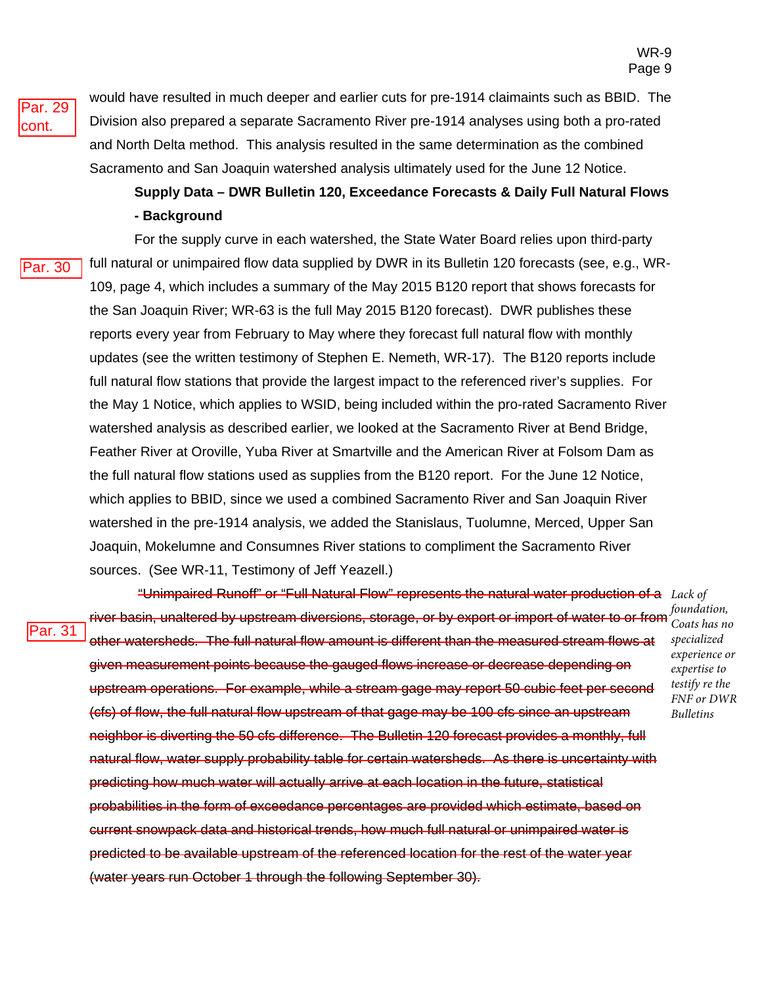*Coats has no specialized experience or expertise to testify re the FNF or DWR Bulletins*

Par. 29 cont.

would have resulted in much deeper and earlier cuts for pre-1914 claimaints such as BBID. The Division also prepared a separate Sacramento River pre-1914 analyses using both a pro-rated and North Delta method. This analysis resulted in the same determination as the combined Sacramento and San Joaquin watershed analysis ultimately used for the June 12 Notice.

# **Supply Data – DWR Bulletin 120, Exceedance Forecasts & Daily Full Natural Flows - Background**

Par. 30

For the supply curve in each watershed, the State Water Board relies upon third-party full natural or unimpaired flow data supplied by DWR in its Bulletin 120 forecasts (see, e.g., WR-109, page 4, which includes a summary of the May 2015 B120 report that shows forecasts for the San Joaquin River; WR-63 is the full May 2015 B120 forecast). DWR publishes these reports every year from February to May where they forecast full natural flow with monthly updates (see the written testimony of Stephen E. Nemeth, WR-17). The B120 reports include full natural flow stations that provide the largest impact to the referenced river's supplies. For the May 1 Notice, which applies to WSID, being included within the pro-rated Sacramento River watershed analysis as described earlier, we looked at the Sacramento River at Bend Bridge, Feather River at Oroville, Yuba River at Smartville and the American River at Folsom Dam as the full natural flow stations used as supplies from the B120 report. For the June 12 Notice, which applies to BBID, since we used a combined Sacramento River and San Joaquin River watershed in the pre-1914 analysis, we added the Stanislaus, Tuolumne, Merced, Upper San Joaquin, Mokelumne and Consumnes River stations to compliment the Sacramento River sources. (See WR-11, Testimony of Jeff Yeazell.)

Par. 31

 "Unimpaired Runoff" or "Full Natural Flow" represents the natural water production of a *Lack of*  river basin, unaltered by upstream diversions, storage, or by export or import of water to or from *foundation,*  other watersheds. The full natural flow amount is different than the measured stream flows at given measurement points because the gauged flows increase or decrease depending on upstream operations. For example, while a stream gage may report 50 cubic feet per second (cfs) of flow, the full natural flow upstream of that gage may be 100 cfs since an upstream neighbor is diverting the 50 cfs difference. The Bulletin 120 forecast provides a monthly, full natural flow, water supply probability table for certain watersheds. As there is uncertainty with predicting how much water will actually arrive at each location in the future, statistical probabilities in the form of exceedance percentages are provided which estimate, based on current snowpack data and historical trends, how much full natural or unimpaired water is predicted to be available upstream of the referenced location for the rest of the water year (water years run October 1 through the following September 30).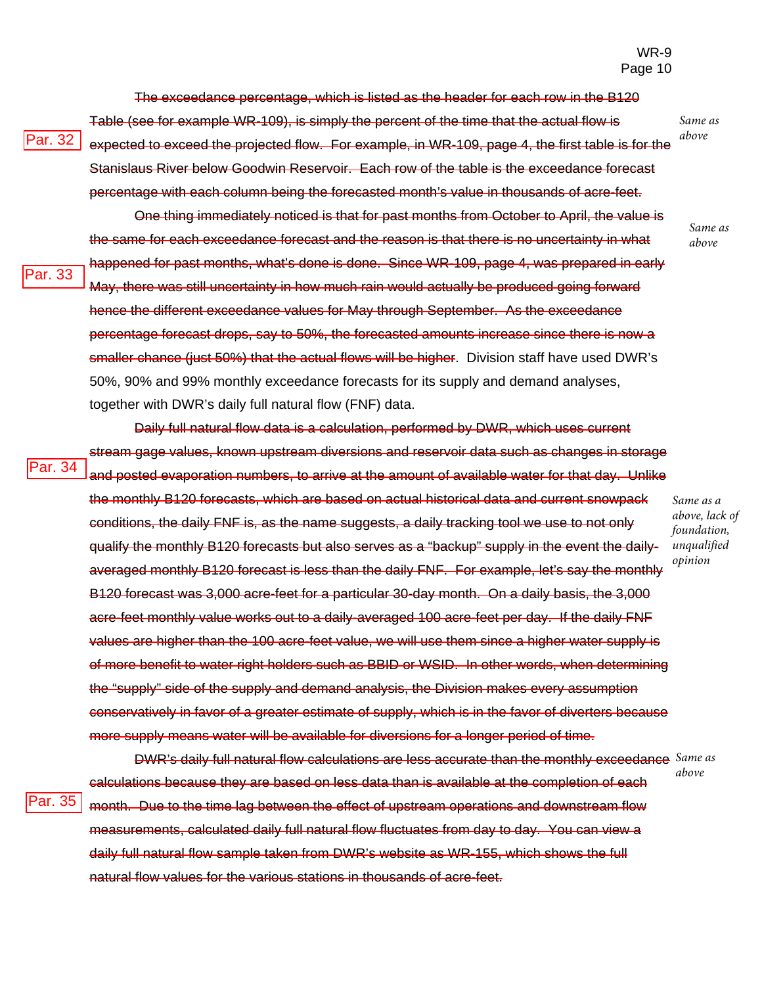*Same as above*

> *Same as above*

The exceedance percentage, which is listed as the header for each row in the B120

Par. 32

Par. 33

Par. 34

Par. 35

Table (see for example WR-109), is simply the percent of the time that the actual flow is expected to exceed the projected flow. For example, in WR-109, page 4, the first table is for the Stanislaus River below Goodwin Reservoir. Each row of the table is the exceedance forecast percentage with each column being the forecasted month's value in thousands of acre-feet.

One thing immediately noticed is that for past months from October to April, the value is the same for each exceedance forecast and the reason is that there is no uncertainty in what happened for past months, what's done is done. Since WR-109, page 4, was prepared in early May, there was still uncertainty in how much rain would actually be produced going forward hence the different exceedance values for May through September. As the exceedance percentage forecast drops, say to 50%, the forecasted amounts increase since there is now a smaller chance (just 50%) that the actual flows will be higher. Division staff have used DWR's 50%, 90% and 99% monthly exceedance forecasts for its supply and demand analyses, together with DWR's daily full natural flow (FNF) data.

Daily full natural flow data is a calculation, performed by DWR, which uses current stream gage values, known upstream diversions and reservoir data such as changes in storage and posted evaporation numbers, to arrive at the amount of available water for that day. Unlike the monthly B120 forecasts, which are based on actual historical data and current snowpack conditions, the daily FNF is, as the name suggests, a daily tracking tool we use to not only qualify the monthly B120 forecasts but also serves as a "backup" supply in the event the dailyaveraged monthly B120 forecast is less than the daily FNF. For example, let's say the monthly B120 forecast was 3,000 acre-feet for a particular 30-day month. On a daily basis, the 3,000 acre-feet monthly value works out to a daily-averaged 100 acre-feet per day. If the daily FNF values are higher than the 100 acre-feet value, we will use them since a higher water supply is of more benefit to water right holders such as BBID or WSID. In other words, when determining the "supply" side of the supply and demand analysis, the Division makes every assumption conservatively in favor of a greater estimate of supply, which is in the favor of diverters because more supply means water will be available for diversions for a longer period of time.

*Same as a above, lack of foundation, unqualified opinion*

*above*

DWR's daily full natural flow calculations are less accurate than the monthly exceedance *Same as*  calculations because they are based on less data than is available at the completion of each month. Due to the time lag between the effect of upstream operations and downstream flow measurements, calculated daily full natural flow fluctuates from day to day. You can view a daily full natural flow sample taken from DWR's website as WR-155, which shows the full natural flow values for the various stations in thousands of acre-feet.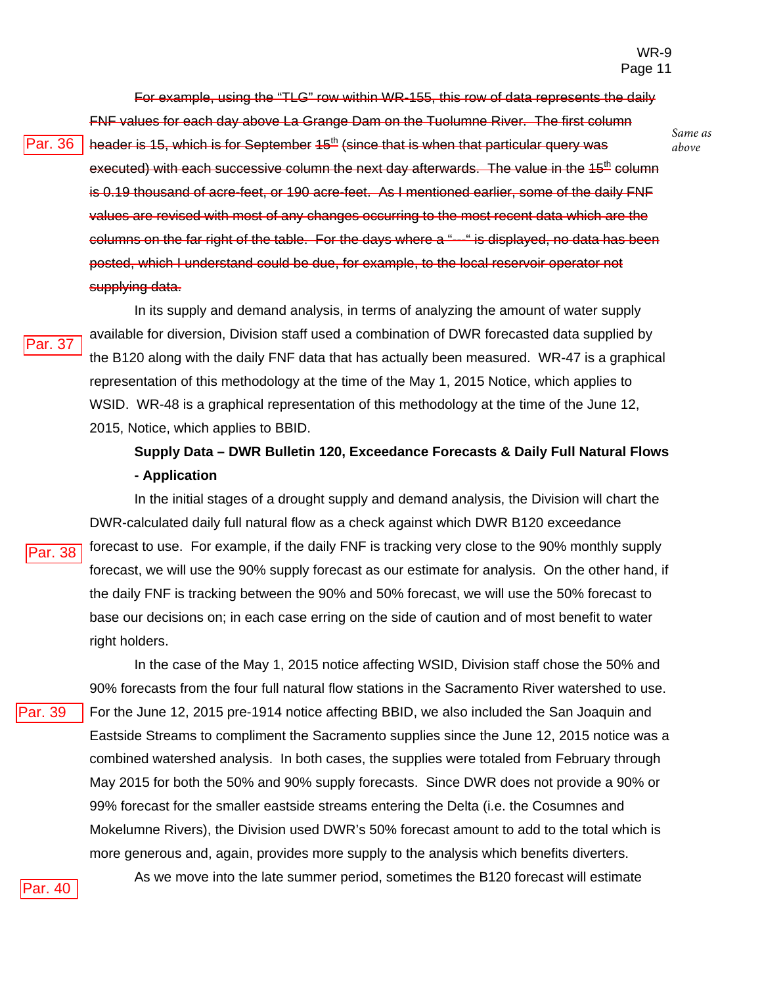*Same as* 

*above*

For example, using the "TLG" row within WR-155, this row of data represents the daily

Par. 36

FNF values for each day above La Grange Dam on the Tuolumne River. The first column header is 15, which is for September  $45<sup>th</sup>$  (since that is when that particular query was executed) with each successive column the next day afterwards. The value in the  $15<sup>th</sup>$  column is 0.19 thousand of acre-feet, or 190 acre-feet. As I mentioned earlier, some of the daily FNF values are revised with most of any changes occurring to the most recent data which are the columns on the far right of the table. For the days where a "---" is displayed, no data has been posted, which I understand could be due, for example, to the local reservoir operator not supplying data.

Par. 37

Par. 38

Par. 39

In its supply and demand analysis, in terms of analyzing the amount of water supply available for diversion, Division staff used a combination of DWR forecasted data supplied by the B120 along with the daily FNF data that has actually been measured. WR-47 is a graphical representation of this methodology at the time of the May 1, 2015 Notice, which applies to WSID. WR-48 is a graphical representation of this methodology at the time of the June 12, 2015, Notice, which applies to BBID.

# **Supply Data – DWR Bulletin 120, Exceedance Forecasts & Daily Full Natural Flows - Application**

In the initial stages of a drought supply and demand analysis, the Division will chart the DWR-calculated daily full natural flow as a check against which DWR B120 exceedance forecast to use. For example, if the daily FNF is tracking very close to the 90% monthly supply forecast, we will use the 90% supply forecast as our estimate for analysis. On the other hand, if the daily FNF is tracking between the 90% and 50% forecast, we will use the 50% forecast to base our decisions on; in each case erring on the side of caution and of most benefit to water right holders.

In the case of the May 1, 2015 notice affecting WSID, Division staff chose the 50% and 90% forecasts from the four full natural flow stations in the Sacramento River watershed to use. For the June 12, 2015 pre-1914 notice affecting BBID, we also included the San Joaquin and Eastside Streams to compliment the Sacramento supplies since the June 12, 2015 notice was a combined watershed analysis. In both cases, the supplies were totaled from February through May 2015 for both the 50% and 90% supply forecasts. Since DWR does not provide a 90% or 99% forecast for the smaller eastside streams entering the Delta (i.e. the Cosumnes and Mokelumne Rivers), the Division used DWR's 50% forecast amount to add to the total which is more generous and, again, provides more supply to the analysis which benefits diverters.

Par. 40

As we move into the late summer period, sometimes the B120 forecast will estimate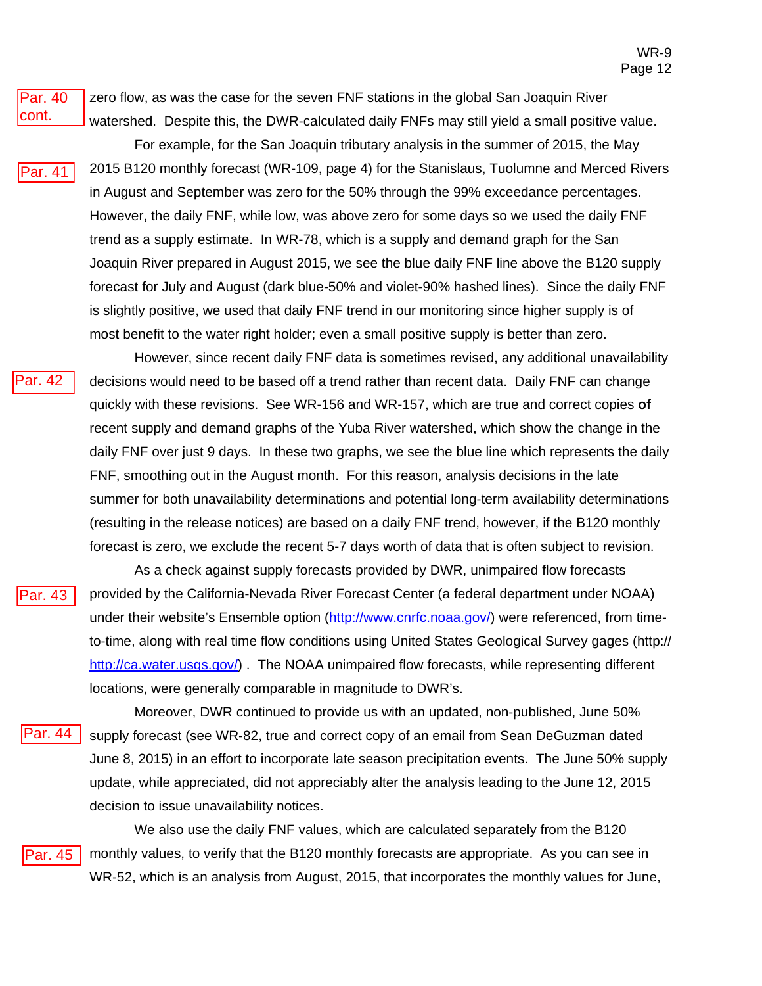#### Par. 40 cont.

zero flow, as was the case for the seven FNF stations in the global San Joaquin River watershed. Despite this, the DWR-calculated daily FNFs may still yield a small positive value.

- For example, for the San Joaquin tributary analysis in the summer of 2015, the May 2015 B120 monthly forecast (WR-109, page 4) for the Stanislaus, Tuolumne and Merced Rivers in August and September was zero for the 50% through the 99% exceedance percentages. However, the daily FNF, while low, was above zero for some days so we used the daily FNF trend as a supply estimate. In WR-78, which is a supply and demand graph for the San Joaquin River prepared in August 2015, we see the blue daily FNF line above the B120 supply forecast for July and August (dark blue-50% and violet-90% hashed lines). Since the daily FNF is slightly positive, we used that daily FNF trend in our monitoring since higher supply is of most benefit to the water right holder; even a small positive supply is better than zero. ar. 41
	- However, since recent daily FNF data is sometimes revised, any additional unavailability decisions would need to be based off a trend rather than recent data. Daily FNF can change quickly with these revisions. See WR-156 and WR-157, which are true and correct copies **of** recent supply and demand graphs of the Yuba River watershed, which show the change in the daily FNF over just 9 days. In these two graphs, we see the blue line which represents the daily FNF, smoothing out in the August month. For this reason, analysis decisions in the late summer for both unavailability determinations and potential long-term availability determinations (resulting in the release notices) are based on a daily FNF trend, however, if the B120 monthly forecast is zero, we exclude the recent 5-7 days worth of data that is often subject to revision.
- Par. 43

'ar. 42

As a check against supply forecasts provided by DWR, unimpaired flow forecasts provided by the California-Nevada River Forecast Center (a federal department under NOAA) under their website's Ensemble option (http://www.cnrfc.noaa.gov/) were referenced, from timeto-time, along with real time flow conditions using United States Geological Survey gages (http:// http://ca.water.usgs.gov/). The NOAA unimpaired flow forecasts, while representing different locations, were generally comparable in magnitude to DWR's.

Moreover, DWR continued to provide us with an updated, non-published, June 50% supply forecast (see WR-82, true and correct copy of an email from Sean DeGuzman dated June 8, 2015) in an effort to incorporate late season precipitation events. The June 50% supply update, while appreciated, did not appreciably alter the analysis leading to the June 12, 2015 decision to issue unavailability notices. 'ar. 44

Par. 45

We also use the daily FNF values, which are calculated separately from the B120 monthly values, to verify that the B120 monthly forecasts are appropriate. As you can see in WR-52, which is an analysis from August, 2015, that incorporates the monthly values for June,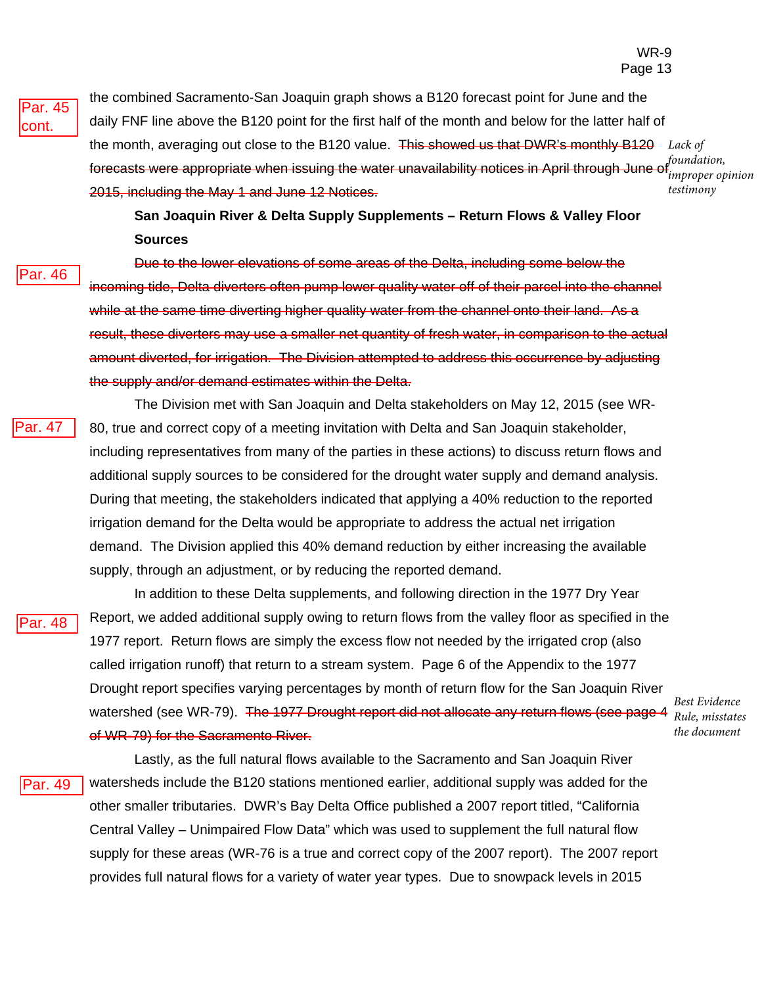Par. 45 cont.

the combined Sacramento-San Joaquin graph shows a B120 forecast point for June and the daily FNF line above the B120 point for the first half of the month and below for the latter half of the month, averaging out close to the B120 value. This showed us that DWR's monthly B120 forecasts were appropriate when issuing the water unavailability notices in April through June of 2015, including the May 1 and June 12 Notices. *Lack of foundation, improper opinion testimony*

**San Joaquin River & Delta Supply Supplements – Return Flows & Valley Floor Sources** 

#### Par. 46

Due to the lower elevations of some areas of the Delta, including some below the incoming tide, Delta diverters often pump lower quality water off of their parcel into the channel while at the same time diverting higher quality water from the channel onto their land. As a result, these diverters may use a smaller net quantity of fresh water, in comparison to the actual amount diverted, for irrigation. The Division attempted to address this occurrence by adjusting the supply and/or demand estimates within the Delta.

Par. 47

The Division met with San Joaquin and Delta stakeholders on May 12, 2015 (see WR-80, true and correct copy of a meeting invitation with Delta and San Joaquin stakeholder, including representatives from many of the parties in these actions) to discuss return flows and additional supply sources to be considered for the drought water supply and demand analysis. During that meeting, the stakeholders indicated that applying a 40% reduction to the reported irrigation demand for the Delta would be appropriate to address the actual net irrigation demand. The Division applied this 40% demand reduction by either increasing the available supply, through an adjustment, or by reducing the reported demand.

Par. 48

In addition to these Delta supplements, and following direction in the 1977 Dry Year Report, we added additional supply owing to return flows from the valley floor as specified in the 1977 report. Return flows are simply the excess flow not needed by the irrigated crop (also called irrigation runoff) that return to a stream system. Page 6 of the Appendix to the 1977 Drought report specifies varying percentages by month of return flow for the San Joaquin River watershed (see WR-79). The 1977 Drought report did not allocate any return flows (see page 4 *Rule, misstates*  of WR-79) for the Sacramento River.

*Best Evidence the document*

Lastly, as the full natural flows available to the Sacramento and San Joaquin River watersheds include the B120 stations mentioned earlier, additional supply was added for the other smaller tributaries. DWR's Bay Delta Office published a 2007 report titled, "California Central Valley – Unimpaired Flow Data" which was used to supplement the full natural flow supply for these areas (WR-76 is a true and correct copy of the 2007 report). The 2007 report provides full natural flows for a variety of water year types. Due to snowpack levels in 2015 Par. 49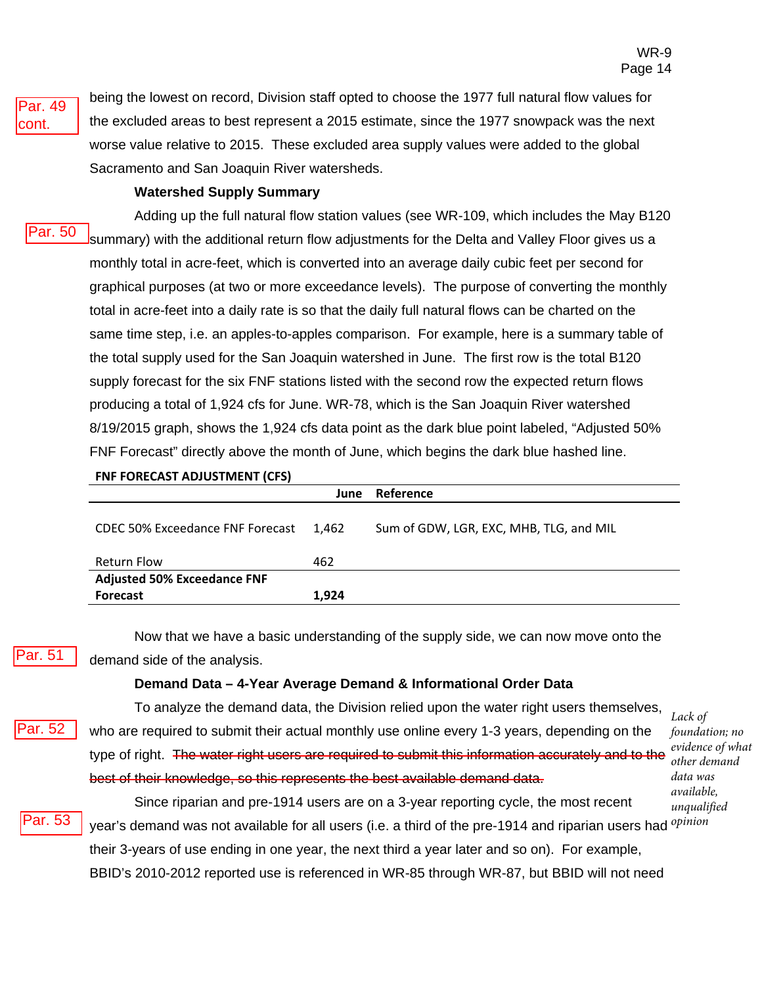Par. 49 cont.

being the lowest on record, Division staff opted to choose the 1977 full natural flow values for the excluded areas to best represent a 2015 estimate, since the 1977 snowpack was the next worse value relative to 2015. These excluded area supply values were added to the global Sacramento and San Joaquin River watersheds.

#### **Watershed Supply Summary**

Adding up the full natural flow station values (see WR-109, which includes the May B120 **Summary) with the additional return flow adjustments for the Delta and Valley Floor gives us a** monthly total in acre-feet, which is converted into an average daily cubic feet per second for graphical purposes (at two or more exceedance levels). The purpose of converting the monthly total in acre-feet into a daily rate is so that the daily full natural flows can be charted on the same time step, i.e. an apples-to-apples comparison. For example, here is a summary table of the total supply used for the San Joaquin watershed in June. The first row is the total B120 supply forecast for the six FNF stations listed with the second row the expected return flows producing a total of 1,924 cfs for June. WR-78, which is the San Joaquin River watershed 8/19/2015 graph, shows the 1,924 cfs data point as the dark blue point labeled, "Adjusted 50% FNF Forecast" directly above the month of June, which begins the dark blue hashed line. Par. 50

#### **FNF FORECAST ADJUSTMENT (CFS)**

|                                    | June  | Reference                               |  |
|------------------------------------|-------|-----------------------------------------|--|
| CDEC 50% Exceedance FNF Forecast   | 1.462 | Sum of GDW, LGR, EXC, MHB, TLG, and MIL |  |
| <b>Return Flow</b>                 | 462   |                                         |  |
| <b>Adjusted 50% Exceedance FNF</b> |       |                                         |  |
| <b>Forecast</b>                    | 1.924 |                                         |  |

Par. 51

Now that we have a basic understanding of the supply side, we can now move onto the demand side of the analysis.

#### **Demand Data – 4-Year Average Demand & Informational Order Data**

To analyze the demand data, the Division relied upon the water right users themselves, who are required to submit their actual monthly use online every 1-3 years, depending on the type of right. The water right users are required to submit this information accurately and to the best of their knowledge, so this represents the best available demand data. Par. 52

*Lack of foundation; no evidence of what other demand data was available, unqualified* 

Since riparian and pre-1914 users are on a 3-year reporting cycle, the most recent year's demand was not available for all users (i.e. a third of the pre-1914 and riparian users had *opinion* their 3-years of use ending in one year, the next third a year later and so on). For example, BBID's 2010-2012 reported use is referenced in WR-85 through WR-87, but BBID will not need Par. 53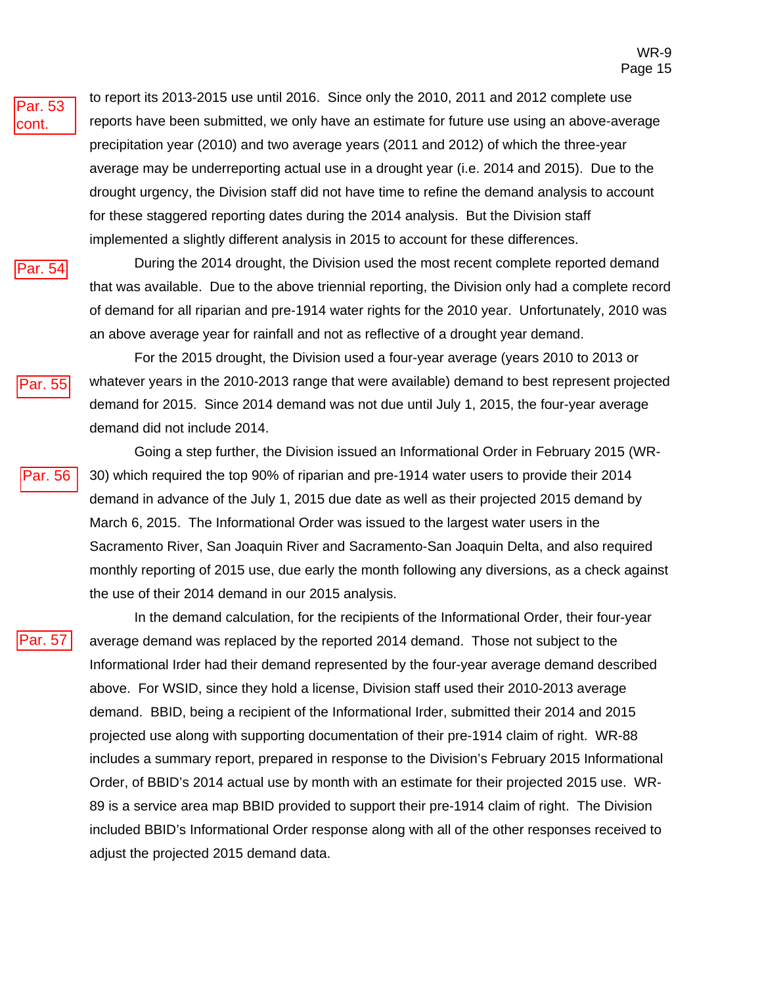

to report its 2013-2015 use until 2016. Since only the 2010, 2011 and 2012 complete use reports have been submitted, we only have an estimate for future use using an above-average precipitation year (2010) and two average years (2011 and 2012) of which the three-year average may be underreporting actual use in a drought year (i.e. 2014 and 2015). Due to the drought urgency, the Division staff did not have time to refine the demand analysis to account for these staggered reporting dates during the 2014 analysis. But the Division staff implemented a slightly different analysis in 2015 to account for these differences.



During the 2014 drought, the Division used the most recent complete reported demand that was available. Due to the above triennial reporting, the Division only had a complete record of demand for all riparian and pre-1914 water rights for the 2010 year. Unfortunately, 2010 was an above average year for rainfall and not as reflective of a drought year demand.

Par. 55

For the 2015 drought, the Division used a four-year average (years 2010 to 2013 or whatever years in the 2010-2013 range that were available) demand to best represent projected demand for 2015. Since 2014 demand was not due until July 1, 2015, the four-year average demand did not include 2014.



Going a step further, the Division issued an Informational Order in February 2015 (WR-30) which required the top 90% of riparian and pre-1914 water users to provide their 2014 demand in advance of the July 1, 2015 due date as well as their projected 2015 demand by March 6, 2015. The Informational Order was issued to the largest water users in the Sacramento River, San Joaquin River and Sacramento-San Joaquin Delta, and also required monthly reporting of 2015 use, due early the month following any diversions, as a check against the use of their 2014 demand in our 2015 analysis.

Par. 57

In the demand calculation, for the recipients of the Informational Order, their four-year average demand was replaced by the reported 2014 demand. Those not subject to the Informational Irder had their demand represented by the four-year average demand described above. For WSID, since they hold a license, Division staff used their 2010-2013 average demand. BBID, being a recipient of the Informational Irder, submitted their 2014 and 2015 projected use along with supporting documentation of their pre-1914 claim of right. WR-88 includes a summary report, prepared in response to the Division's February 2015 Informational Order, of BBID's 2014 actual use by month with an estimate for their projected 2015 use. WR-89 is a service area map BBID provided to support their pre-1914 claim of right. The Division included BBID's Informational Order response along with all of the other responses received to adjust the projected 2015 demand data.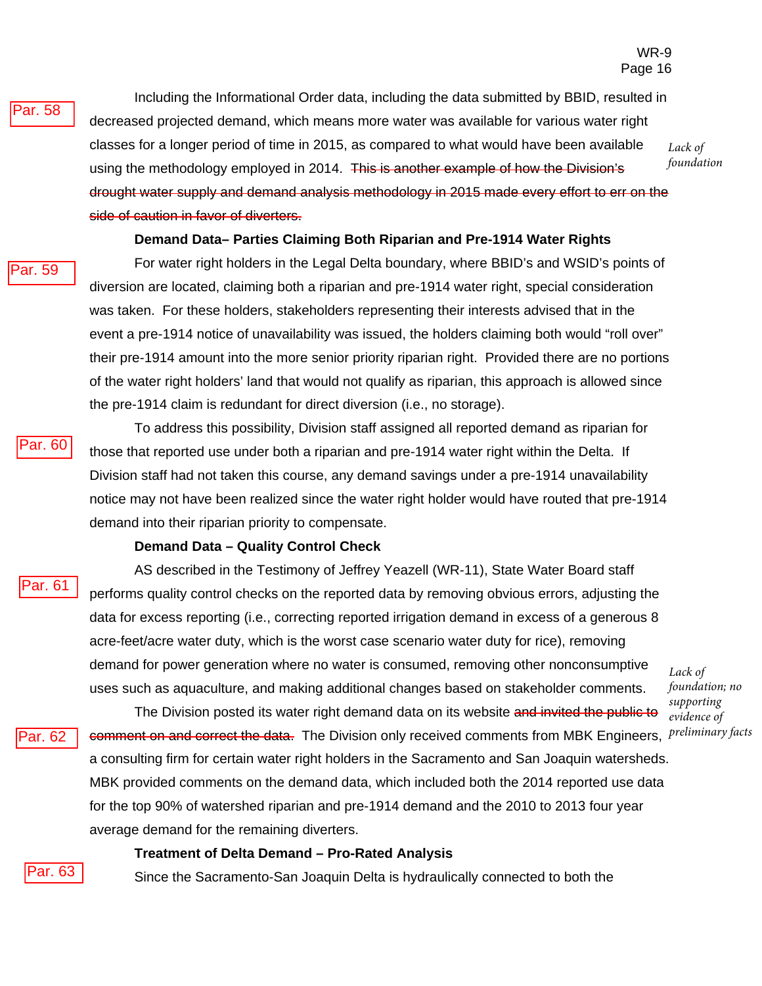#### Par. 58

Including the Informational Order data, including the data submitted by BBID, resulted in decreased projected demand, which means more water was available for various water right classes for a longer period of time in 2015, as compared to what would have been available using the methodology employed in 2014. This is another example of how the Division's drought water supply and demand analysis methodology in 2015 made every effort to err on the side of caution in favor of diverters.

*Lack of foundation*

#### **Demand Data– Parties Claiming Both Riparian and Pre-1914 Water Rights**

#### Par. 59

For water right holders in the Legal Delta boundary, where BBID's and WSID's points of diversion are located, claiming both a riparian and pre-1914 water right, special consideration was taken. For these holders, stakeholders representing their interests advised that in the event a pre-1914 notice of unavailability was issued, the holders claiming both would "roll over" their pre-1914 amount into the more senior priority riparian right. Provided there are no portions of the water right holders' land that would not qualify as riparian, this approach is allowed since the pre-1914 claim is redundant for direct diversion (i.e., no storage).



Par. 61

Par. 62

To address this possibility, Division staff assigned all reported demand as riparian for those that reported use under both a riparian and pre-1914 water right within the Delta. If Division staff had not taken this course, any demand savings under a pre-1914 unavailability notice may not have been realized since the water right holder would have routed that pre-1914 demand into their riparian priority to compensate.

#### **Demand Data – Quality Control Check**

AS described in the Testimony of Jeffrey Yeazell (WR-11), State Water Board staff performs quality control checks on the reported data by removing obvious errors, adjusting the data for excess reporting (i.e., correcting reported irrigation demand in excess of a generous 8 acre-feet/acre water duty, which is the worst case scenario water duty for rice), removing demand for power generation where no water is consumed, removing other nonconsumptive uses such as aquaculture, and making additional changes based on stakeholder comments.

*Lack of foundation; no supporting evidence of preliminary facts*

The Division posted its water right demand data on its website and invited the public to comment on and correct the data. The Division only received comments from MBK Engineers, a consulting firm for certain water right holders in the Sacramento and San Joaquin watersheds. MBK provided comments on the demand data, which included both the 2014 reported use data for the top 90% of watershed riparian and pre-1914 demand and the 2010 to 2013 four year average demand for the remaining diverters.

#### **Treatment of Delta Demand – Pro-Rated Analysis**

Since the Sacramento-San Joaquin Delta is hydraulically connected to both the

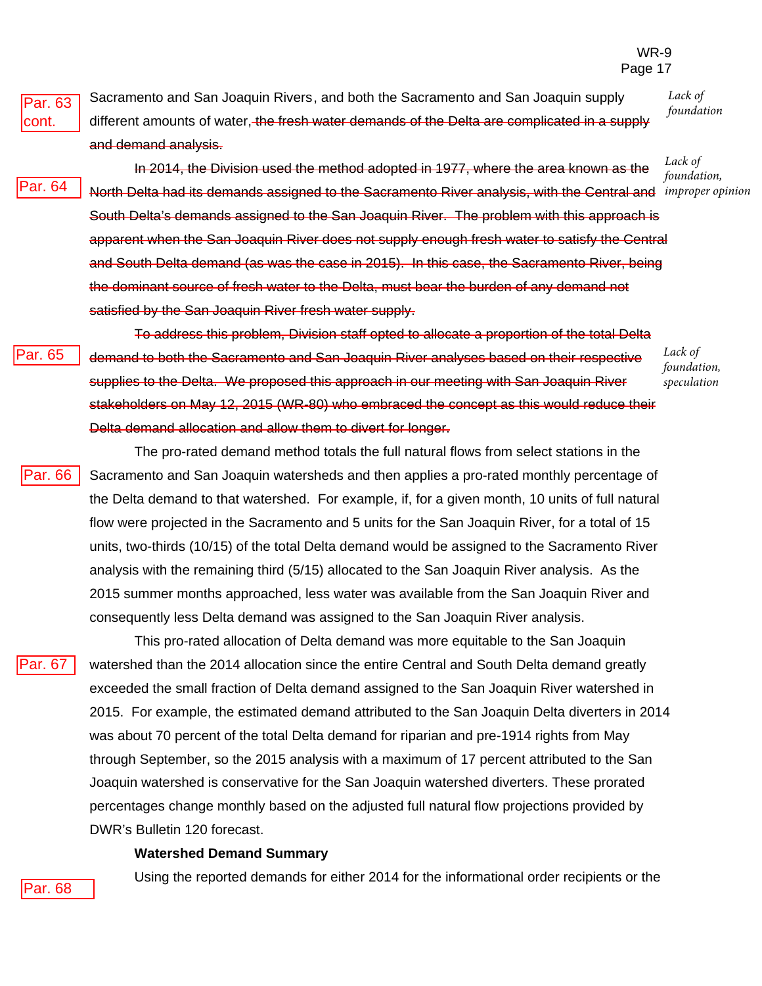Par. 63 cont.

Sacramento and San Joaquin Rivers , and both the Sacramento and San Joaquin supply different amounts of water, the fresh water demands of the Delta are complicated in a supply and demand analysis.

Par. 64

Par. 65

In 2014, the Division used the method adopted in 1977, where the area known as the North Delta had its demands assigned to the Sacramento River analysis, with the Central and *improper opinion* South Delta's demands assigned to the San Joaquin River. The problem with this approach is apparent when the San Joaquin River does not supply enough fresh water to satisfy the Central and South Delta demand (as was the case in 2015). In this case, the Sacramento River, being the dominant source of fresh water to the Delta, must bear the burden of any demand not satisfied by the San Joaquin River fresh water supply.

*Lack of foundation,* 

*Lack of foundation*

To address this problem, Division staff opted to allocate a proportion of the total Delta demand to both the Sacramento and San Joaquin River analyses based on their respective supplies to the Delta. We proposed this approach in our meeting with San Joaquin River stakeholders on May 12, 2015 (WR-80) who embraced the concept as this would reduce their Delta demand allocation and allow them to divert for longer.

*Lack of foundation, speculation*

The pro-rated demand method totals the full natural flows from select stations in the Sacramento and San Joaquin watersheds and then applies a pro-rated monthly percentage of the Delta demand to that watershed. For example, if, for a given month, 10 units of full natural flow were projected in the Sacramento and 5 units for the San Joaquin River, for a total of 15 units, two-thirds (10/15) of the total Delta demand would be assigned to the Sacramento River analysis with the remaining third (5/15) allocated to the San Joaquin River analysis. As the 2015 summer months approached, less water was available from the San Joaquin River and consequently less Delta demand was assigned to the San Joaquin River analysis. Par. 66

Par. 67

This pro-rated allocation of Delta demand was more equitable to the San Joaquin watershed than the 2014 allocation since the entire Central and South Delta demand greatly exceeded the small fraction of Delta demand assigned to the San Joaquin River watershed in 2015. For example, the estimated demand attributed to the San Joaquin Delta diverters in 2014 was about 70 percent of the total Delta demand for riparian and pre-1914 rights from May through September, so the 2015 analysis with a maximum of 17 percent attributed to the San Joaquin watershed is conservative for the San Joaquin watershed diverters. These prorated percentages change monthly based on the adjusted full natural flow projections provided by DWR's Bulletin 120 forecast.

#### **Watershed Demand Summary**

Using the reported demands for either 2014 for the informational order recipients or the

Par. 68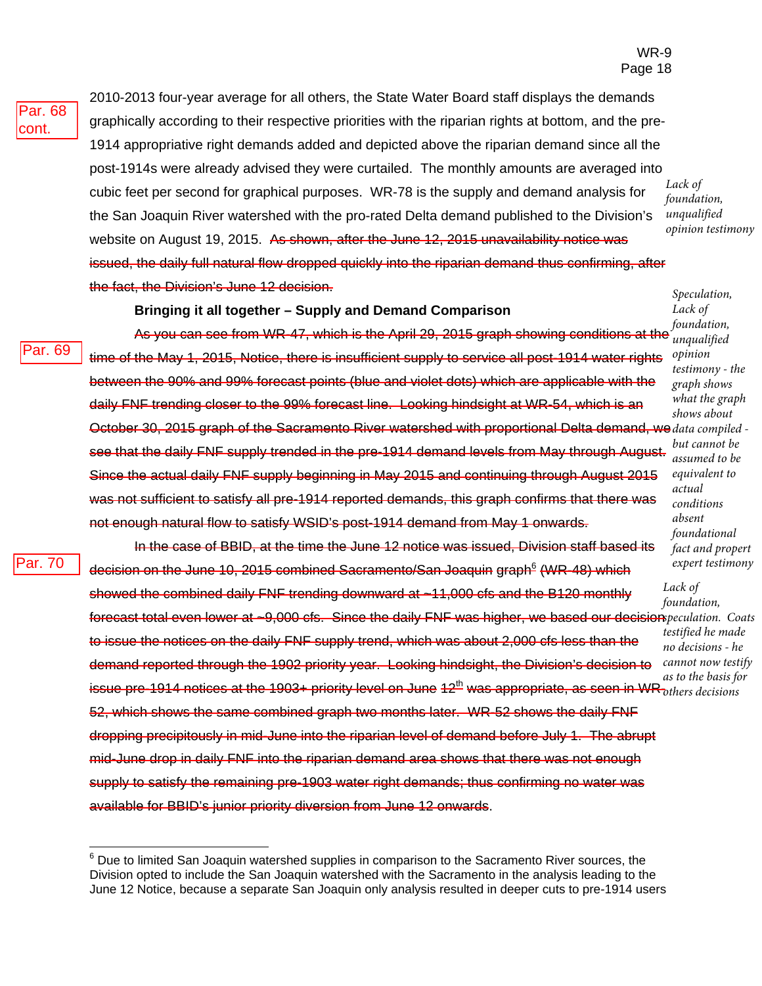Par. 69

2010-2013 four-year average for all others, the State Water Board staff displays the demands graphically according to their respective priorities with the riparian rights at bottom, and the pre-1914 appropriative right demands added and depicted above the riparian demand since all the post-1914s were already advised they were curtailed. The monthly amounts are averaged into cubic feet per second for graphical purposes. WR-78 is the supply and demand analysis for the San Joaquin River watershed with the pro-rated Delta demand published to the Division's website on August 19, 2015. As shown, after the June 12, 2015 unavailability notice was issued, the daily full natural flow dropped quickly into the riparian demand thus confirming, after the fact, the Division's June 12 decision.

#### **Bringing it all together – Supply and Demand Comparison**

As you can see from WR-47, which is the April 29, 2015 graph showing conditions at the time of the May 1, 2015, Notice, there is insufficient supply to service all post-1914 water rights between the 90% and 99% forecast points (blue and violet dots) which are applicable with the daily FNF trending closer to the 99% forecast line. Looking hindsight at WR-54, which is an October 30, 2015 graph of the Sacramento River watershed with proportional Delta demand, we *data compiled*  see that the daily FNF supply trended in the pre-1914 demand levels from May through August. Since the actual daily FNF supply beginning in May 2015 and continuing through August 2015 was not sufficient to satisfy all pre-1914 reported demands, this graph confirms that there was not enough natural flow to satisfy WSID's post-1914 demand from May 1 onwards.

Par. 70

In the case of BBID, at the time the June 12 notice was issued, Division staff based its decision on the June 10, 2015 combined Sacramento/San Joaquin graph<sup>6</sup> (WR-48) which showed the combined daily FNF trending downward at ~11,000 cfs and the B120 monthly forecast total even lower at ~9,000 cfs. Since the daily FNF was higher, we based our decision *peculation*. Coats to issue the notices on the daily FNF supply trend, which was about 2,000 cfs less than the demand reported through the 1902 priority year. Looking hindsight, the Division's decision to  $i$ ssue pre-1914 notices at the 1903+ priority level on June 12 $^{\rm th}$  was appropriate, as seen in WR $_{others\, decisions}^{\rm tot\,out}$ 52, which shows the same combined graph two months later. WR-52 shows the daily FNF dropping precipitously in mid-June into the riparian level of demand before July 1. The abrupt mid-June drop in daily FNF into the riparian demand area shows that there was not enough supply to satisfy the remaining pre-1903 water right demands; thus confirming no water was available for BBID's junior priority diversion from June 12 onwards.

*Lack of foundation, unqualified opinion testimony*

*Speculation, Lack of foundation, unqualified* 

*opinion testimony - the graph shows what the graph shows about but cannot be assumed to be equivalent to actual conditions absent foundational fact and propert expert testimony*

*Lack of foundation, testified he made no decisions - he cannot now testify as to the basis for* 

 $^6$  Due to limited San Joaquin watershed supplies in comparison to the Sacramento River sources, the Division opted to include the San Joaquin watershed with the Sacramento in the analysis leading to the June 12 Notice, because a separate San Joaquin only analysis resulted in deeper cuts to pre-1914 users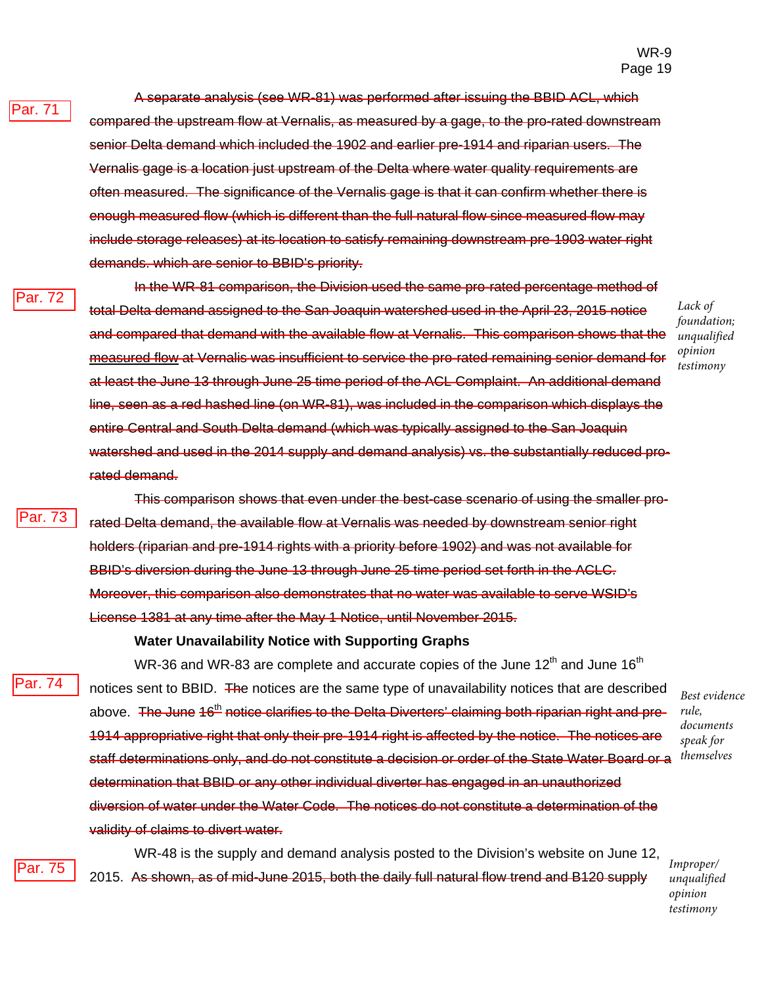A separate analysis (see WR-81) was performed after issuing the BBID ACL, which compared the upstream flow at Vernalis, as measured by a gage, to the pro-rated downstream senior Delta demand which included the 1902 and earlier pre-1914 and riparian users. The Vernalis gage is a location just upstream of the Delta where water quality requirements are often measured. The significance of the Vernalis gage is that it can confirm whether there is enough measured flow (which is different than the full natural flow since measured flow may include storage releases) at its location to satisfy remaining downstream pre-1903 water right demands. which are senior to BBID's priority.

'ar. 72

Par. 71

In the WR-81 comparison, the Division used the same pro-rated percentage method of total Delta demand assigned to the San Joaquin watershed used in the April 23, 2015 notice and compared that demand with the available flow at Vernalis. This comparison shows that the measured flow at Vernalis was insufficient to service the pro-rated remaining senior demand for at least the June 13 through June 25 time period of the ACL Complaint. An additional demand line, seen as a red hashed line (on WR-81), was included in the comparison which displays the entire Central and South Delta demand (which was typically assigned to the San Joaquin watershed and used in the 2014 supply and demand analysis) vs. the substantially reduced prorated demand.

*Lack of foundation; unqualified opinion testimony*

Par. 73

This comparison shows that even under the best-case scenario of using the smaller prorated Delta demand, the available flow at Vernalis was needed by downstream senior right holders (riparian and pre-1914 rights with a priority before 1902) and was not available for BBID's diversion during the June 13 through June 25 time period set forth in the ACLC. Moreover, this comparison also demonstrates that no water was available to serve WSID's License 1381 at any time after the May 1 Notice, until November 2015.

#### **Water Unavailability Notice with Supporting Graphs**

Par. 74

WR-36 and WR-83 are complete and accurate copies of the June  $12^{th}$  and June  $16^{th}$ notices sent to BBID. The notices are the same type of unavailability notices that are described above. The June 16<sup>th</sup> notice clarifies to the Delta Diverters' claiming both riparian right and pre-1914 appropriative right that only their pre-1914 right is affected by the notice. The notices are staff determinations only, and do not constitute a decision or order of the State Water Board or a determination that BBID or any other individual diverter has engaged in an unauthorized diversion of water under the Water Code. The notices do not constitute a determination of the validity of claims to divert water.

*Best evidence rule, documents speak for themselves*

Par. 75

WR-48 is the supply and demand analysis posted to the Division's website on June 12, 2015. As shown, as of mid-June 2015, both the daily full natural flow trend and B120 supply

*Improper/ unqualified opinion testimony*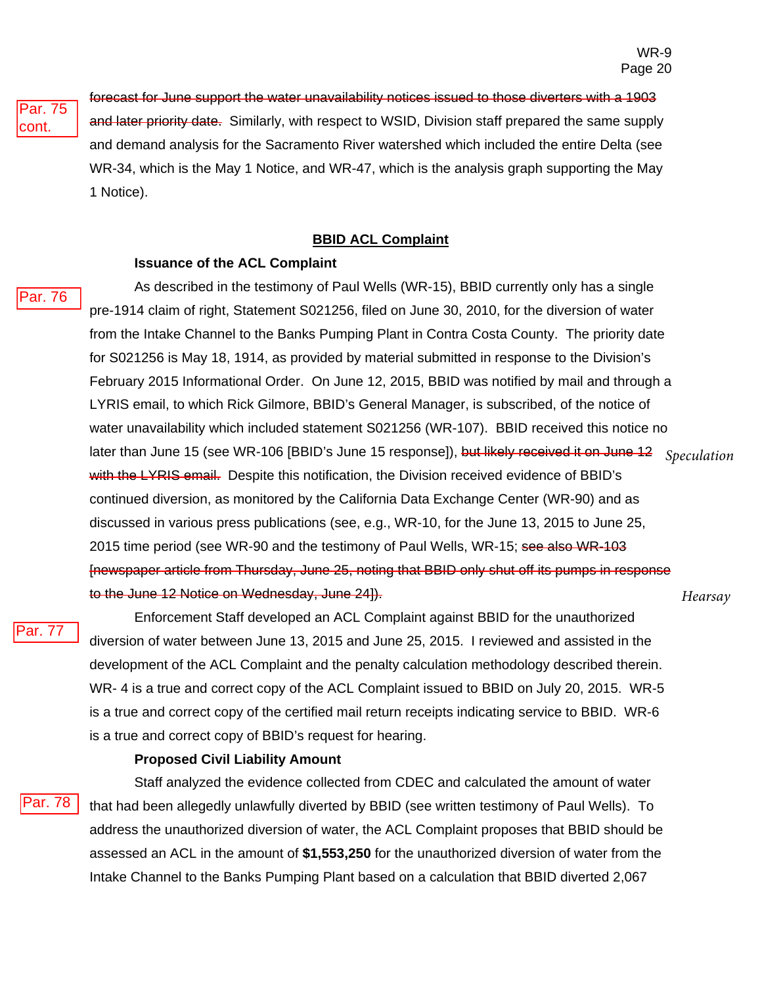Par. 75 cont.

forecast for June support the water unavailability notices issued to those diverters with a 1903 and later priority date. Similarly, with respect to WSID, Division staff prepared the same supply and demand analysis for the Sacramento River watershed which included the entire Delta (see WR-34, which is the May 1 Notice, and WR-47, which is the analysis graph supporting the May 1 Notice).

#### **BBID ACL Complaint**

#### **Issuance of the ACL Complaint**

Par. 76

As described in the testimony of Paul Wells (WR-15), BBID currently only has a single pre-1914 claim of right, Statement S021256, filed on June 30, 2010, for the diversion of water from the Intake Channel to the Banks Pumping Plant in Contra Costa County. The priority date for S021256 is May 18, 1914, as provided by material submitted in response to the Division's February 2015 Informational Order. On June 12, 2015, BBID was notified by mail and through a LYRIS email, to which Rick Gilmore, BBID's General Manager, is subscribed, of the notice of water unavailability which included statement S021256 (WR-107). BBID received this notice no later than June 15 (see WR-106 [BBID's June 15 response]), but likely received it on June 12 with the LYRIS email. Despite this notification, the Division received evidence of BBID's continued diversion, as monitored by the California Data Exchange Center (WR-90) and as discussed in various press publications (see, e.g., WR-10, for the June 13, 2015 to June 25, 2015 time period (see WR-90 and the testimony of Paul Wells, WR-15; see also WR-103 [newspaper article from Thursday, June 25, noting that BBID only shut off its pumps in response to the June 12 Notice on Wednesday, June 24]). *Speculation Hearsay*

Par. 77

Enforcement Staff developed an ACL Complaint against BBID for the unauthorized diversion of water between June 13, 2015 and June 25, 2015. I reviewed and assisted in the development of the ACL Complaint and the penalty calculation methodology described therein. WR- 4 is a true and correct copy of the ACL Complaint issued to BBID on July 20, 2015. WR-5 is a true and correct copy of the certified mail return receipts indicating service to BBID. WR-6 is a true and correct copy of BBID's request for hearing.

#### **Proposed Civil Liability Amount**

Par. 78

Staff analyzed the evidence collected from CDEC and calculated the amount of water that had been allegedly unlawfully diverted by BBID (see written testimony of Paul Wells). To address the unauthorized diversion of water, the ACL Complaint proposes that BBID should be assessed an ACL in the amount of **\$1,553,250** for the unauthorized diversion of water from the Intake Channel to the Banks Pumping Plant based on a calculation that BBID diverted 2,067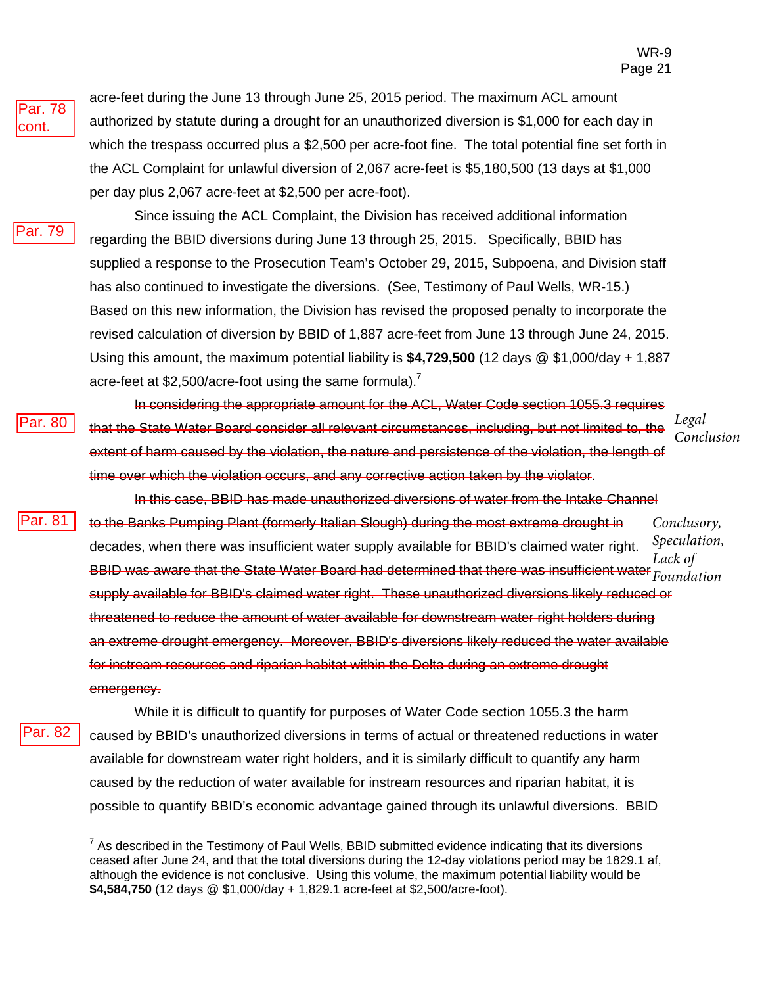Par. 78 cont.

acre-feet during the June 13 through June 25, 2015 period. The maximum ACL amount authorized by statute during a drought for an unauthorized diversion is \$1,000 for each day in which the trespass occurred plus a \$2,500 per acre-foot fine. The total potential fine set forth in the ACL Complaint for unlawful diversion of 2,067 acre-feet is \$5,180,500 (13 days at \$1,000 per day plus 2,067 acre-feet at \$2,500 per acre-foot).

Par. 79

Par. 81

Since issuing the ACL Complaint, the Division has received additional information regarding the BBID diversions during June 13 through 25, 2015. Specifically, BBID has supplied a response to the Prosecution Team's October 29, 2015, Subpoena, and Division staff has also continued to investigate the diversions. (See, Testimony of Paul Wells, WR-15.) Based on this new information, the Division has revised the proposed penalty to incorporate the revised calculation of diversion by BBID of 1,887 acre-feet from June 13 through June 24, 2015. Using this amount, the maximum potential liability is **\$4,729,500** (12 days @ \$1,000/day + 1,887 acre-feet at \$2,500/acre-foot using the same formula).<sup>7</sup>

In considering the appropriate amount for the ACL, Water Code section 1055.3 requires that the State Water Board consider all relevant circumstances, including, but not limited to, the extent of harm caused by the violation, the nature and persistence of the violation, the length of time over which the violation occurs, and any corrective action taken by the violator. *Legal Conclusion* ar. 80

- In this case, BBID has made unauthorized diversions of water from the Intake Channel to the Banks Pumping Plant (formerly Italian Slough) during the most extreme drought in decades, when there was insufficient water supply available for BBID's claimed water right. BBID was aware that the State Water Board had determined that there was insufficient water supply available for BBID's claimed water right. These unauthorized diversions likely reduced or threatened to reduce the amount of water available for downstream water right holders during an extreme drought emergency. Moreover, BBID's diversions likely reduced the water available for instream resources and riparian habitat within the Delta during an extreme drought emergency. *Conclusory, Speculation, Lack of Foundation*
- While it is difficult to quantify for purposes of Water Code section 1055.3 the harm caused by BBID's unauthorized diversions in terms of actual or threatened reductions in water available for downstream water right holders, and it is similarly difficult to quantify any harm caused by the reduction of water available for instream resources and riparian habitat, it is possible to quantify BBID's economic advantage gained through its unlawful diversions. BBID Par. 82

 $^7$  As described in the Testimony of Paul Wells, BBID submitted evidence indicating that its diversions ceased after June 24, and that the total diversions during the 12-day violations period may be 1829.1 af, although the evidence is not conclusive. Using this volume, the maximum potential liability would be **\$4,584,750** (12 days @ \$1,000/day + 1,829.1 acre-feet at \$2,500/acre-foot).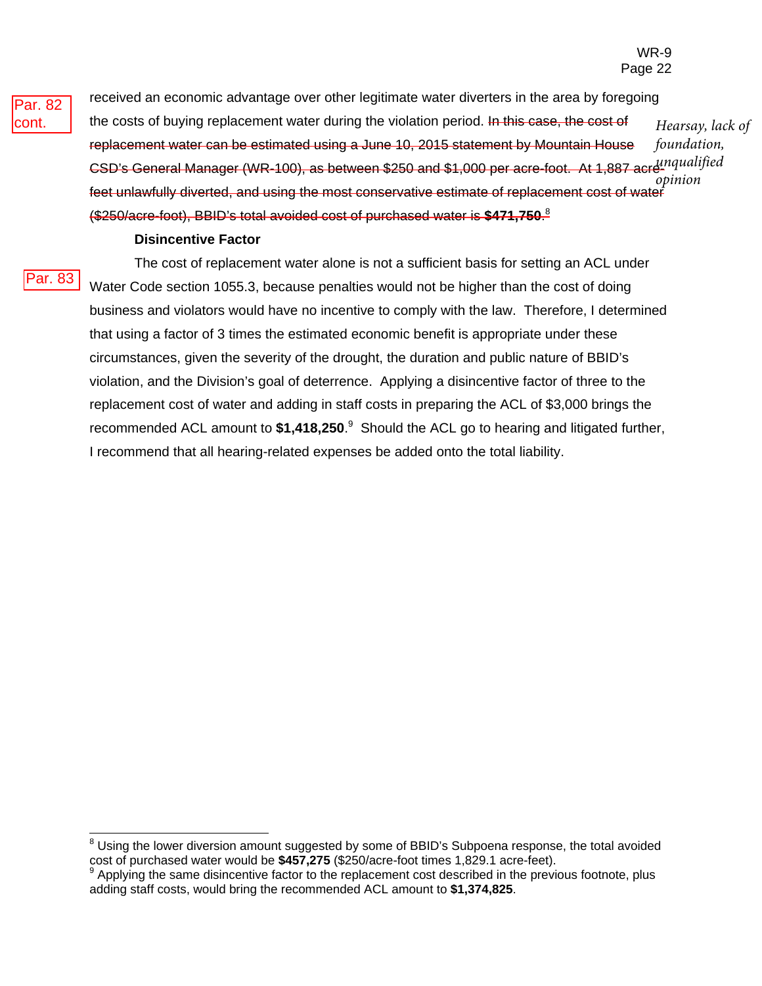WR-9 Page 22



received an economic advantage over other legitimate water diverters in the area by foregoing the costs of buying replacement water during the violation period. In this case, the cost of replacement water can be estimated using a June 10, 2015 statement by Mountain House CSD's General Manager (WR-100), as between \$250 and \$1,000 per acre-foot. At 1,887 acre-*unqualified*  feet unlawfully diverted, and using the most conservative estimate of replacement cost of water (\$250/acre-foot), BBID's total avoided cost of purchased water is **\$471,750**. 8 *Hearsay, lack of foundation, opinion*

#### **Disincentive Factor**

Par. 83

The cost of replacement water alone is not a sufficient basis for setting an ACL under Water Code section 1055.3, because penalties would not be higher than the cost of doing business and violators would have no incentive to comply with the law. Therefore, I determined that using a factor of 3 times the estimated economic benefit is appropriate under these circumstances, given the severity of the drought, the duration and public nature of BBID's violation, and the Division's goal of deterrence. Applying a disincentive factor of three to the replacement cost of water and adding in staff costs in preparing the ACL of \$3,000 brings the recommended ACL amount to \$1,418,250.<sup>9</sup> Should the ACL go to hearing and litigated further, I recommend that all hearing-related expenses be added onto the total liability.

 $^8$  Using the lower diversion amount suggested by some of BBID's Subpoena response, the total avoided cost of purchased water would be \$457,275 (\$250/acre-foot times 1,829.1 acre-feet).

Applying the same disincentive factor to the replacement cost described in the previous footnote, plus adding staff costs, would bring the recommended ACL amount to **\$1,374,825**.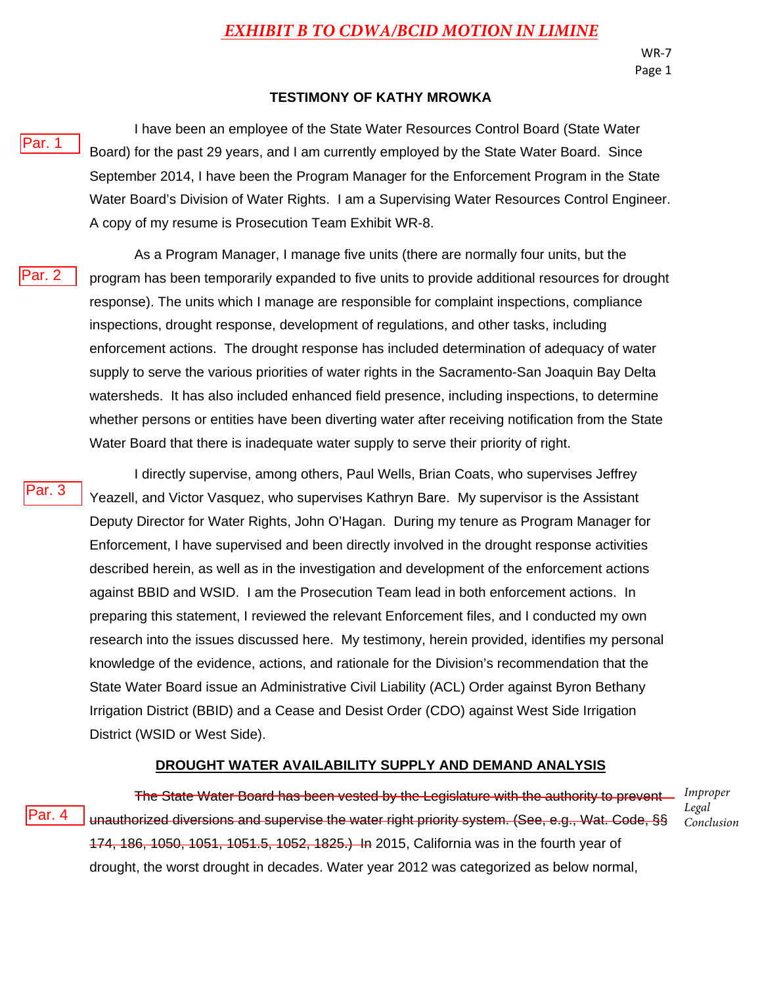# *EXHIBIT B TO CDWA/BCID MOTION IN LIMINE*

#### **TESTIMONY OF KATHY MROWKA**

I have been an employee of the State Water Resources Control Board (State Water Board) for the past 29 years, and I am currently employed by the State Water Board. Since September 2014, I have been the Program Manager for the Enforcement Program in the State Water Board's Division of Water Rights. I am a Supervising Water Resources Control Engineer. A copy of my resume is Prosecution Team Exhibit WR-8.

Par. 2

Par. 1

As a Program Manager, I manage five units (there are normally four units, but the program has been temporarily expanded to five units to provide additional resources for drought response). The units which I manage are responsible for complaint inspections, compliance inspections, drought response, development of regulations, and other tasks, including enforcement actions. The drought response has included determination of adequacy of water supply to serve the various priorities of water rights in the Sacramento-San Joaquin Bay Delta watersheds. It has also included enhanced field presence, including inspections, to determine whether persons or entities have been diverting water after receiving notification from the State Water Board that there is inadequate water supply to serve their priority of right.

Par. 3

I directly supervise, among others, Paul Wells, Brian Coats, who supervises Jeffrey Yeazell, and Victor Vasquez, who supervises Kathryn Bare. My supervisor is the Assistant Deputy Director for Water Rights, John O'Hagan. During my tenure as Program Manager for Enforcement, I have supervised and been directly involved in the drought response activities described herein, as well as in the investigation and development of the enforcement actions against BBID and WSID. I am the Prosecution Team lead in both enforcement actions. In preparing this statement, I reviewed the relevant Enforcement files, and I conducted my own research into the issues discussed here. My testimony, herein provided, identifies my personal knowledge of the evidence, actions, and rationale for the Division's recommendation that the State Water Board issue an Administrative Civil Liability (ACL) Order against Byron Bethany Irrigation District (BBID) and a Cease and Desist Order (CDO) against West Side Irrigation District (WSID or West Side).

#### **DROUGHT WATER AVAILABILITY SUPPLY AND DEMAND ANALYSIS**

Par. 4

The State Water Board has been vested by the Legislature with the authority to prevent *Improper*  unauthorized diversions and supervise the water right priority system. (See, e.g., Wat. Code, §§ 174, 186, 1050, 1051, 1051.5, 1052, 1825.) In 2015, California was in the fourth year of drought, the worst drought in decades. Water year 2012 was categorized as below normal,

*Legal Conclusion*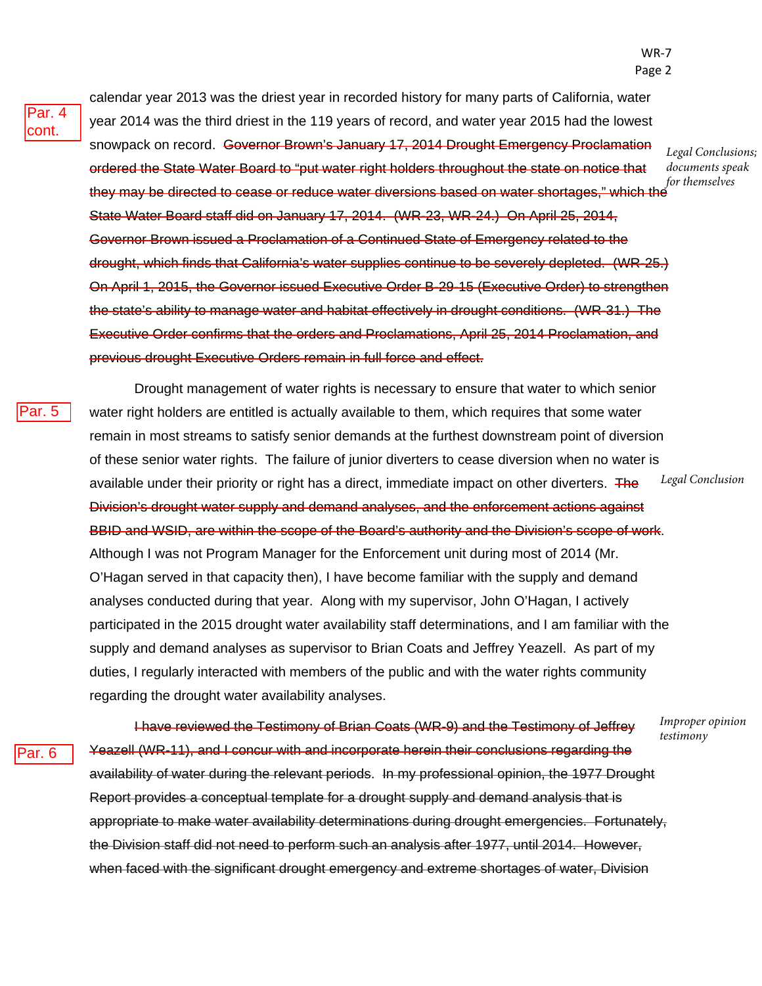Par. 5

calendar year 2013 was the driest year in recorded history for many parts of California, water year 2014 was the third driest in the 119 years of record, and water year 2015 had the lowest snowpack on record. Governor Brown's January 17, 2014 Drought Emergency Proclamation ordered the State Water Board to "put water right holders throughout the state on notice that they may be directed to cease or reduce water diversions based on water shortages," which the State Water Board staff did on January 17, 2014. (WR-23, WR-24.) On April 25, 2014, Governor Brown issued a Proclamation of a Continued State of Emergency related to the drought, which finds that California's water supplies continue to be severely depleted. (WR-25.) On April 1, 2015, the Governor issued Executive Order B-29-15 (Executive Order) to strengthen the state's ability to manage water and habitat effectively in drought conditions. (WR-31.) The Executive Order confirms that the orders and Proclamations, April 25, 2014 Proclamation, and previous drought Executive Orders remain in full force and effect.

Drought management of water rights is necessary to ensure that water to which senior water right holders are entitled is actually available to them, which requires that some water remain in most streams to satisfy senior demands at the furthest downstream point of diversion of these senior water rights. The failure of junior diverters to cease diversion when no water is available under their priority or right has a direct, immediate impact on other diverters. The Division's drought water supply and demand analyses, and the enforcement actions against BBID and WSID, are within the scope of the Board's authority and the Division's scope of work. Although I was not Program Manager for the Enforcement unit during most of 2014 (Mr. O'Hagan served in that capacity then), I have become familiar with the supply and demand analyses conducted during that year. Along with my supervisor, John O'Hagan, I actively participated in the 2015 drought water availability staff determinations, and I am familiar with the supply and demand analyses as supervisor to Brian Coats and Jeffrey Yeazell. As part of my duties, I regularly interacted with members of the public and with the water rights community regarding the drought water availability analyses. *Legal Conclusion*

Par. 6

I have reviewed the Testimony of Brian Coats (WR-9) and the Testimony of Jeffrey Yeazell (WR-11), and I concur with and incorporate herein their conclusions regarding the availability of water during the relevant periods. In my professional opinion, the 1977 Drought Report provides a conceptual template for a drought supply and demand analysis that is appropriate to make water availability determinations during drought emergencies. Fortunately, the Division staff did not need to perform such an analysis after 1977, until 2014. However, when faced with the significant drought emergency and extreme shortages of water, Division *Improper opinion testimony*

*Legal Conclusions; documents speak for themselves*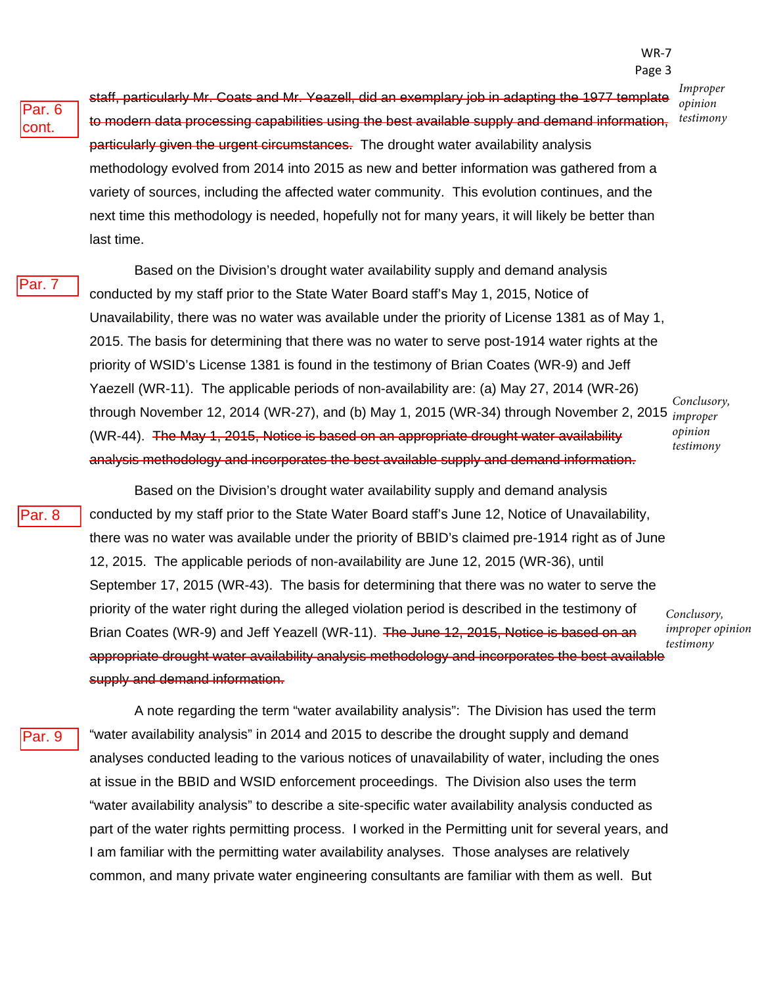*Improper opinion testimony*

Par. 6 cont.

staff, particularly Mr. Coats and Mr. Yeazell, did an exemplary job in adapting the 1977 template to modern data processing capabilities using the best available supply and demand information, particularly given the urgent circumstances. The drought water availability analysis methodology evolved from 2014 into 2015 as new and better information was gathered from a variety of sources, including the affected water community. This evolution continues, and the next time this methodology is needed, hopefully not for many years, it will likely be better than last time.

Par. 7

Based on the Division's drought water availability supply and demand analysis conducted by my staff prior to the State Water Board staff's May 1, 2015, Notice of Unavailability, there was no water was available under the priority of License 1381 as of May 1, 2015. The basis for determining that there was no water to serve post-1914 water rights at the priority of WSID's License 1381 is found in the testimony of Brian Coates (WR-9) and Jeff Yaezell (WR-11). The applicable periods of non-availability are: (a) May 27, 2014 (WR-26) through November 12, 2014 (WR-27), and (b) May 1, 2015 (WR-34) through November 2, 2015 *improper*  (WR-44). The May 1, 2015, Notice is based on an appropriate drought water availability analysis methodology and incorporates the best available supply and demand information. *Conclusory, opinion testimony*

Par. 8

Based on the Division's drought water availability supply and demand analysis conducted by my staff prior to the State Water Board staff's June 12, Notice of Unavailability, there was no water was available under the priority of BBID's claimed pre-1914 right as of June 12, 2015. The applicable periods of non-availability are June 12, 2015 (WR-36), until September 17, 2015 (WR-43). The basis for determining that there was no water to serve the priority of the water right during the alleged violation period is described in the testimony of Brian Coates (WR-9) and Jeff Yeazell (WR-11). The June 12, 2015, Notice is based on an appropriate drought water availability analysis methodology and incorporates the best available supply and demand information.

*Conclusory, improper opinion testimony*

Par. 9

A note regarding the term "water availability analysis": The Division has used the term "water availability analysis" in 2014 and 2015 to describe the drought supply and demand analyses conducted leading to the various notices of unavailability of water, including the ones at issue in the BBID and WSID enforcement proceedings. The Division also uses the term "water availability analysis" to describe a site-specific water availability analysis conducted as part of the water rights permitting process. I worked in the Permitting unit for several years, and I am familiar with the permitting water availability analyses. Those analyses are relatively common, and many private water engineering consultants are familiar with them as well. But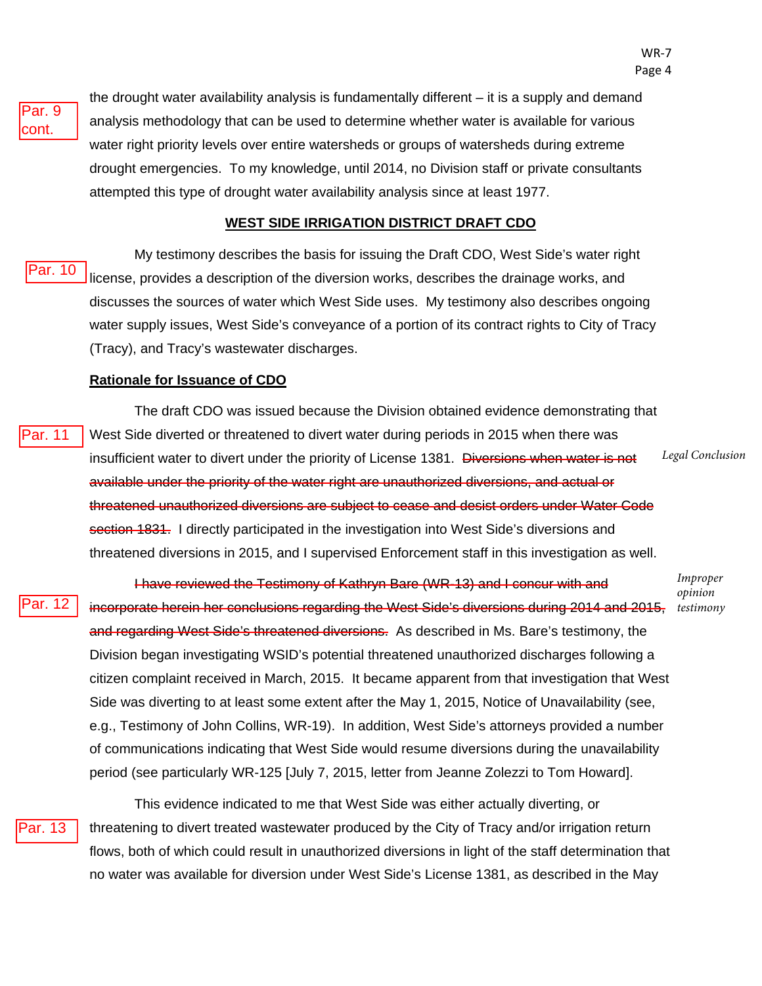Par. 9 cont.

the drought water availability analysis is fundamentally different – it is a supply and demand analysis methodology that can be used to determine whether water is available for various water right priority levels over entire watersheds or groups of watersheds during extreme drought emergencies. To my knowledge, until 2014, no Division staff or private consultants attempted this type of drought water availability analysis since at least 1977.

#### **WEST SIDE IRRIGATION DISTRICT DRAFT CDO**

My testimony describes the basis for issuing the Draft CDO, West Side's water right license, provides a description of the diversion works, describes the drainage works, and discusses the sources of water which West Side uses. My testimony also describes ongoing water supply issues, West Side's conveyance of a portion of its contract rights to City of Tracy (Tracy), and Tracy's wastewater discharges. Par. 10

#### **Rationale for Issuance of CDO**

The draft CDO was issued because the Division obtained evidence demonstrating that West Side diverted or threatened to divert water during periods in 2015 when there was insufficient water to divert under the priority of License 1381. Diversions when water is not available under the priority of the water right are unauthorized diversions, and actual or threatened unauthorized diversions are subject to cease and desist orders under Water Code section 1831. I directly participated in the investigation into West Side's diversions and threatened diversions in 2015, and I supervised Enforcement staff in this investigation as well. *Legal Conclusion* Par. 11

Par. 12

I have reviewed the Testimony of Kathryn Bare (WR-13) and I concur with and incorporate herein her conclusions regarding the West Side's diversions during 2014 and 2015, and regarding West Side's threatened diversions. As described in Ms. Bare's testimony, the Division began investigating WSID's potential threatened unauthorized discharges following a citizen complaint received in March, 2015. It became apparent from that investigation that West Side was diverting to at least some extent after the May 1, 2015, Notice of Unavailability (see, e.g., Testimony of John Collins, WR-19). In addition, West Side's attorneys provided a number of communications indicating that West Side would resume diversions during the unavailability period (see particularly WR-125 [July 7, 2015, letter from Jeanne Zolezzi to Tom Howard].

Par. 13

This evidence indicated to me that West Side was either actually diverting, or threatening to divert treated wastewater produced by the City of Tracy and/or irrigation return flows, both of which could result in unauthorized diversions in light of the staff determination that no water was available for diversion under West Side's License 1381, as described in the May

*Improper opinion testimony*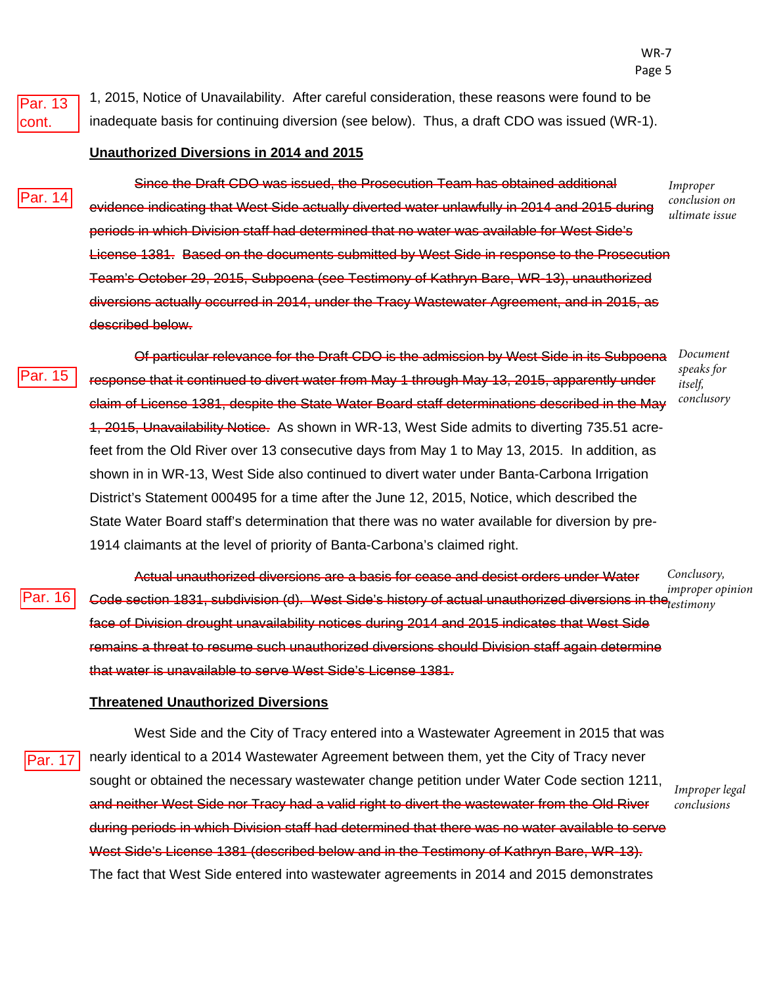Par. 13 cont.

1, 2015, Notice of Unavailability. After careful consideration, these reasons were found to be inadequate basis for continuing diversion (see below). Thus, a draft CDO was issued (WR-1).

#### **Unauthorized Diversions in 2014 and 2015**

ar. 14

Since the Draft CDO was issued, the Prosecution Team has obtained additional evidence indicating that West Side actually diverted water unlawfully in 2014 and 2015 during periods in which Division staff had determined that no water was available for West Side's License 1381. Based on the documents submitted by West Side in response to the Prosecution Team's October 29, 2015, Subpoena (see Testimony of Kathryn Bare, WR-13), unauthorized diversions actually occurred in 2014, under the Tracy Wastewater Agreement, and in 2015, as described below.

ar. 15

Of particular relevance for the Draft CDO is the admission by West Side in its Subpoena response that it continued to divert water from May 1 through May 13, 2015, apparently under claim of License 1381, despite the State Water Board staff determinations described in the May 1, 2015, Unavailability Notice. As shown in WR-13, West Side admits to diverting 735.51 acrefeet from the Old River over 13 consecutive days from May 1 to May 13, 2015. In addition, as shown in in WR-13, West Side also continued to divert water under Banta-Carbona Irrigation District's Statement 000495 for a time after the June 12, 2015, Notice, which described the State Water Board staff's determination that there was no water available for diversion by pre-1914 claimants at the level of priority of Banta-Carbona's claimed right.

Actual unauthorized diversions are a basis for cease and desist orders under Water Code section 1831, subdivision (d). West Side's history of actual unauthorized diversions in the<sub>testimony</sub> face of Division drought unavailability notices during 2014 and 2015 indicates that West Side remains a threat to resume such unauthorized diversions should Division staff again determine that water is unavailable to serve West Side's License 1381. *Conclusory, improper opinion*  Par. 16

#### **Threatened Unauthorized Diversions**

Par. 17

West Side and the City of Tracy entered into a Wastewater Agreement in 2015 that was nearly identical to a 2014 Wastewater Agreement between them, yet the City of Tracy never sought or obtained the necessary wastewater change petition under Water Code section 1211, and neither West Side nor Tracy had a valid right to divert the wastewater from the Old River during periods in which Division staff had determined that there was no water available to serve West Side's License 1381 (described below and in the Testimony of Kathryn Bare, WR-13). The fact that West Side entered into wastewater agreements in 2014 and 2015 demonstrates

*Document speaks for itself, conclusory*

*Improper conclusion on ultimate issue*

*Improper legal conclusions*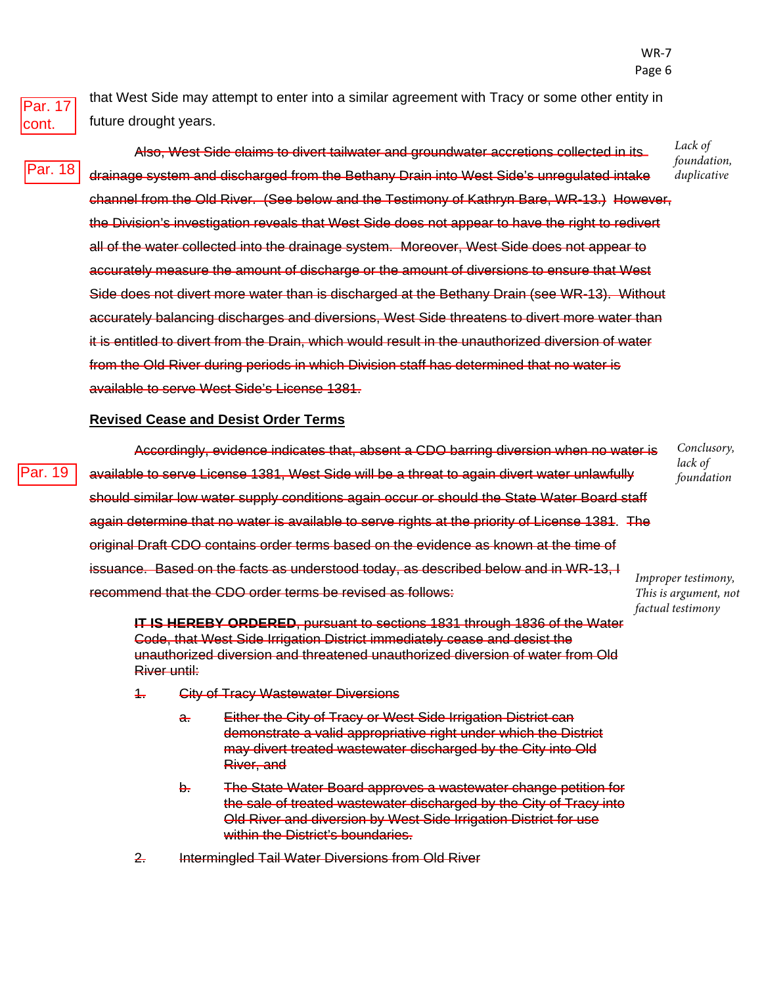Par. 17 cont.

Par. 18

Par. 19

that West Side may attempt to enter into a similar agreement with Tracy or some other entity in future drought years.

Also, West Side claims to divert tailwater and groundwater accretions collected in its drainage system and discharged from the Bethany Drain into West Side's unregulated intake channel from the Old River. (See below and the Testimony of Kathryn Bare, WR-13.) However, the Division's investigation reveals that West Side does not appear to have the right to redivert all of the water collected into the drainage system. Moreover, West Side does not appear to accurately measure the amount of discharge or the amount of diversions to ensure that West Side does not divert more water than is discharged at the Bethany Drain (see WR-13). Without

accurately balancing discharges and diversions, West Side threatens to divert more water than it is entitled to divert from the Drain, which would result in the unauthorized diversion of water from the Old River during periods in which Division staff has determined that no water is available to serve West Side's License 1381.

#### **Revised Cease and Desist Order Terms**

Accordingly, evidence indicates that, absent a CDO barring diversion when no water is available to serve License 1381, West Side will be a threat to again divert water unlawfully should similar low water supply conditions again occur or should the State Water Board staff again determine that no water is available to serve rights at the priority of License 1381. The original Draft CDO contains order terms based on the evidence as known at the time of issuance. Based on the facts as understood today, as described below and in WR-13, I recommend that the CDO order terms be revised as follows:

**IT IS HEREBY ORDERED**, pursuant to sections 1831 through 1836 of the Water Code, that West Side Irrigation District immediately cease and desist the unauthorized diversion and threatened unauthorized diversion of water from Old River until:

- 1. City of Tracy Wastewater Diversions
	- a. Either the City of Tracy or West Side Irrigation District can demonstrate a valid appropriative right under which the District may divert treated wastewater discharged by the City into Old River, and
	- b. The State Water Board approves a wastewater change petition for the sale of treated wastewater discharged by the City of Tracy into Old River and diversion by West Side Irrigation District for use within the District's boundaries.
- 2. Intermingled Tail Water Diversions from Old River

*Conclusory, lack of foundation*

*Improper testimony, This is argument, not factual testimony*

*Lack of foundation, duplicative*

WR-7 Page 6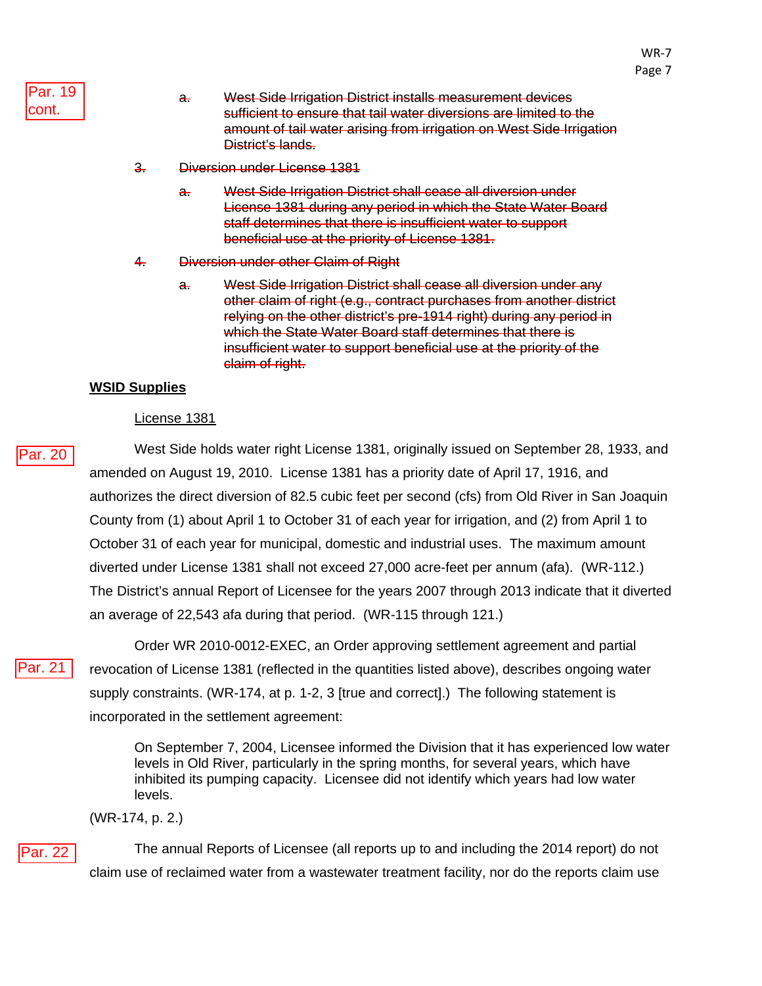WR-7

- a. West Side Irrigation District installs measurement devices sufficient to ensure that tail water diversions are limited to the amount of tail water arising from irrigation on West Side Irrigation District's lands.
- 3. Diversion under License 1381
	- a. West Side Irrigation District shall cease all diversion under License 1381 during any period in which the State Water Board staff determines that there is insufficient water to support beneficial use at the priority of License 1381.
- 4. Diversion under other Claim of Right
	- a. West Side Irrigation District shall cease all diversion under any other claim of right (e.g., contract purchases from another district relying on the other district's pre-1914 right) during any period in which the State Water Board staff determines that there is insufficient water to support beneficial use at the priority of the claim of right.

#### **WSID Supplies**

#### License 1381

West Side holds water right License 1381, originally issued on September 28, 1933, and amended on August 19, 2010. License 1381 has a priority date of April 17, 1916, and authorizes the direct diversion of 82.5 cubic feet per second (cfs) from Old River in San Joaquin County from (1) about April 1 to October 31 of each year for irrigation, and (2) from April 1 to October 31 of each year for municipal, domestic and industrial uses. The maximum amount diverted under License 1381 shall not exceed 27,000 acre-feet per annum (afa). (WR-112.) The District's annual Report of Licensee for the years 2007 through 2013 indicate that it diverted an average of 22,543 afa during that period. (WR-115 through 121.)

Par. 20<br>Par. 21

Order WR 2010-0012-EXEC, an Order approving settlement agreement and partial revocation of License 1381 (reflected in the quantities listed above), describes ongoing water supply constraints. (WR-174, at p. 1-2, 3 [true and correct].) The following statement is incorporated in the settlement agreement:

On September 7, 2004, Licensee informed the Division that it has experienced low water levels in Old River, particularly in the spring months, for several years, which have inhibited its pumping capacity. Licensee did not identify which years had low water levels.

(WR-174, p. 2.)

The annual Reports of Licensee (all reports up to and including the 2014 report) do not claim use of reclaimed water from a wastewater treatment facility, nor do the reports claim use Par. 22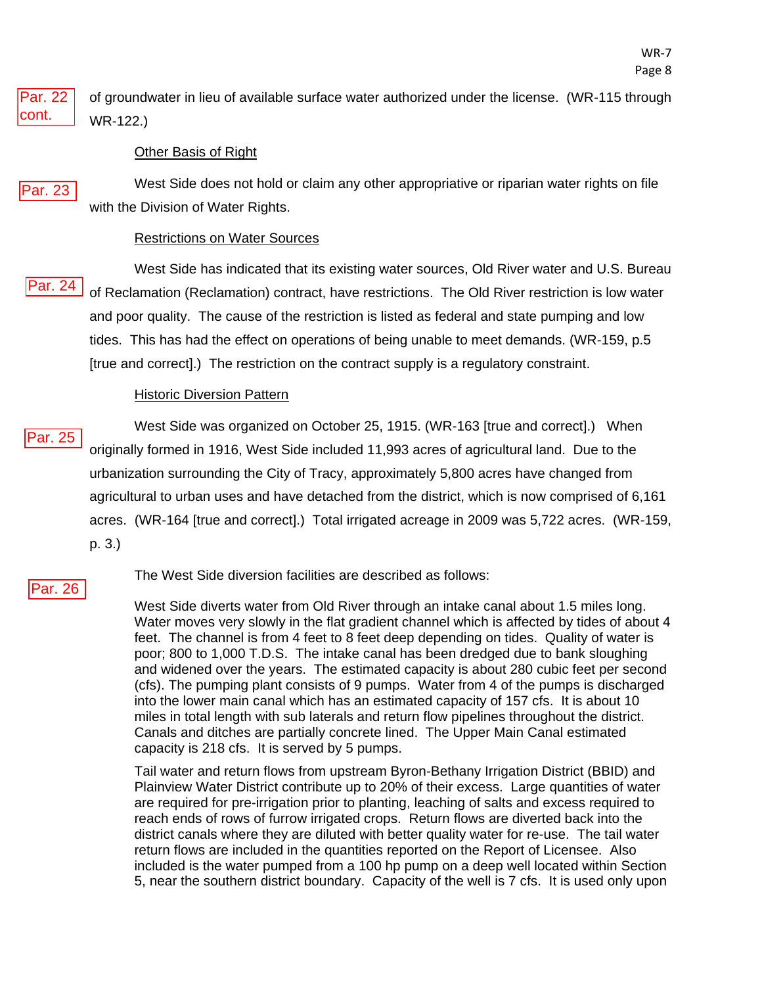of groundwater in lieu of available surface water authorized under the license. (WR-115 through WR-122.) Par. 22 cont.

#### Other Basis of Right

Par. 23

West Side does not hold or claim any other appropriative or riparian water rights on file with the Division of Water Rights.

#### Restrictions on Water Sources

West Side has indicated that its existing water sources, Old River water and U.S. Bureau of Reclamation (Reclamation) contract, have restrictions. The Old River restriction is low water and poor quality. The cause of the restriction is listed as federal and state pumping and low tides. This has had the effect on operations of being unable to meet demands. (WR-159, p.5 [true and correct].) The restriction on the contract supply is a regulatory constraint. <u>Par. 24</u><br>Par. 25

#### Historic Diversion Pattern

West Side was organized on October 25, 1915. (WR-163 [true and correct].) When originally formed in 1916, West Side included 11,993 acres of agricultural land. Due to the urbanization surrounding the City of Tracy, approximately 5,800 acres have changed from agricultural to urban uses and have detached from the district, which is now comprised of 6,161 acres. (WR-164 [true and correct].) Total irrigated acreage in 2009 was 5,722 acres. (WR-159, p. 3.)

#### Par. 26

The West Side diversion facilities are described as follows:

West Side diverts water from Old River through an intake canal about 1.5 miles long. Water moves very slowly in the flat gradient channel which is affected by tides of about 4 feet. The channel is from 4 feet to 8 feet deep depending on tides. Quality of water is poor; 800 to 1,000 T.D.S. The intake canal has been dredged due to bank sloughing and widened over the years. The estimated capacity is about 280 cubic feet per second (cfs). The pumping plant consists of 9 pumps. Water from 4 of the pumps is discharged into the lower main canal which has an estimated capacity of 157 cfs. It is about 10 miles in total length with sub laterals and return flow pipelines throughout the district. Canals and ditches are partially concrete lined. The Upper Main Canal estimated capacity is 218 cfs. It is served by 5 pumps.

Tail water and return flows from upstream Byron-Bethany Irrigation District (BBID) and Plainview Water District contribute up to 20% of their excess. Large quantities of water are required for pre-irrigation prior to planting, leaching of salts and excess required to reach ends of rows of furrow irrigated crops. Return flows are diverted back into the district canals where they are diluted with better quality water for re-use. The tail water return flows are included in the quantities reported on the Report of Licensee. Also included is the water pumped from a 100 hp pump on a deep well located within Section 5, near the southern district boundary. Capacity of the well is 7 cfs. It is used only upon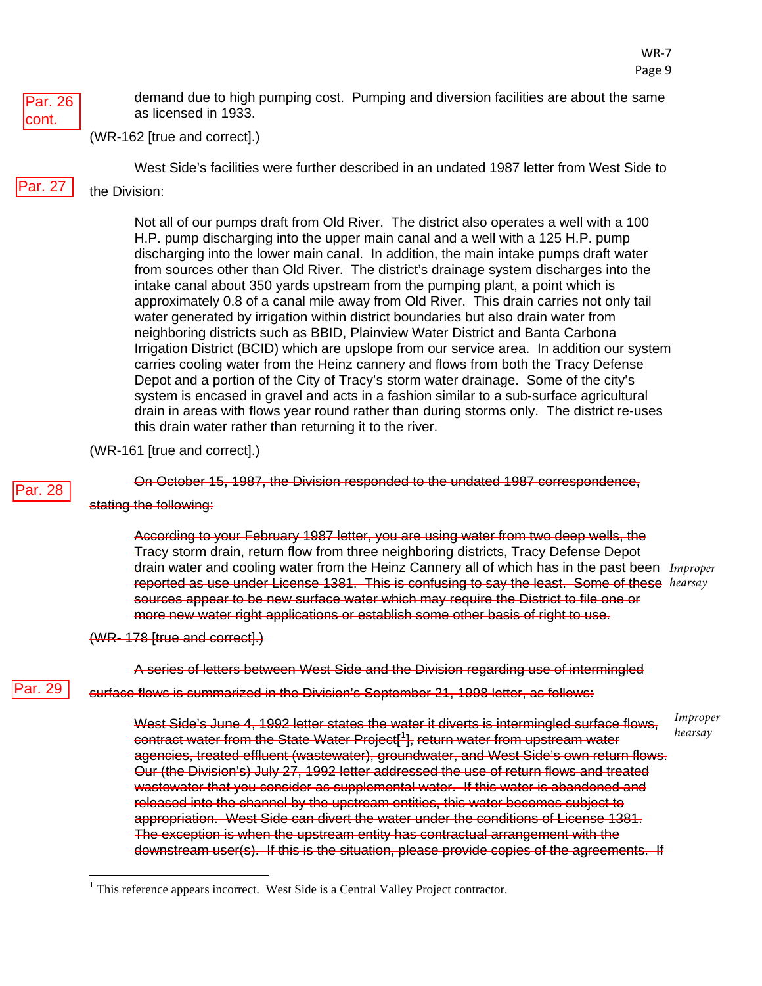

demand due to high pumping cost. Pumping and diversion facilities are about the same as licensed in 1933.

(WR-162 [true and correct].)

West Side's facilities were further described in an undated 1987 letter from West Side to

Par. 27

# the Division:

Not all of our pumps draft from Old River. The district also operates a well with a 100 H.P. pump discharging into the upper main canal and a well with a 125 H.P. pump discharging into the lower main canal. In addition, the main intake pumps draft water from sources other than Old River. The district's drainage system discharges into the intake canal about 350 yards upstream from the pumping plant, a point which is approximately 0.8 of a canal mile away from Old River. This drain carries not only tail water generated by irrigation within district boundaries but also drain water from neighboring districts such as BBID, Plainview Water District and Banta Carbona Irrigation District (BCID) which are upslope from our service area. In addition our system carries cooling water from the Heinz cannery and flows from both the Tracy Defense Depot and a portion of the City of Tracy's storm water drainage. Some of the city's system is encased in gravel and acts in a fashion similar to a sub-surface agricultural drain in areas with flows year round rather than during storms only. The district re-uses this drain water rather than returning it to the river.

(WR-161 [true and correct].)

#### Par. 28

Par. 29

On October 15, 1987, the Division responded to the undated 1987 correspondence,

#### stating the following:

According to your February 1987 letter, you are using water from two deep wells, the Tracy storm drain, return flow from three neighboring districts, Tracy Defense Depot drain water and cooling water from the Heinz Cannery all of which has in the past been *Improper*  reported as use under License 1381. This is confusing to say the least. Some of these *hearsay* sources appear to be new surface water which may require the District to file one or more new water right applications or establish some other basis of right to use.

#### (WR- 178 [true and correct].)

A series of letters between West Side and the Division regarding use of intermingled

surface flows is summarized in the Division's September 21, 1998 letter, as follows:

West Side's June 4, 1992 letter states the water it diverts is intermingled surface flows, contract water from the State Water Project[<sup>[1](#page-45-0)</sup>], return water from upstream water agencies, treated effluent (wastewater), groundwater, and West Side's own return flows. Our (the Division's) July 27, 1992 letter addressed the use of return flows and treated wastewater that you consider as supplemental water. If this water is abandoned and released into the channel by the upstream entities, this water becomes subject to appropriation. West Side can divert the water under the conditions of License 1381. The exception is when the upstream entity has contractual arrangement with the downstream user(s). If this is the situation, please provide copies of the agreements. If *Improper hearsay*

<span id="page-45-0"></span><sup>&</sup>lt;sup>1</sup> This reference appears incorrect. West Side is a Central Valley Project contractor.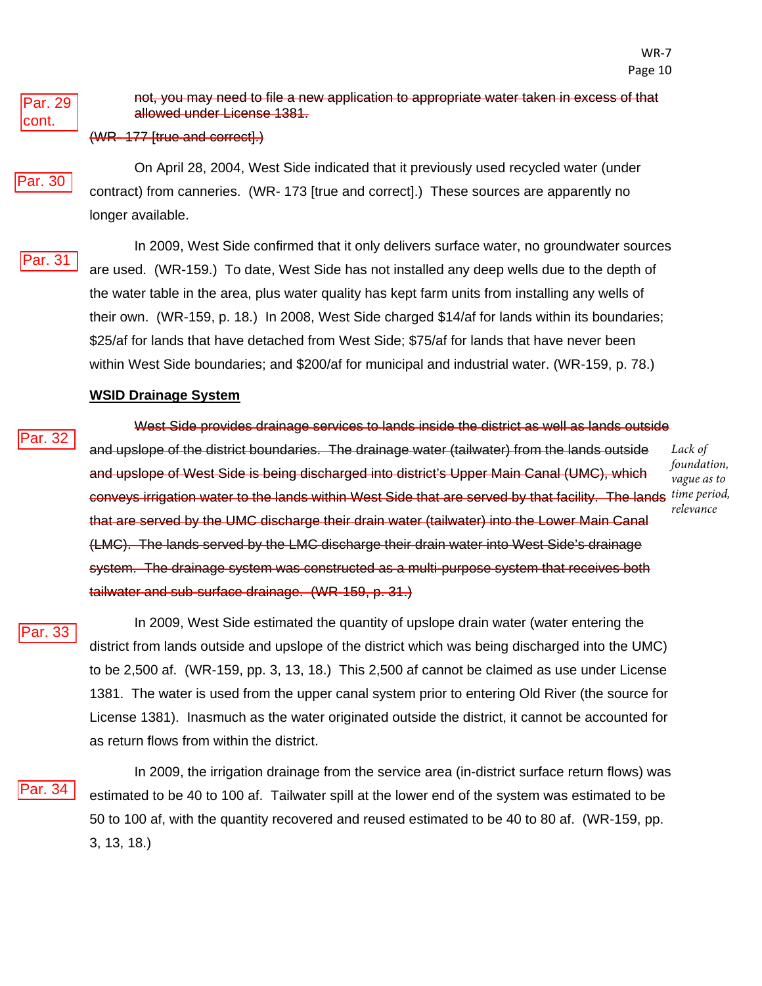Par. 29 cont.

Par. 30

not, you may need to file a new application to appropriate water taken in excess of that allowed under License 1381.

#### (WR- 177 [true and correct].)

On April 28, 2004, West Side indicated that it previously used recycled water (under contract) from canneries. (WR- 173 [true and correct].) These sources are apparently no longer available.

Par. 31

In 2009, West Side confirmed that it only delivers surface water, no groundwater sources are used. (WR-159.) To date, West Side has not installed any deep wells due to the depth of the water table in the area, plus water quality has kept farm units from installing any wells of their own. (WR-159, p. 18.) In 2008, West Side charged \$14/af for lands within its boundaries; \$25/af for lands that have detached from West Side; \$75/af for lands that have never been within West Side boundaries; and \$200/af for municipal and industrial water. (WR-159, p. 78.)

#### **WSID Drainage System**

Par. 32

West Side provides drainage services to lands inside the district as well as lands outside and upslope of the district boundaries. The drainage water (tailwater) from the lands outside and upslope of West Side is being discharged into district's Upper Main Canal (UMC), which conveys irrigation water to the lands within West Side that are served by that facility. The lands *time period,*  that are served by the UMC discharge their drain water (tailwater) into the Lower Main Canal (LMC). The lands served by the LMC discharge their drain water into West Side's drainage system. The drainage system was constructed as a multi-purpose system that receives both tailwater and sub-surface drainage. (WR-159, p. 31.) *Lack of foundation, vague as to relevance*

Par. 33

In 2009, West Side estimated the quantity of upslope drain water (water entering the district from lands outside and upslope of the district which was being discharged into the UMC) to be 2,500 af. (WR-159, pp. 3, 13, 18.) This 2,500 af cannot be claimed as use under License 1381. The water is used from the upper canal system prior to entering Old River (the source for License 1381). Inasmuch as the water originated outside the district, it cannot be accounted for as return flows from within the district.

'ar. 34

In 2009, the irrigation drainage from the service area (in-district surface return flows) was estimated to be 40 to 100 af. Tailwater spill at the lower end of the system was estimated to be 50 to 100 af, with the quantity recovered and reused estimated to be 40 to 80 af. (WR-159, pp. 3, 13, 18.)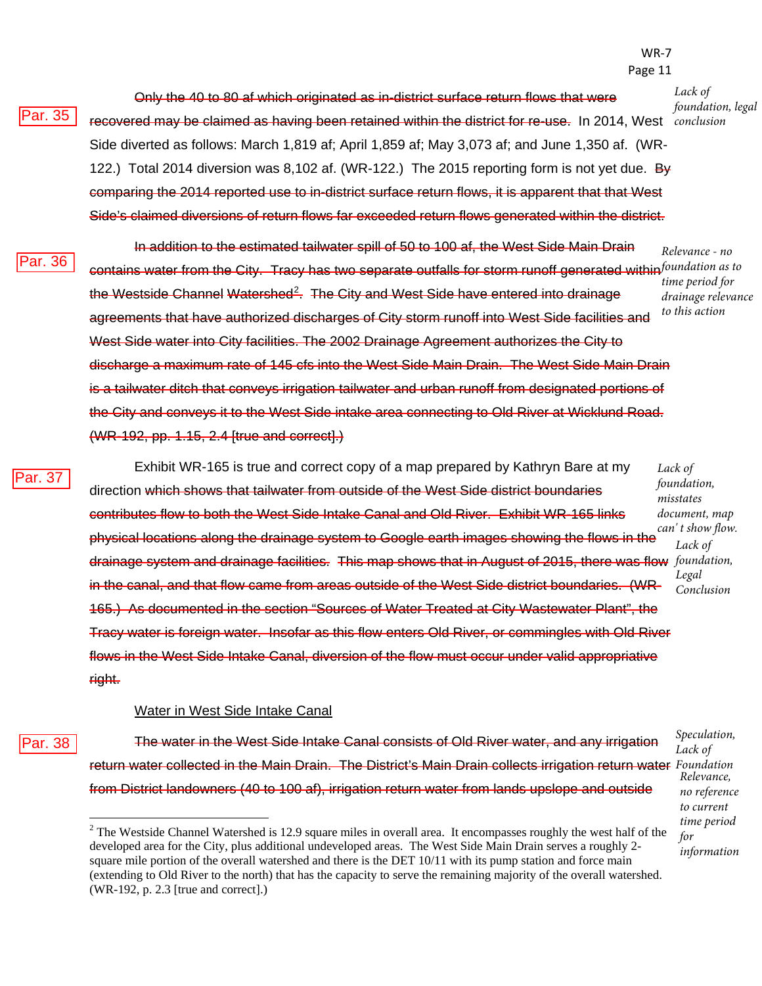#### WR-7 Page 11

*Lack of foundation, legal* 

Only the 40 to 80 af which originated as in-district surface return flows that were recovered may be claimed as having been retained within the district for re-use. In 2014, West *conclusion* Side diverted as follows: March 1,819 af; April 1,859 af; May 3,073 af; and June 1,350 af. (WR-122.) Total 2014 diversion was 8,102 af. (WR-122.) The 2015 reporting form is not yet due. By comparing the 2014 reported use to in-district surface return flows, it is apparent that that West Side's claimed diversions of return flows far exceeded return flows generated within the district.

<sup>2</sup>ar. 36

Par. 35

In addition to the estimated tailwater spill of 50 to 100 af, the West Side Main Drain contains water from the City. Tracy has two separate outfalls for storm runoff generated within *foundation as to*  the Westside Channel Watershed<sup>[2](#page-47-0)</sup>. The City and West Side have entered into drainage agreements that have authorized discharges of City storm runoff into West Side facilities and West Side water into City facilities. The 2002 Drainage Agreement authorizes the City to discharge a maximum rate of 145 cfs into the West Side Main Drain. The West Side Main Drain is a tailwater ditch that conveys irrigation tailwater and urban runoff from designated portions of the City and conveys it to the West Side intake area connecting to Old River at Wicklund Road. (WR-192, pp. 1.15, 2.4 [true and correct].) *Relevance - no time period for drainage relevance to this action*

Par. 35<br>Par. 36<br>Par. 37 Par. 37

Exhibit WR-165 is true and correct copy of a map prepared by Kathryn Bare at my direction which shows that tailwater from outside of the West Side district boundaries contributes flow to both the West Side Intake Canal and Old River. Exhibit WR-165 links physical locations along the drainage system to Google earth images showing the flows in the drainage system and drainage facilities. This map shows that in August of 2015, there was flow *foundation,*  in the canal, and that flow came from areas outside of the West Side district boundaries. (WR-165.) As documented in the section "Sources of Water Treated at City Wastewater Plant", the Tracy water is foreign water. Insofar as this flow enters Old River, or commingles with Old River flows in the West Side Intake Canal, diversion of the flow must occur under valid appropriative right. *Lack of foundation, misstates document, map can' t show flow.* 

#### Water in West Side Intake Canal

Par. 38

The water in the West Side Intake Canal consists of Old River water, and any irrigation return water collected in the Main Drain. The District's Main Drain collects irrigation return water *Foundation* from District landowners (40 to 100 af), irrigation return water from lands upslope and outside

*Speculation, Lack of Relevance, no reference to current time period for information*

*Lack of* 

*Legal Conclusion*

<span id="page-47-0"></span> $2$  The Westside Channel Watershed is 12.9 square miles in overall area. It encompasses roughly the west half of the developed area for the City, plus additional undeveloped areas. The West Side Main Drain serves a roughly 2 square mile portion of the overall watershed and there is the DET 10/11 with its pump station and force main (extending to Old River to the north) that has the capacity to serve the remaining majority of the overall watershed. (WR-192, p. 2.3 [true and correct].)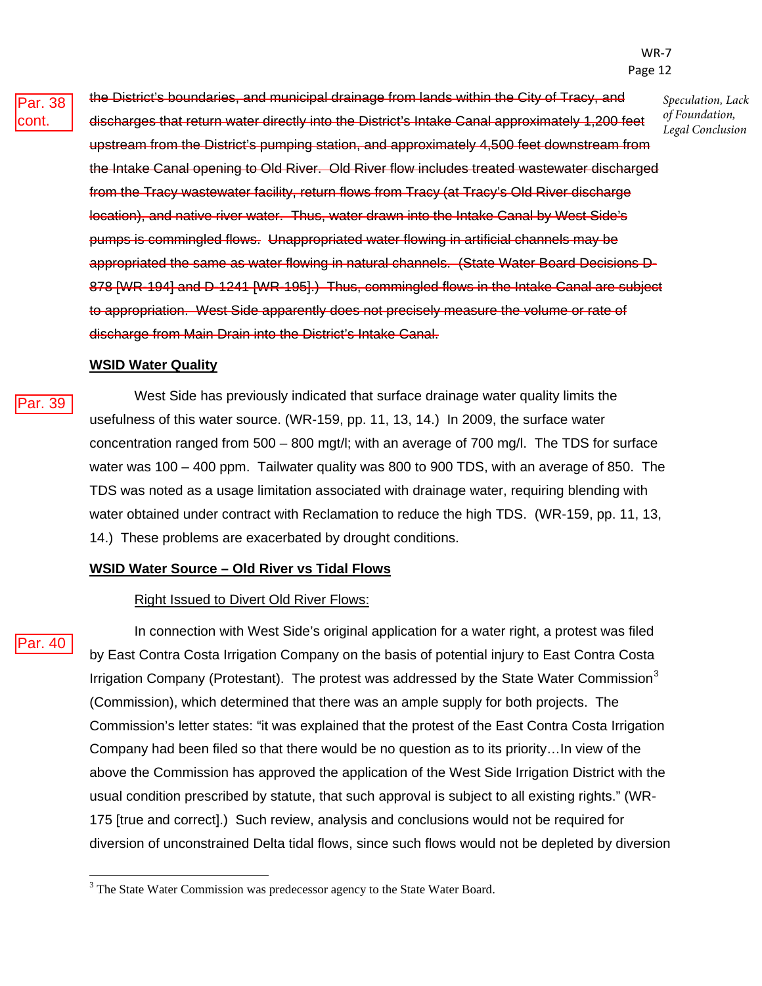the District's boundaries, and municipal drainage from lands within the City of Tracy, and discharges that return water directly into the District's Intake Canal approximately 1,200 feet upstream from the District's pumping station, and approximately 4,500 feet downstream from the Intake Canal opening to Old River. Old River flow includes treated wastewater discharged from the Tracy wastewater facility, return flows from Tracy (at Tracy's Old River discharge location), and native river water. Thus, water drawn into the Intake Canal by West Side's pumps is commingled flows. Unappropriated water flowing in artificial channels may be appropriated the same as water flowing in natural channels. (State Water Board Decisions D-878 [WR-194] and D-1241 [WR-195].) Thus, commingled flows in the Intake Canal are subject to appropriation. West Side apparently does not precisely measure the volume or rate of discharge from Main Drain into the District's Intake Canal. *Speculation, Lack of Foundation, Legal Conclusion*

#### **WSID Water Quality**

West Side has previously indicated that surface drainage water quality limits the usefulness of this water source. (WR-159, pp. 11, 13, 14.) In 2009, the surface water concentration ranged from 500 – 800 mgt/l; with an average of 700 mg/l. The TDS for surface water was 100 – 400 ppm. Tailwater quality was 800 to 900 TDS, with an average of 850. The TDS was noted as a usage limitation associated with drainage water, requiring blending with water obtained under contract with Reclamation to reduce the high TDS. (WR-159, pp. 11, 13, 14.) These problems are exacerbated by drought conditions.

#### **WSID Water Source – Old River vs Tidal Flows**

#### Right Issued to Divert Old River Flows:

Par. 39<br>Par. 40 <sup>2</sup>ar. 40

Par. 39

In connection with West Side's original application for a water right, a protest was filed by East Contra Costa Irrigation Company on the basis of potential injury to East Contra Costa Irrigation Company (Protestant). The protest was addressed by the State Water Commission<sup>[3](#page-48-0)</sup> (Commission), which determined that there was an ample supply for both projects. The Commission's letter states: "it was explained that the protest of the East Contra Costa Irrigation Company had been filed so that there would be no question as to its priority…In view of the above the Commission has approved the application of the West Side Irrigation District with the usual condition prescribed by statute, that such approval is subject to all existing rights." (WR-175 [true and correct].) Such review, analysis and conclusions would not be required for diversion of unconstrained Delta tidal flows, since such flows would not be depleted by diversion

<span id="page-48-0"></span> $3$  The State Water Commission was predecessor agency to the State Water Board.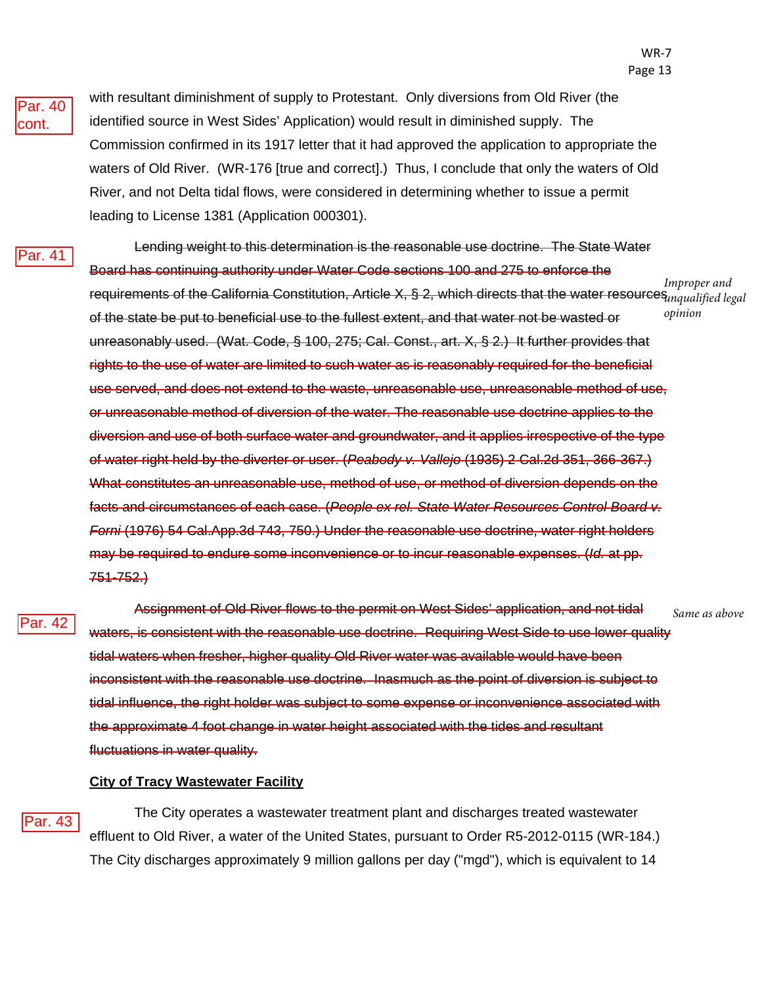

with resultant diminishment of supply to Protestant. Only diversions from Old River (the identified source in West Sides' Application) would result in diminished supply. The Commission confirmed in its 1917 letter that it had approved the application to appropriate the waters of Old River. (WR-176 [true and correct].) Thus, I conclude that only the waters of Old River, and not Delta tidal flows, were considered in determining whether to issue a permit leading to License 1381 (Application 000301).

Par. 41

Lending weight to this determination is the reasonable use doctrine. The State Water Board has continuing authority under Water Code sections 100 and 275 to enforce the requirements of the California Constitution, Article X, § 2, which directs that the water resources<sub>unqua</sub>lified legal of the state be put to beneficial use to the fullest extent, and that water not be wasted or unreasonably used. (Wat. Code, § 100, 275; Cal. Const., art. X, § 2.) It further provides that rights to the use of water are limited to such water as is reasonably required for the beneficial use served, and does not extend to the waste, unreasonable use, unreasonable method of use, or unreasonable method of diversion of the water. The reasonable use doctrine applies to the diversion and use of both surface water and groundwater, and it applies irrespective of the type of water right held by the diverter or user. (*Peabody v. Vallejo* (1935) 2 Cal.2d 351, 366-367.) What constitutes an unreasonable use, method of use, or method of diversion depends on the facts and circumstances of each case. (*People ex rel. State Water Resources Control Board v. Forni* (1976) 54 Cal.App.3d 743, 750.) Under the reasonable use doctrine, water right holders may be required to endure some inconvenience or to incur reasonable expenses. (*Id.* at pp. 751-752.) *Improper and opinion*

Par. 42

Assignment of Old River flows to the permit on West Sides' application, and not tidal waters, is consistent with the reasonable use doctrine. Requiring West Side to use lower quality tidal waters when fresher, higher quality Old River water was available would have been inconsistent with the reasonable use doctrine. Inasmuch as the point of diversion is subject to tidal influence, the right holder was subject to some expense or inconvenience associated with the approximate 4 foot change in water height associated with the tides and resultant fluctuations in water quality. *Same as above*

#### **City of Tracy Wastewater Facility**

Par. 43

The City operates a wastewater treatment plant and discharges treated wastewater effluent to Old River, a water of the United States, pursuant to Order R5-2012-0115 (WR-184.) The City discharges approximately 9 million gallons per day ("mgd"), which is equivalent to 14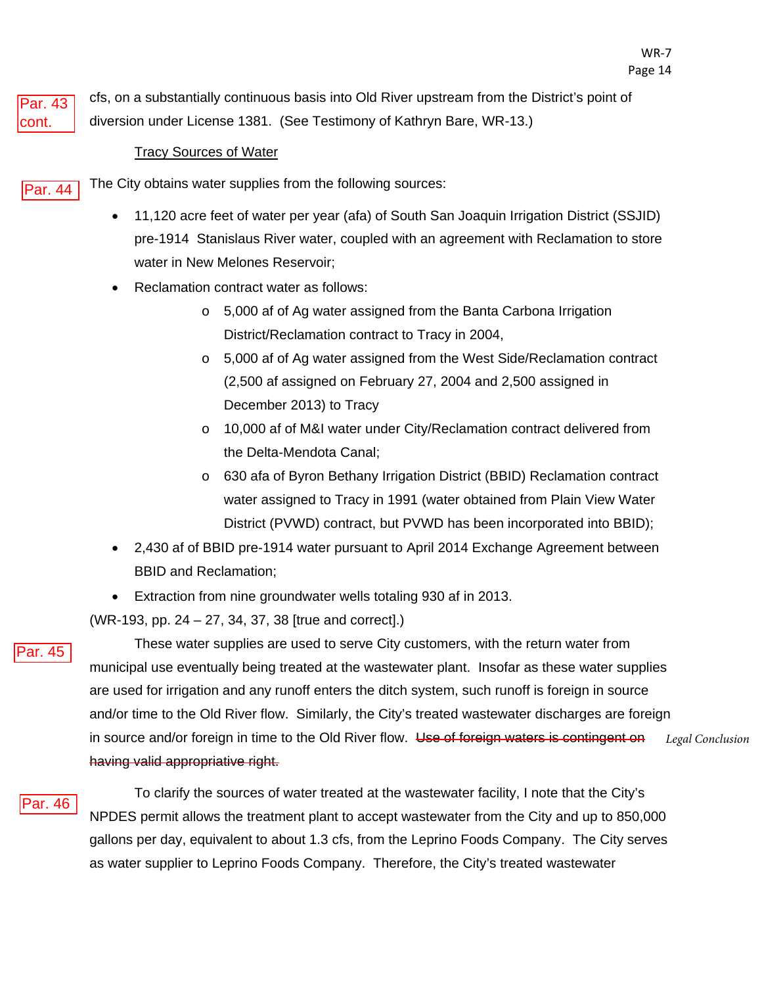

cfs, on a substantially continuous basis into Old River upstream from the District's point of diversion under License 1381. (See Testimony of Kathryn Bare, WR-13.)

#### Tracy Sources of Water

The City obtains water supplies from the following sources: Par. 44

- 11,120 acre feet of water per year (afa) of South San Joaquin Irrigation District (SSJID) pre-1914 Stanislaus River water, coupled with an agreement with Reclamation to store water in New Melones Reservoir;
- Reclamation contract water as follows:
	- o 5,000 af of Ag water assigned from the Banta Carbona Irrigation District/Reclamation contract to Tracy in 2004,
	- o 5,000 af of Ag water assigned from the West Side/Reclamation contract (2,500 af assigned on February 27, 2004 and 2,500 assigned in December 2013) to Tracy
	- o 10,000 af of M&I water under City/Reclamation contract delivered from the Delta-Mendota Canal;
	- o 630 afa of Byron Bethany Irrigation District (BBID) Reclamation contract water assigned to Tracy in 1991 (water obtained from Plain View Water District (PVWD) contract, but PVWD has been incorporated into BBID);
- 2,430 af of BBID pre-1914 water pursuant to April 2014 Exchange Agreement between BBID and Reclamation;
- Extraction from nine groundwater wells totaling 930 af in 2013.

(WR-193, pp. 24 – 27, 34, 37, 38 [true and correct].)



These water supplies are used to serve City customers, with the return water from municipal use eventually being treated at the wastewater plant. Insofar as these water supplies are used for irrigation and any runoff enters the ditch system, such runoff is foreign in source and/or time to the Old River flow. Similarly, the City's treated wastewater discharges are foreign in source and/or foreign in time to the Old River flow. Use of foreign waters is contingent on having valid appropriative right. *Legal Conclusion*

To clarify the sources of water treated at the wastewater facility, I note that the City's NPDES permit allows the treatment plant to accept wastewater from the City and up to 850,000 gallons per day, equivalent to about 1.3 cfs, from the Leprino Foods Company. The City serves as water supplier to Leprino Foods Company. Therefore, the City's treated wastewater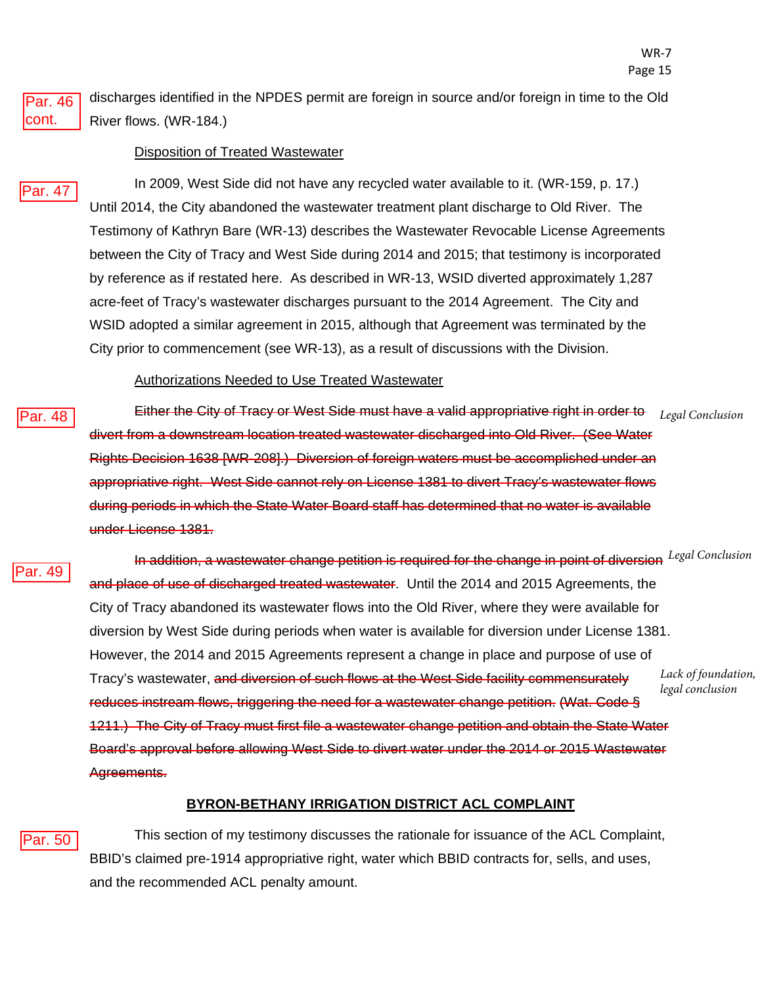discharges identified in the NPDES permit are foreign in source and/or foreign in time to the Old River flows. (WR-184.)

#### Disposition of Treated Wastewater

Par. 47

Par. 46 cont.

Par. 48

Par. 49

In 2009, West Side did not have any recycled water available to it. (WR-159, p. 17.) Until 2014, the City abandoned the wastewater treatment plant discharge to Old River. The Testimony of Kathryn Bare (WR-13) describes the Wastewater Revocable License Agreements between the City of Tracy and West Side during 2014 and 2015; that testimony is incorporated by reference as if restated here. As described in WR-13, WSID diverted approximately 1,287 acre-feet of Tracy's wastewater discharges pursuant to the 2014 Agreement. The City and WSID adopted a similar agreement in 2015, although that Agreement was terminated by the City prior to commencement (see WR-13), as a result of discussions with the Division.

#### Authorizations Needed to Use Treated Wastewater

Either the City of Tracy or West Side must have a valid appropriative right in order to divert from a downstream location treated wastewater discharged into Old River. (See Water Rights Decision 1638 [WR-208].) Diversion of foreign waters must be accomplished under an appropriative right. West Side cannot rely on License 1381 to divert Tracy's wastewater flows during periods in which the State Water Board staff has determined that no water is available under License 1381. *Legal Conclusion*

In addition, a wastewater change petition is required for the change in point of diversion *Legal Conclusion* and place of use of discharged treated wastewater. Until the 2014 and 2015 Agreements, the City of Tracy abandoned its wastewater flows into the Old River, where they were available for diversion by West Side during periods when water is available for diversion under License 1381. However, the 2014 and 2015 Agreements represent a change in place and purpose of use of Tracy's wastewater, and diversion of such flows at the West Side facility commensurately reduces instream flows, triggering the need for a wastewater change petition. (Wat. Code § 1211.) The City of Tracy must first file a wastewater change petition and obtain the State Water Board's approval before allowing West Side to divert water under the 2014 or 2015 Wastewater Agreements. *Lack of foundation, legal conclusion*

#### **BYRON-BETHANY IRRIGATION DISTRICT ACL COMPLAINT**

#### Par. 50

This section of my testimony discusses the rationale for issuance of the ACL Complaint, BBID's claimed pre-1914 appropriative right, water which BBID contracts for, sells, and uses, and the recommended ACL penalty amount.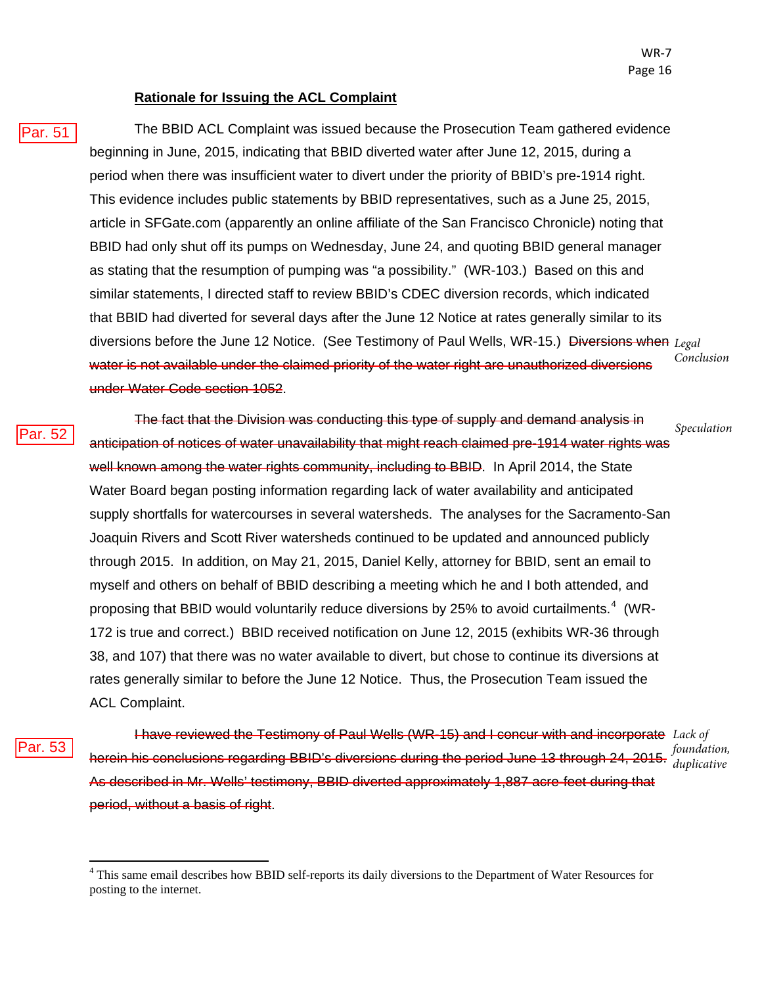#### **Rationale for Issuing the ACL Complaint**

Par. 51

The BBID ACL Complaint was issued because the Prosecution Team gathered evidence beginning in June, 2015, indicating that BBID diverted water after June 12, 2015, during a period when there was insufficient water to divert under the priority of BBID's pre-1914 right. This evidence includes public statements by BBID representatives, such as a June 25, 2015, article in SFGate.com (apparently an online affiliate of the San Francisco Chronicle) noting that BBID had only shut off its pumps on Wednesday, June 24, and quoting BBID general manager as stating that the resumption of pumping was "a possibility." (WR-103.) Based on this and similar statements, I directed staff to review BBID's CDEC diversion records, which indicated that BBID had diverted for several days after the June 12 Notice at rates generally similar to its diversions before the June 12 Notice. (See Testimony of Paul Wells, WR-15.) Diversions when *Legal*  water is not available under the claimed priority of the water right are unauthorized diversions under Water Code section 1052. *Conclusion*

ar. 52

The fact that the Division was conducting this type of supply and demand analysis in anticipation of notices of water unavailability that might reach claimed pre-1914 water rights was well known among the water rights community, including to BBID. In April 2014, the State Water Board began posting information regarding lack of water availability and anticipated supply shortfalls for watercourses in several watersheds. The analyses for the Sacramento-San Joaquin Rivers and Scott River watersheds continued to be updated and announced publicly through 2015. In addition, on May 21, 2015, Daniel Kelly, attorney for BBID, sent an email to myself and others on behalf of BBID describing a meeting which he and I both attended, and proposing that BBID would voluntarily reduce diversions by 25% to avoid curtailments.<sup>[4](#page-52-0)</sup> (WR-172 is true and correct.) BBID received notification on June 12, 2015 (exhibits WR-36 through 38, and 107) that there was no water available to divert, but chose to continue its diversions at rates generally similar to before the June 12 Notice. Thus, the Prosecution Team issued the ACL Complaint. *Speculation*

Par. 53

I have reviewed the Testimony of Paul Wells (WR-15) and I concur with and incorporate *Lack of*  herein his conclusions regarding BBID's diversions during the period June 13 through 24, 2015. *foundation,*  As described in Mr. Wells' testimony, BBID diverted approximately 1,887 acre-feet during that period, without a basis of right. *duplicative*

<span id="page-52-0"></span><sup>&</sup>lt;sup>4</sup> This same email describes how BBID self-reports its daily diversions to the Department of Water Resources for posting to the internet.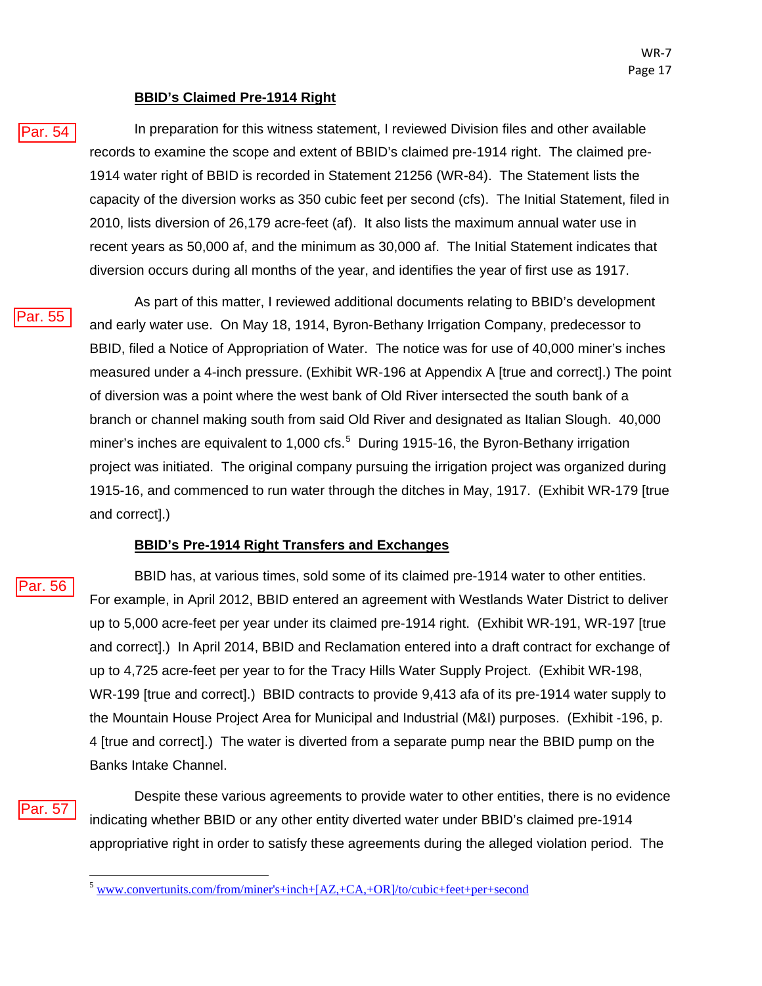#### **BBID's Claimed Pre-1914 Right**

In preparation for this witness statement, I reviewed Division files and other available records to examine the scope and extent of BBID's claimed pre-1914 right. The claimed pre-1914 water right of BBID is recorded in Statement 21256 (WR-84). The Statement lists the capacity of the diversion works as 350 cubic feet per second (cfs). The Initial Statement, filed in 2010, lists diversion of 26,179 acre-feet (af). It also lists the maximum annual water use in recent years as 50,000 af, and the minimum as 30,000 af. The Initial Statement indicates that diversion occurs during all months of the year, and identifies the year of first use as 1917.

<sup>2</sup>ar. 55

Par. 54

As part of this matter, I reviewed additional documents relating to BBID's development and early water use. On May 18, 1914, Byron-Bethany Irrigation Company, predecessor to BBID, filed a Notice of Appropriation of Water. The notice was for use of 40,000 miner's inches measured under a 4-inch pressure. (Exhibit WR-196 at Appendix A [true and correct].) The point of diversion was a point where the west bank of Old River intersected the south bank of a branch or channel making south from said Old River and designated as Italian Slough. 40,000 miner's inches are equivalent to 1,000 cfs.<sup>[5](#page-53-0)</sup> During 1915-16, the Byron-Bethany irrigation project was initiated. The original company pursuing the irrigation project was organized during 1915-16, and commenced to run water through the ditches in May, 1917. (Exhibit WR-179 [true and correct].)

#### **BBID's Pre-1914 Right Transfers and Exchanges**

'ar. 56

BBID has, at various times, sold some of its claimed pre-1914 water to other entities. For example, in April 2012, BBID entered an agreement with Westlands Water District to deliver up to 5,000 acre-feet per year under its claimed pre-1914 right. (Exhibit WR-191, WR-197 [true and correct].) In April 2014, BBID and Reclamation entered into a draft contract for exchange of up to 4,725 acre-feet per year to for the Tracy Hills Water Supply Project. (Exhibit WR-198, WR-199 [true and correct].) BBID contracts to provide 9,413 afa of its pre-1914 water supply to the Mountain House Project Area for Municipal and Industrial (M&I) purposes. (Exhibit -196, p. 4 [true and correct].) The water is diverted from a separate pump near the BBID pump on the Banks Intake Channel.

<span id="page-53-0"></span>Par. 57

Despite these various agreements to provide water to other entities, there is no evidence indicating whether BBID or any other entity diverted water under BBID's claimed pre-1914 appropriative right in order to satisfy these agreements during the alleged violation period. The

<sup>5</sup> [www.convertunits.com/from/miner's+inch+\[AZ,+CA,+OR\]/to/cubic+feet+per+second](http://www.convertunits.com/from/miner)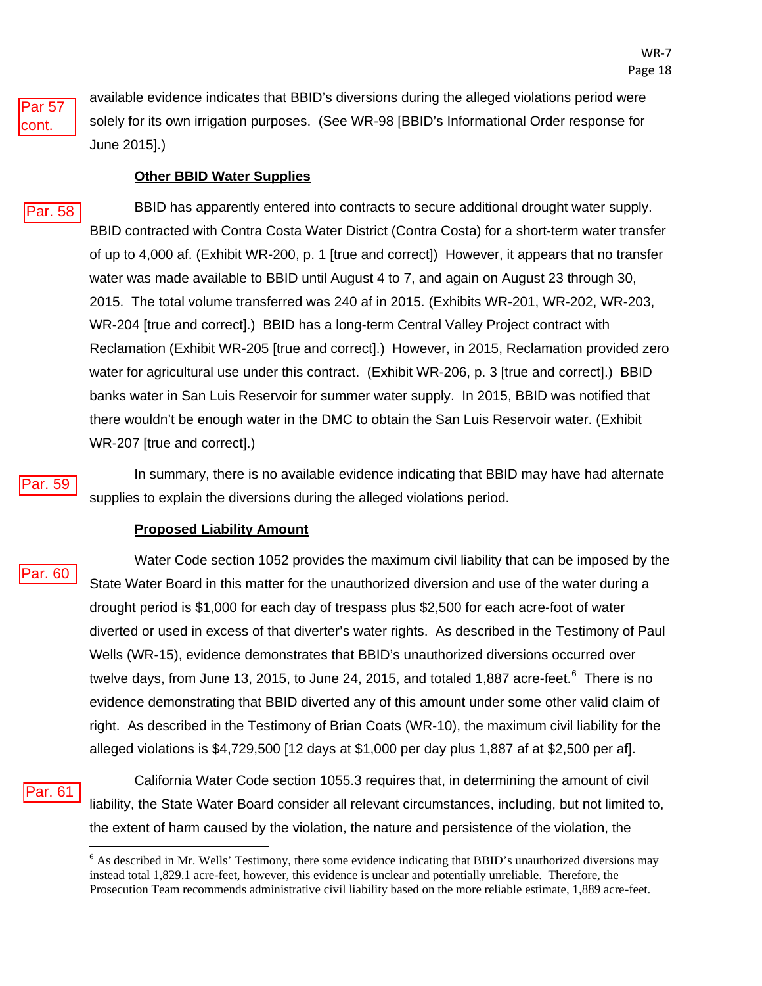

available evidence indicates that BBID's diversions during the alleged violations period were solely for its own irrigation purposes. (See WR-98 [BBID's Informational Order response for June 2015].)

#### **Other BBID Water Supplies**

#### Par. 58

BBID has apparently entered into contracts to secure additional drought water supply. BBID contracted with Contra Costa Water District (Contra Costa) for a short-term water transfer of up to 4,000 af. (Exhibit WR-200, p. 1 [true and correct]) However, it appears that no transfer water was made available to BBID until August 4 to 7, and again on August 23 through 30, 2015. The total volume transferred was 240 af in 2015. (Exhibits WR-201, WR-202, WR-203, WR-204 [true and correct].) BBID has a long-term Central Valley Project contract with Reclamation (Exhibit WR-205 [true and correct].) However, in 2015, Reclamation provided zero water for agricultural use under this contract. (Exhibit WR-206, p. 3 [true and correct].) BBID banks water in San Luis Reservoir for summer water supply. In 2015, BBID was notified that there wouldn't be enough water in the DMC to obtain the San Luis Reservoir water. (Exhibit WR-207 [true and correct].)



Par. 60

In summary, there is no available evidence indicating that BBID may have had alternate supplies to explain the diversions during the alleged violations period.

#### **Proposed Liability Amount**

Water Code section 1052 provides the maximum civil liability that can be imposed by the State Water Board in this matter for the unauthorized diversion and use of the water during a drought period is \$1,000 for each day of trespass plus \$2,500 for each acre-foot of water diverted or used in excess of that diverter's water rights. As described in the Testimony of Paul Wells (WR-15), evidence demonstrates that BBID's unauthorized diversions occurred over twelve days, from June 13, 2015, to June 24, 2015, and totaled 1,887 acre-feet. $^6$  $^6$  There is no evidence demonstrating that BBID diverted any of this amount under some other valid claim of right. As described in the Testimony of Brian Coats (WR-10), the maximum civil liability for the alleged violations is \$4,729,500 [12 days at \$1,000 per day plus 1,887 af at \$2,500 per af].

#### <span id="page-54-0"></span>Par. 61

California Water Code section 1055.3 requires that, in determining the amount of civil liability, the State Water Board consider all relevant circumstances, including, but not limited to, the extent of harm caused by the violation, the nature and persistence of the violation, the

<sup>&</sup>lt;sup>6</sup> As described in Mr. Wells' Testimony, there some evidence indicating that BBID's unauthorized diversions may instead total 1,829.1 acre-feet, however, this evidence is unclear and potentially unreliable. Therefore, the Prosecution Team recommends administrative civil liability based on the more reliable estimate, 1,889 acre-feet.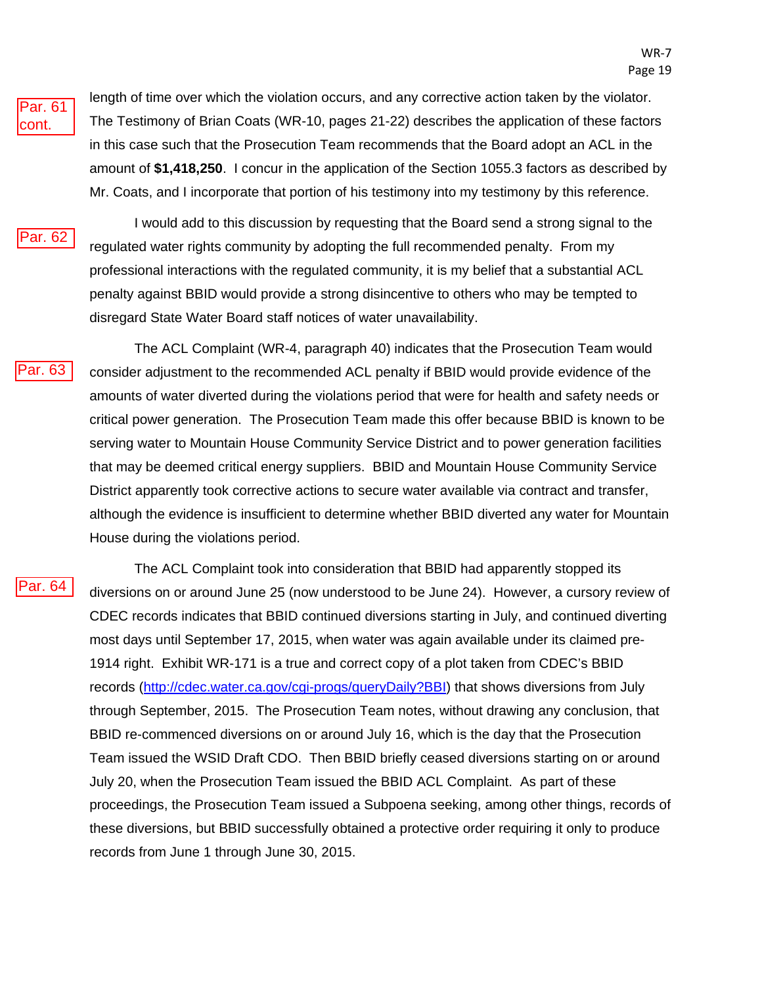Par. 61 cont.

length of time over which the violation occurs, and any corrective action taken by the violator. The Testimony of Brian Coats (WR-10, pages 21-22) describes the application of these factors in this case such that the Prosecution Team recommends that the Board adopt an ACL in the amount of **\$1,418,250**. I concur in the application of the Section 1055.3 factors as described by Mr. Coats, and I incorporate that portion of his testimony into my testimony by this reference.



I would add to this discussion by requesting that the Board send a strong signal to the regulated water rights community by adopting the full recommended penalty. From my professional interactions with the regulated community, it is my belief that a substantial ACL penalty against BBID would provide a strong disincentive to others who may be tempted to disregard State Water Board staff notices of water unavailability.

Par. 62<br>Par. 63

The ACL Complaint (WR-4, paragraph 40) indicates that the Prosecution Team would consider adjustment to the recommended ACL penalty if BBID would provide evidence of the amounts of water diverted during the violations period that were for health and safety needs or critical power generation. The Prosecution Team made this offer because BBID is known to be serving water to Mountain House Community Service District and to power generation facilities that may be deemed critical energy suppliers. BBID and Mountain House Community Service District apparently took corrective actions to secure water available via contract and transfer, although the evidence is insufficient to determine whether BBID diverted any water for Mountain House during the violations period.

Par. 64

The ACL Complaint took into consideration that BBID had apparently stopped its diversions on or around June 25 (now understood to be June 24). However, a cursory review of CDEC records indicates that BBID continued diversions starting in July, and continued diverting most days until September 17, 2015, when water was again available under its claimed pre-1914 right. Exhibit WR-171 is a true and correct copy of a plot taken from CDEC's BBID records [\(http://cdec.water.ca.gov/cgi-progs/queryDaily?BBI\)](http://cdec.water.ca.gov/cgi-progs/queryDaily?BBI) that shows diversions from July through September, 2015. The Prosecution Team notes, without drawing any conclusion, that BBID re-commenced diversions on or around July 16, which is the day that the Prosecution Team issued the WSID Draft CDO. Then BBID briefly ceased diversions starting on or around July 20, when the Prosecution Team issued the BBID ACL Complaint. As part of these proceedings, the Prosecution Team issued a Subpoena seeking, among other things, records of these diversions, but BBID successfully obtained a protective order requiring it only to produce records from June 1 through June 30, 2015.